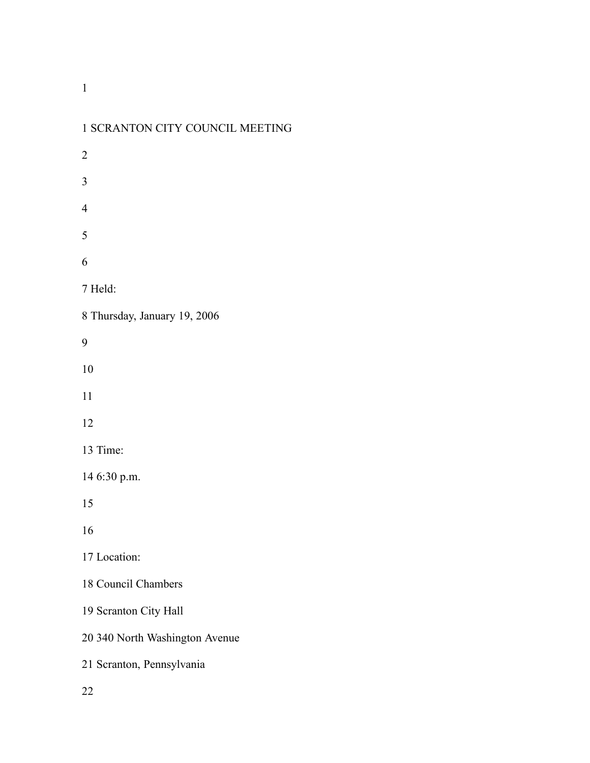| I SCRAINTUN CITTE COUNCIL MILLITING |
|-------------------------------------|
| $\overline{2}$                      |
| 3                                   |
| $\overline{4}$                      |
| 5                                   |
| 6                                   |
| 7 Held:                             |
| 8 Thursday, January 19, 2006        |
| 9                                   |
| 10                                  |
| 11                                  |
| 12                                  |
| 13 Time:                            |
| 14 6:30 p.m.                        |
| 15                                  |
| 16                                  |
| 17 Location:                        |
| 18 Council Chambers                 |
| 19 Scranton City Hall               |
| 20 340 North Washington Avenue      |
| 21 Scranton, Pennsylvania           |
| 22                                  |

# SCRANTON CITY COUNCIL MEETING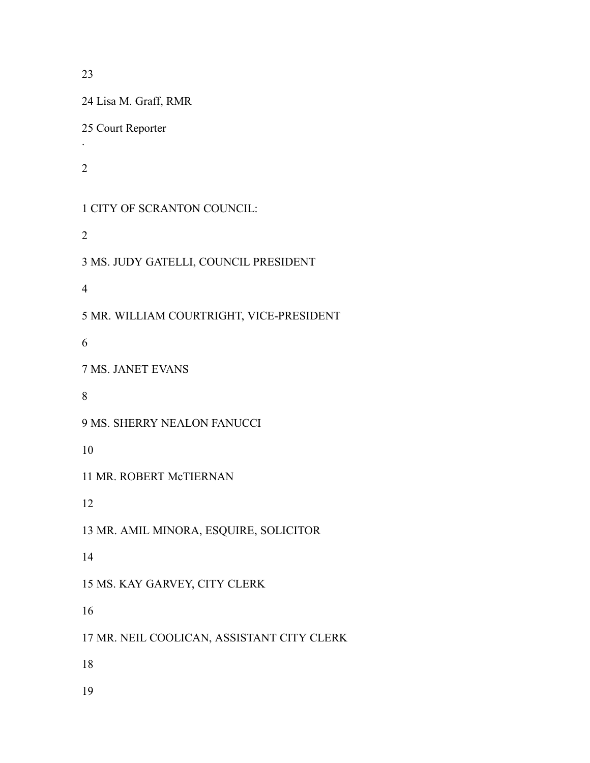Lisa M. Graff, RMR Court Reporter . CITY OF SCRANTON COUNCIL: MS. JUDY GATELLI, COUNCIL PRESIDENT MR. WILLIAM COURTRIGHT, VICE-PRESIDENT MS. JANET EVANS MS. SHERRY NEALON FANUCCI MR. ROBERT McTIERNAN MR. AMIL MINORA, ESQUIRE, SOLICITOR MS. KAY GARVEY, CITY CLERK MR. NEIL COOLICAN, ASSISTANT CITY CLERK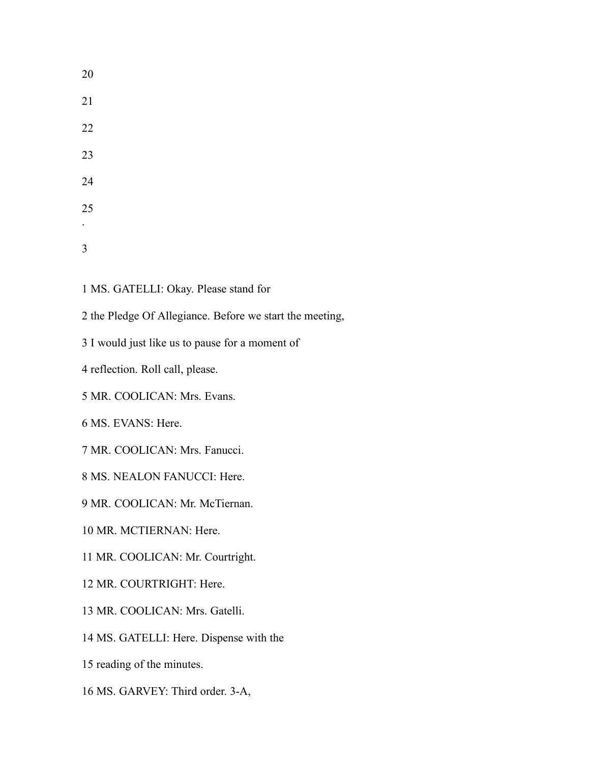MS. GATELLI: Okay. Please stand for

- the Pledge Of Allegiance. Before we start the meeting,
- I would just like us to pause for a moment of
- reflection. Roll call, please.
- MR. COOLICAN: Mrs. Evans.
- MS. EVANS: Here.
- MR. COOLICAN: Mrs. Fanucci.
- MS. NEALON FANUCCI: Here.
- MR. COOLICAN: Mr. McTiernan.
- MR. MCTIERNAN: Here.
- MR. COOLICAN: Mr. Courtright.
- MR. COURTRIGHT: Here.
- MR. COOLICAN: Mrs. Gatelli.
- MS. GATELLI: Here. Dispense with the
- reading of the minutes.
- MS. GARVEY: Third order. 3-A,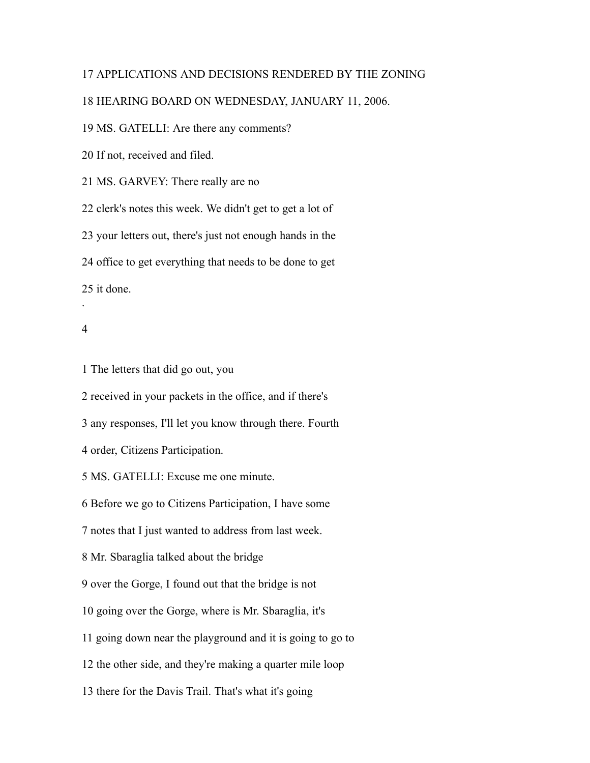# APPLICATIONS AND DECISIONS RENDERED BY THE ZONING

## HEARING BOARD ON WEDNESDAY, JANUARY 11, 2006.

MS. GATELLI: Are there any comments?

If not, received and filed.

MS. GARVEY: There really are no

clerk's notes this week. We didn't get to get a lot of

your letters out, there's just not enough hands in the

office to get everything that needs to be done to get

it done.

#### 

.

The letters that did go out, you

received in your packets in the office, and if there's

any responses, I'll let you know through there. Fourth

order, Citizens Participation.

MS. GATELLI: Excuse me one minute.

Before we go to Citizens Participation, I have some

notes that I just wanted to address from last week.

Mr. Sbaraglia talked about the bridge

over the Gorge, I found out that the bridge is not

going over the Gorge, where is Mr. Sbaraglia, it's

going down near the playground and it is going to go to

the other side, and they're making a quarter mile loop

there for the Davis Trail. That's what it's going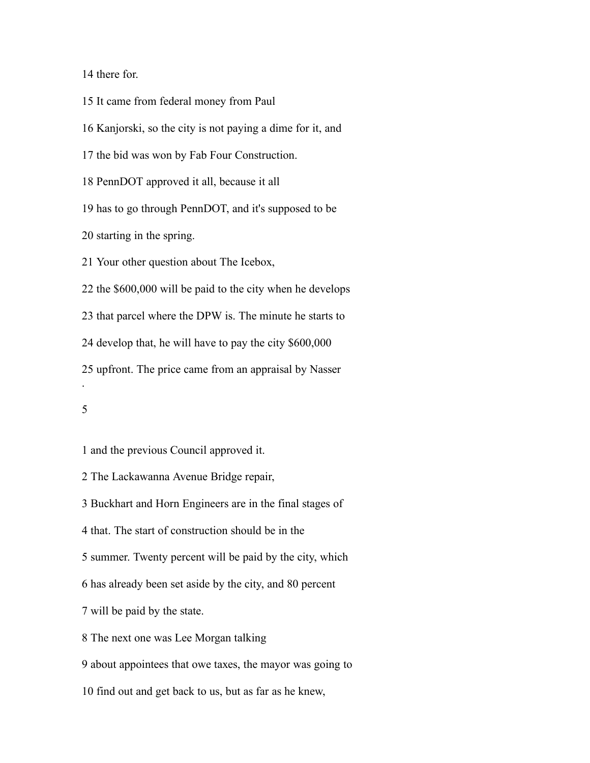there for.

It came from federal money from Paul

Kanjorski, so the city is not paying a dime for it, and

the bid was won by Fab Four Construction.

PennDOT approved it all, because it all

has to go through PennDOT, and it's supposed to be

starting in the spring.

Your other question about The Icebox,

the \$600,000 will be paid to the city when he develops

that parcel where the DPW is. The minute he starts to

develop that, he will have to pay the city \$600,000

upfront. The price came from an appraisal by Nasser

.

and the previous Council approved it.

The Lackawanna Avenue Bridge repair,

Buckhart and Horn Engineers are in the final stages of

that. The start of construction should be in the

summer. Twenty percent will be paid by the city, which

has already been set aside by the city, and 80 percent

will be paid by the state.

The next one was Lee Morgan talking

about appointees that owe taxes, the mayor was going to

find out and get back to us, but as far as he knew,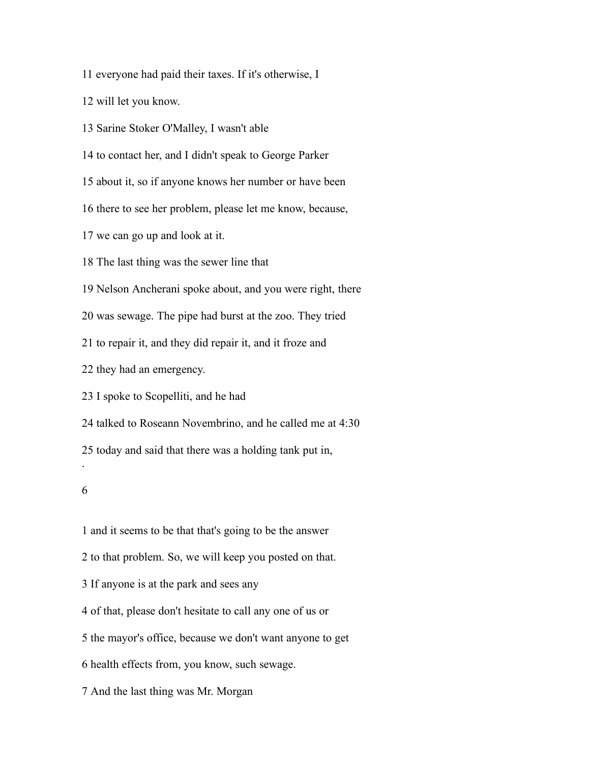everyone had paid their taxes. If it's otherwise, I

will let you know.

Sarine Stoker O'Malley, I wasn't able

to contact her, and I didn't speak to George Parker

about it, so if anyone knows her number or have been

there to see her problem, please let me know, because,

we can go up and look at it.

The last thing was the sewer line that

Nelson Ancherani spoke about, and you were right, there

was sewage. The pipe had burst at the zoo. They tried

to repair it, and they did repair it, and it froze and

they had an emergency.

I spoke to Scopelliti, and he had

talked to Roseann Novembrino, and he called me at 4:30

today and said that there was a holding tank put in,

#### 

.

 and it seems to be that that's going to be the answer to that problem. So, we will keep you posted on that. If anyone is at the park and sees any of that, please don't hesitate to call any one of us or the mayor's office, because we don't want anyone to get health effects from, you know, such sewage. And the last thing was Mr. Morgan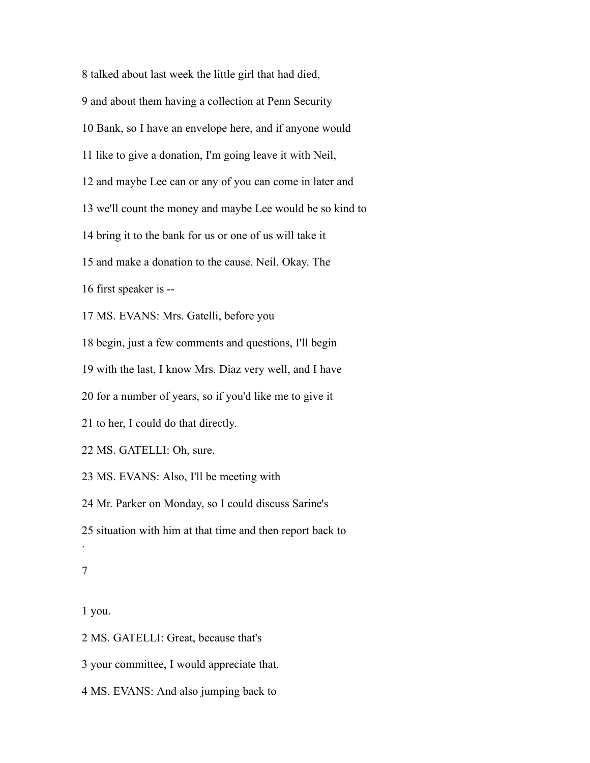talked about last week the little girl that had died, and about them having a collection at Penn Security Bank, so I have an envelope here, and if anyone would like to give a donation, I'm going leave it with Neil, and maybe Lee can or any of you can come in later and we'll count the money and maybe Lee would be so kind to bring it to the bank for us or one of us will take it and make a donation to the cause. Neil. Okay. The first speaker is -- MS. EVANS: Mrs. Gatelli, before you begin, just a few comments and questions, I'll begin with the last, I know Mrs. Diaz very well, and I have for a number of years, so if you'd like me to give it to her, I could do that directly. MS. GATELLI: Oh, sure. MS. EVANS: Also, I'll be meeting with Mr. Parker on Monday, so I could discuss Sarine's situation with him at that time and then report back to . 

you.

MS. GATELLI: Great, because that's

your committee, I would appreciate that.

MS. EVANS: And also jumping back to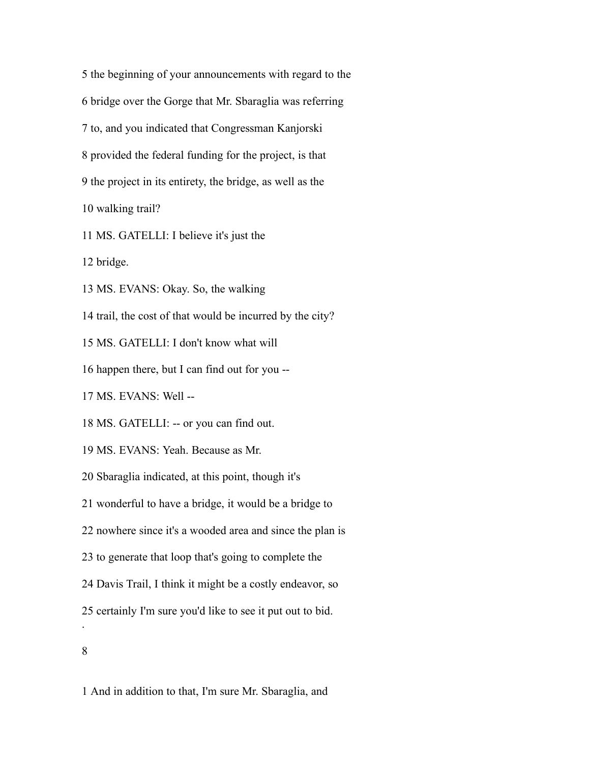the beginning of your announcements with regard to the bridge over the Gorge that Mr. Sbaraglia was referring to, and you indicated that Congressman Kanjorski provided the federal funding for the project, is that the project in its entirety, the bridge, as well as the walking trail?

MS. GATELLI: I believe it's just the

bridge.

MS. EVANS: Okay. So, the walking

trail, the cost of that would be incurred by the city?

MS. GATELLI: I don't know what will

happen there, but I can find out for you --

MS. EVANS: Well --

MS. GATELLI: -- or you can find out.

MS. EVANS: Yeah. Because as Mr.

Sbaraglia indicated, at this point, though it's

wonderful to have a bridge, it would be a bridge to

nowhere since it's a wooded area and since the plan is

to generate that loop that's going to complete the

Davis Trail, I think it might be a costly endeavor, so

certainly I'm sure you'd like to see it put out to bid.

.

And in addition to that, I'm sure Mr. Sbaraglia, and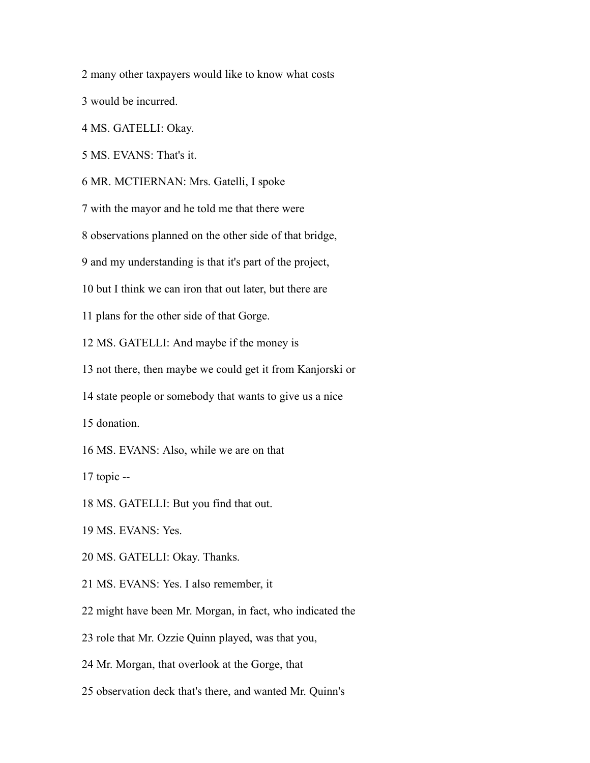many other taxpayers would like to know what costs

would be incurred.

MS. GATELLI: Okay.

MS. EVANS: That's it.

MR. MCTIERNAN: Mrs. Gatelli, I spoke

with the mayor and he told me that there were

observations planned on the other side of that bridge,

and my understanding is that it's part of the project,

but I think we can iron that out later, but there are

plans for the other side of that Gorge.

MS. GATELLI: And maybe if the money is

not there, then maybe we could get it from Kanjorski or

state people or somebody that wants to give us a nice

donation.

MS. EVANS: Also, while we are on that

topic --

MS. GATELLI: But you find that out.

MS. EVANS: Yes.

MS. GATELLI: Okay. Thanks.

MS. EVANS: Yes. I also remember, it

might have been Mr. Morgan, in fact, who indicated the

role that Mr. Ozzie Quinn played, was that you,

Mr. Morgan, that overlook at the Gorge, that

observation deck that's there, and wanted Mr. Quinn's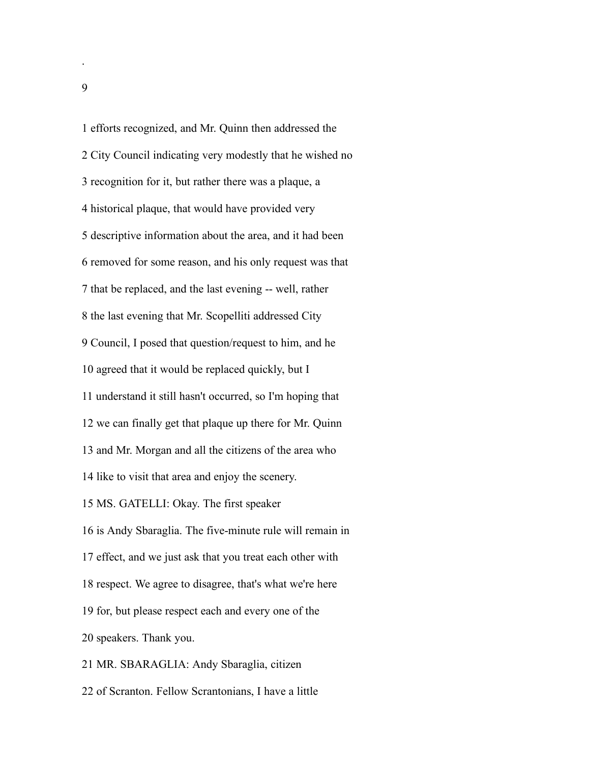efforts recognized, and Mr. Quinn then addressed the City Council indicating very modestly that he wished no recognition for it, but rather there was a plaque, a historical plaque, that would have provided very descriptive information about the area, and it had been removed for some reason, and his only request was that that be replaced, and the last evening -- well, rather the last evening that Mr. Scopelliti addressed City Council, I posed that question/request to him, and he agreed that it would be replaced quickly, but I understand it still hasn't occurred, so I'm hoping that we can finally get that plaque up there for Mr. Quinn and Mr. Morgan and all the citizens of the area who like to visit that area and enjoy the scenery. MS. GATELLI: Okay. The first speaker is Andy Sbaraglia. The five-minute rule will remain in effect, and we just ask that you treat each other with respect. We agree to disagree, that's what we're here for, but please respect each and every one of the speakers. Thank you. MR. SBARAGLIA: Andy Sbaraglia, citizen

of Scranton. Fellow Scrantonians, I have a little

.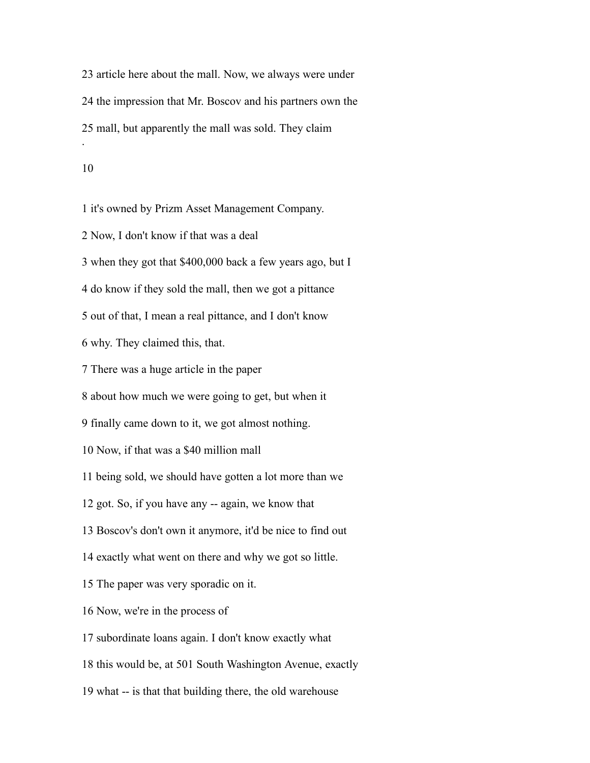article here about the mall. Now, we always were under the impression that Mr. Boscov and his partners own the mall, but apparently the mall was sold. They claim .

#### 

it's owned by Prizm Asset Management Company.

Now, I don't know if that was a deal

when they got that \$400,000 back a few years ago, but I

do know if they sold the mall, then we got a pittance

out of that, I mean a real pittance, and I don't know

why. They claimed this, that.

There was a huge article in the paper

about how much we were going to get, but when it

finally came down to it, we got almost nothing.

Now, if that was a \$40 million mall

being sold, we should have gotten a lot more than we

got. So, if you have any -- again, we know that

Boscov's don't own it anymore, it'd be nice to find out

exactly what went on there and why we got so little.

The paper was very sporadic on it.

Now, we're in the process of

subordinate loans again. I don't know exactly what

this would be, at 501 South Washington Avenue, exactly

what -- is that that building there, the old warehouse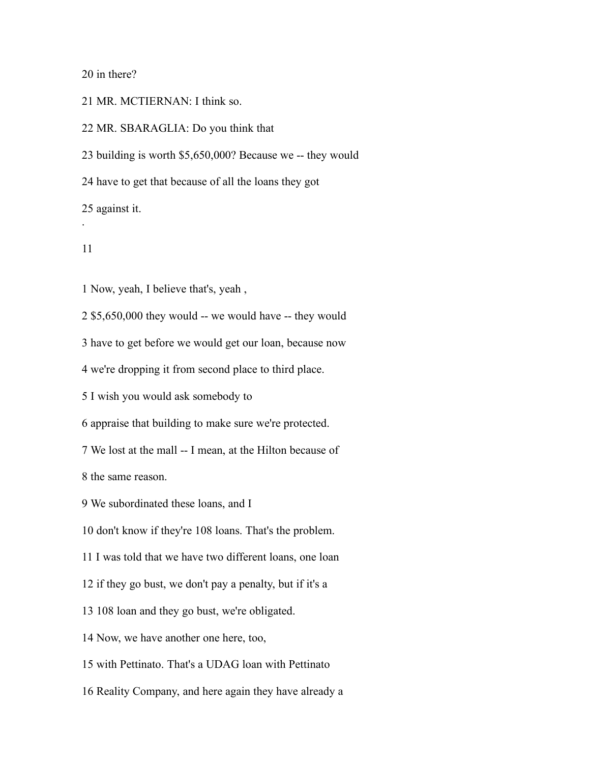in there?

MR. MCTIERNAN: I think so.

MR. SBARAGLIA: Do you think that

building is worth \$5,650,000? Because we -- they would

have to get that because of all the loans they got

against it.

.

Now, yeah, I believe that's, yeah ,

\$5,650,000 they would -- we would have -- they would

have to get before we would get our loan, because now

we're dropping it from second place to third place.

I wish you would ask somebody to

appraise that building to make sure we're protected.

We lost at the mall -- I mean, at the Hilton because of

the same reason.

We subordinated these loans, and I

don't know if they're 108 loans. That's the problem.

I was told that we have two different loans, one loan

if they go bust, we don't pay a penalty, but if it's a

108 loan and they go bust, we're obligated.

Now, we have another one here, too,

with Pettinato. That's a UDAG loan with Pettinato

Reality Company, and here again they have already a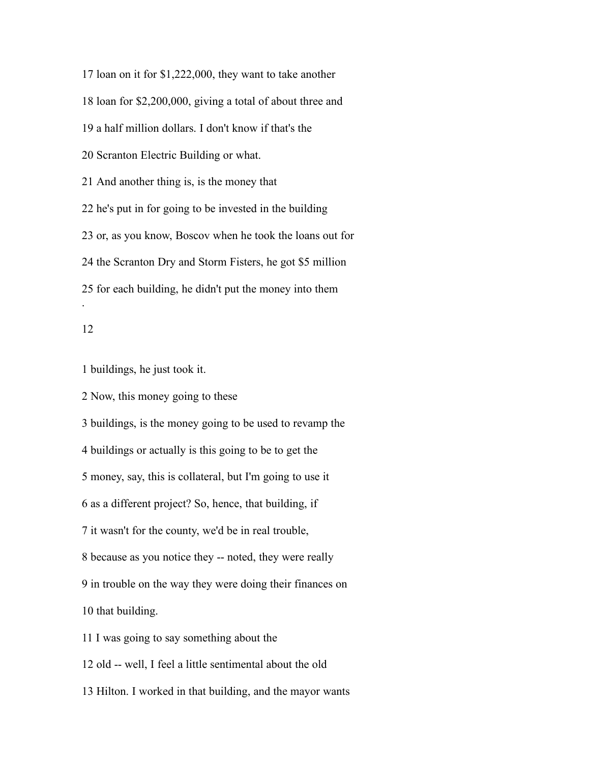loan on it for \$1,222,000, they want to take another loan for \$2,200,000, giving a total of about three and a half million dollars. I don't know if that's the Scranton Electric Building or what. And another thing is, is the money that he's put in for going to be invested in the building or, as you know, Boscov when he took the loans out for the Scranton Dry and Storm Fisters, he got \$5 million for each building, he didn't put the money into them .

# 

buildings, he just took it.

Now, this money going to these

buildings, is the money going to be used to revamp the

buildings or actually is this going to be to get the

money, say, this is collateral, but I'm going to use it

as a different project? So, hence, that building, if

it wasn't for the county, we'd be in real trouble,

because as you notice they -- noted, they were really

in trouble on the way they were doing their finances on

that building.

I was going to say something about the

old -- well, I feel a little sentimental about the old

Hilton. I worked in that building, and the mayor wants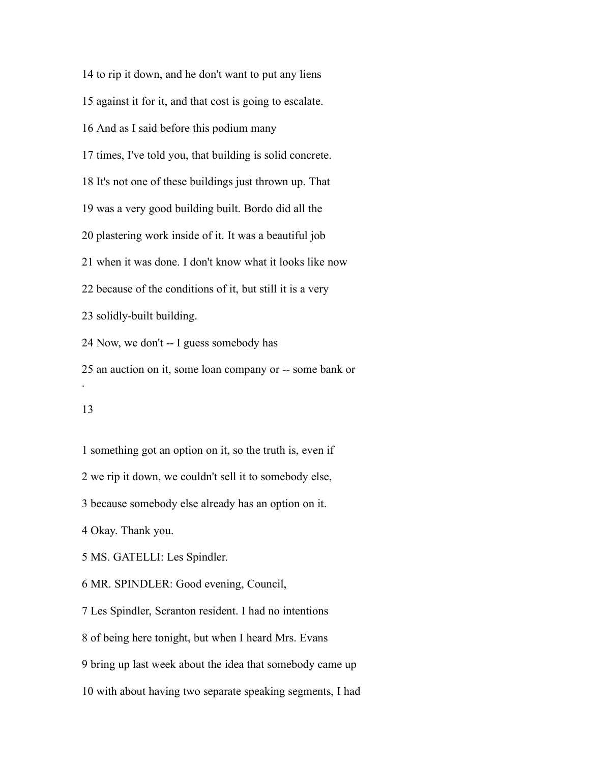to rip it down, and he don't want to put any liens against it for it, and that cost is going to escalate. And as I said before this podium many times, I've told you, that building is solid concrete. It's not one of these buildings just thrown up. That was a very good building built. Bordo did all the plastering work inside of it. It was a beautiful job when it was done. I don't know what it looks like now because of the conditions of it, but still it is a very solidly-built building. Now, we don't -- I guess somebody has an auction on it, some loan company or -- some bank or .

# 

something got an option on it, so the truth is, even if

we rip it down, we couldn't sell it to somebody else,

because somebody else already has an option on it.

Okay. Thank you.

MS. GATELLI: Les Spindler.

MR. SPINDLER: Good evening, Council,

Les Spindler, Scranton resident. I had no intentions

of being here tonight, but when I heard Mrs. Evans

bring up last week about the idea that somebody came up

with about having two separate speaking segments, I had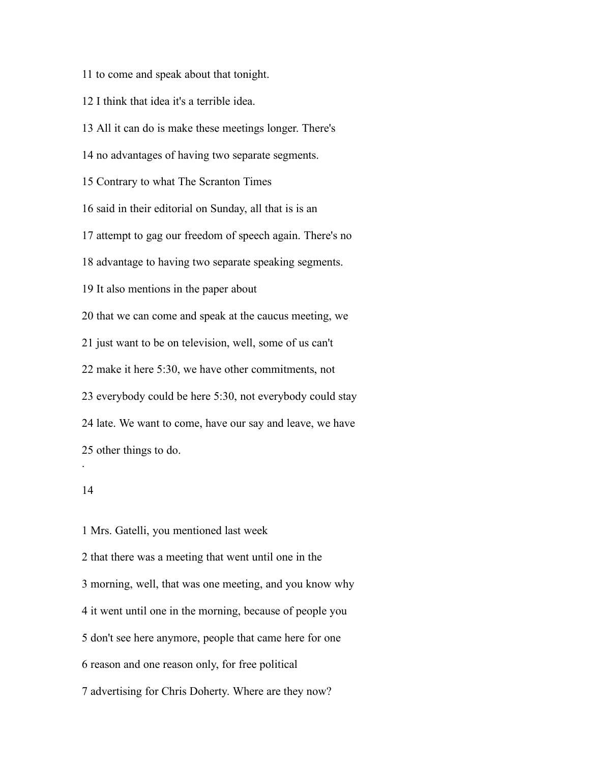to come and speak about that tonight.

I think that idea it's a terrible idea.

All it can do is make these meetings longer. There's

no advantages of having two separate segments.

Contrary to what The Scranton Times

said in their editorial on Sunday, all that is is an

attempt to gag our freedom of speech again. There's no

advantage to having two separate speaking segments.

It also mentions in the paper about

that we can come and speak at the caucus meeting, we

just want to be on television, well, some of us can't

make it here 5:30, we have other commitments, not

everybody could be here 5:30, not everybody could stay

 late. We want to come, have our say and leave, we have other things to do.

## 

.

 Mrs. Gatelli, you mentioned last week that there was a meeting that went until one in the morning, well, that was one meeting, and you know why it went until one in the morning, because of people you don't see here anymore, people that came here for one reason and one reason only, for free political

advertising for Chris Doherty. Where are they now?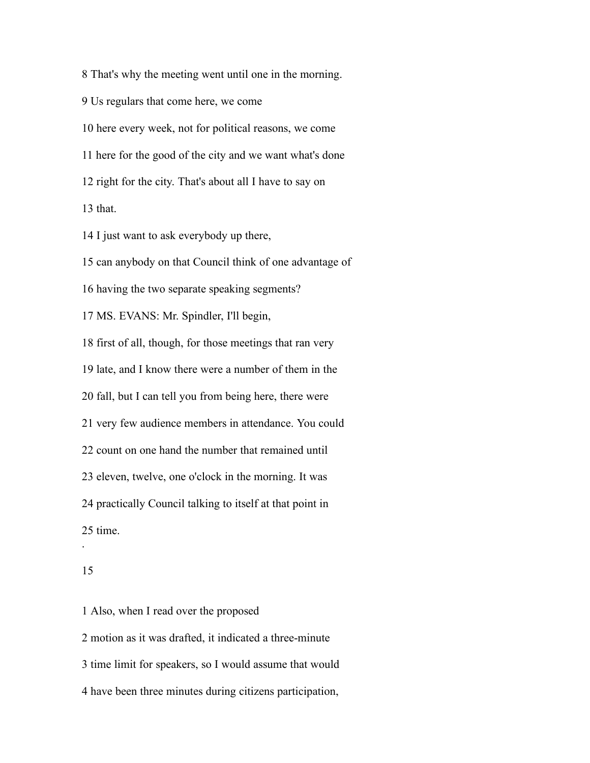That's why the meeting went until one in the morning. Us regulars that come here, we come here every week, not for political reasons, we come here for the good of the city and we want what's done right for the city. That's about all I have to say on that. I just want to ask everybody up there,

 can anybody on that Council think of one advantage of having the two separate speaking segments? MS. EVANS: Mr. Spindler, I'll begin, first of all, though, for those meetings that ran very late, and I know there were a number of them in the fall, but I can tell you from being here, there were very few audience members in attendance. You could count on one hand the number that remained until eleven, twelve, one o'clock in the morning. It was practically Council talking to itself at that point in time.

.

 Also, when I read over the proposed motion as it was drafted, it indicated a three-minute time limit for speakers, so I would assume that would have been three minutes during citizens participation,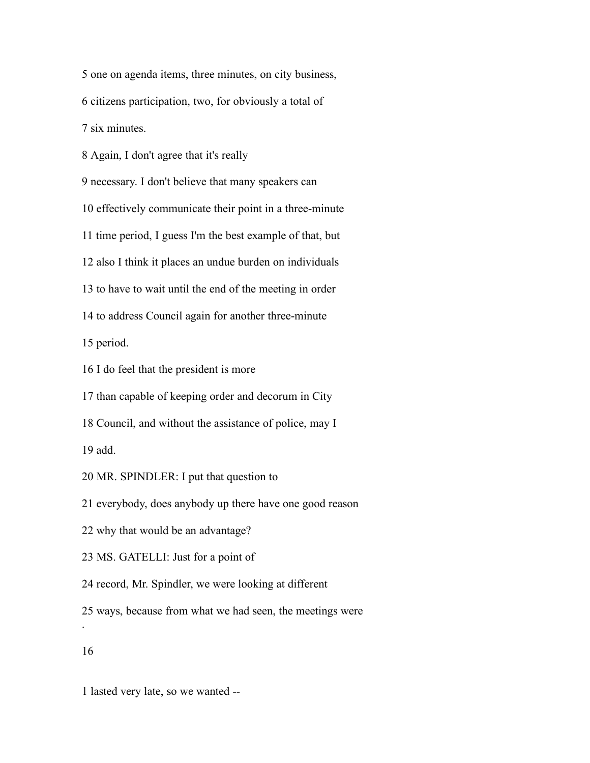one on agenda items, three minutes, on city business,

citizens participation, two, for obviously a total of

six minutes.

Again, I don't agree that it's really

necessary. I don't believe that many speakers can

effectively communicate their point in a three-minute

time period, I guess I'm the best example of that, but

also I think it places an undue burden on individuals

to have to wait until the end of the meeting in order

to address Council again for another three-minute

period.

I do feel that the president is more

than capable of keeping order and decorum in City

Council, and without the assistance of police, may I

add.

MR. SPINDLER: I put that question to

everybody, does anybody up there have one good reason

why that would be an advantage?

MS. GATELLI: Just for a point of

record, Mr. Spindler, we were looking at different

ways, because from what we had seen, the meetings were

.

lasted very late, so we wanted --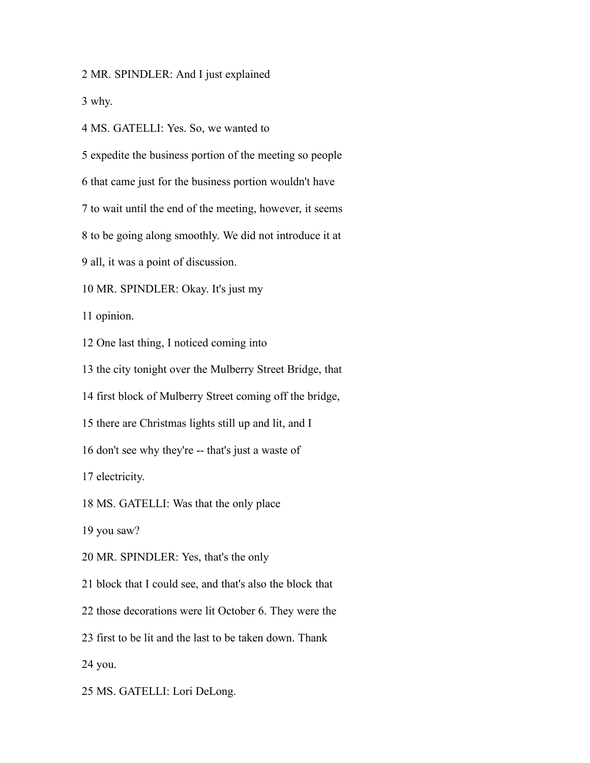MR. SPINDLER: And I just explained

why.

MS. GATELLI: Yes. So, we wanted to

expedite the business portion of the meeting so people

that came just for the business portion wouldn't have

to wait until the end of the meeting, however, it seems

to be going along smoothly. We did not introduce it at

all, it was a point of discussion.

MR. SPINDLER: Okay. It's just my

opinion.

One last thing, I noticed coming into

the city tonight over the Mulberry Street Bridge, that

first block of Mulberry Street coming off the bridge,

there are Christmas lights still up and lit, and I

don't see why they're -- that's just a waste of

electricity.

MS. GATELLI: Was that the only place

you saw?

MR. SPINDLER: Yes, that's the only

block that I could see, and that's also the block that

those decorations were lit October 6. They were the

first to be lit and the last to be taken down. Thank

you.

MS. GATELLI: Lori DeLong.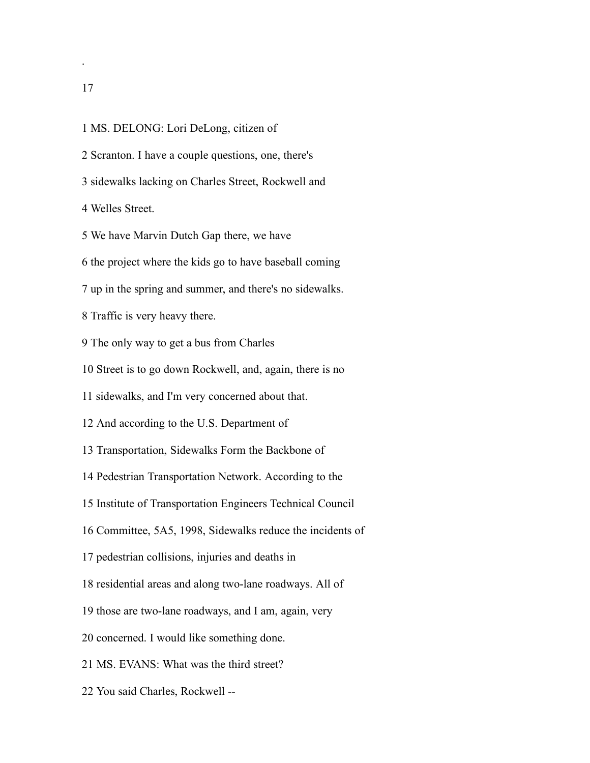.

 MS. DELONG: Lori DeLong, citizen of Scranton. I have a couple questions, one, there's sidewalks lacking on Charles Street, Rockwell and Welles Street. We have Marvin Dutch Gap there, we have the project where the kids go to have baseball coming up in the spring and summer, and there's no sidewalks. Traffic is very heavy there. The only way to get a bus from Charles Street is to go down Rockwell, and, again, there is no sidewalks, and I'm very concerned about that. And according to the U.S. Department of Transportation, Sidewalks Form the Backbone of Pedestrian Transportation Network. According to the Institute of Transportation Engineers Technical Council Committee, 5A5, 1998, Sidewalks reduce the incidents of pedestrian collisions, injuries and deaths in residential areas and along two-lane roadways. All of those are two-lane roadways, and I am, again, very concerned. I would like something done. MS. EVANS: What was the third street? You said Charles, Rockwell --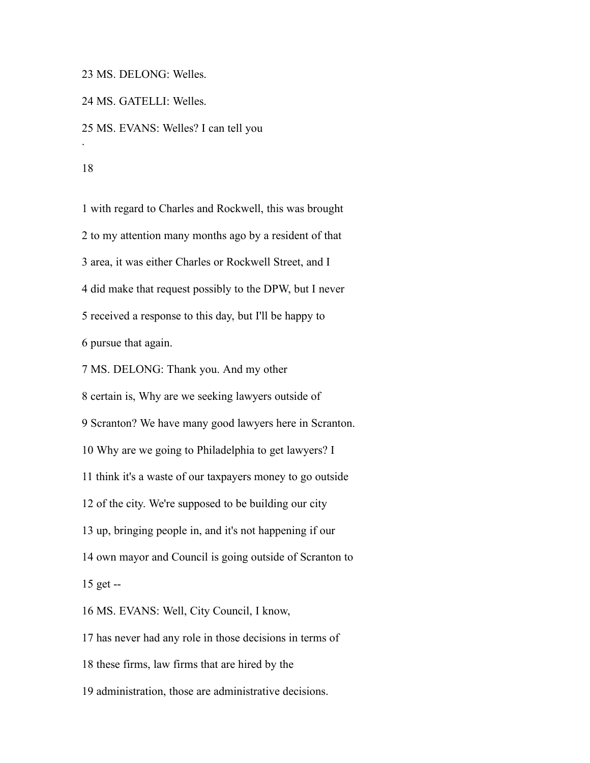MS. DELONG: Welles.

MS. GATELLI: Welles.

MS. EVANS: Welles? I can tell you

.

 with regard to Charles and Rockwell, this was brought to my attention many months ago by a resident of that area, it was either Charles or Rockwell Street, and I did make that request possibly to the DPW, but I never received a response to this day, but I'll be happy to pursue that again. MS. DELONG: Thank you. And my other certain is, Why are we seeking lawyers outside of Scranton? We have many good lawyers here in Scranton. Why are we going to Philadelphia to get lawyers? I think it's a waste of our taxpayers money to go outside of the city. We're supposed to be building our city up, bringing people in, and it's not happening if our own mayor and Council is going outside of Scranton to get -- MS. EVANS: Well, City Council, I know, has never had any role in those decisions in terms of these firms, law firms that are hired by the

administration, those are administrative decisions.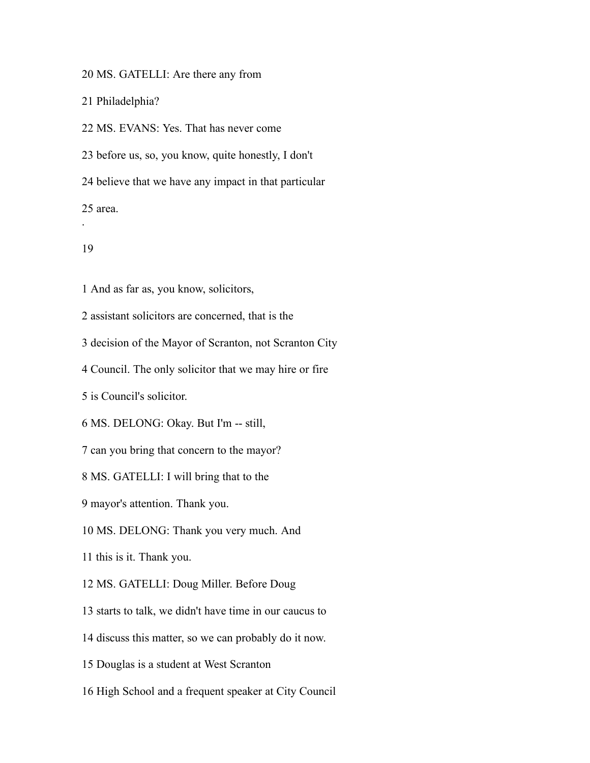MS. GATELLI: Are there any from

Philadelphia?

MS. EVANS: Yes. That has never come

before us, so, you know, quite honestly, I don't

believe that we have any impact in that particular

area.

## 

.

And as far as, you know, solicitors,

assistant solicitors are concerned, that is the

decision of the Mayor of Scranton, not Scranton City

Council. The only solicitor that we may hire or fire

is Council's solicitor.

MS. DELONG: Okay. But I'm -- still,

can you bring that concern to the mayor?

MS. GATELLI: I will bring that to the

mayor's attention. Thank you.

MS. DELONG: Thank you very much. And

this is it. Thank you.

MS. GATELLI: Doug Miller. Before Doug

starts to talk, we didn't have time in our caucus to

discuss this matter, so we can probably do it now.

Douglas is a student at West Scranton

High School and a frequent speaker at City Council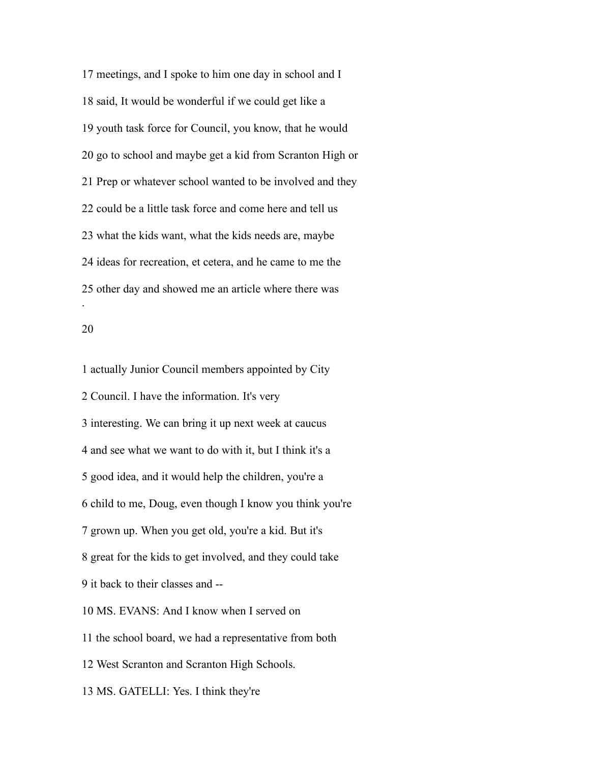meetings, and I spoke to him one day in school and I said, It would be wonderful if we could get like a youth task force for Council, you know, that he would go to school and maybe get a kid from Scranton High or Prep or whatever school wanted to be involved and they could be a little task force and come here and tell us what the kids want, what the kids needs are, maybe ideas for recreation, et cetera, and he came to me the other day and showed me an article where there was .

 actually Junior Council members appointed by City Council. I have the information. It's very interesting. We can bring it up next week at caucus and see what we want to do with it, but I think it's a good idea, and it would help the children, you're a child to me, Doug, even though I know you think you're grown up. When you get old, you're a kid. But it's great for the kids to get involved, and they could take it back to their classes and -- MS. EVANS: And I know when I served on the school board, we had a representative from both West Scranton and Scranton High Schools. MS. GATELLI: Yes. I think they're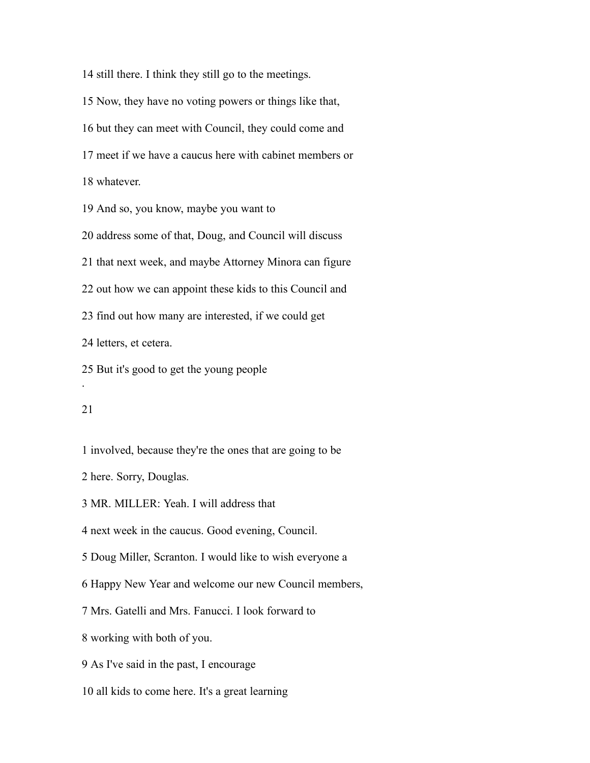still there. I think they still go to the meetings.

Now, they have no voting powers or things like that,

but they can meet with Council, they could come and

meet if we have a caucus here with cabinet members or

whatever.

And so, you know, maybe you want to

address some of that, Doug, and Council will discuss

that next week, and maybe Attorney Minora can figure

out how we can appoint these kids to this Council and

find out how many are interested, if we could get

letters, et cetera.

But it's good to get the young people

### 

.

involved, because they're the ones that are going to be

here. Sorry, Douglas.

MR. MILLER: Yeah. I will address that

next week in the caucus. Good evening, Council.

Doug Miller, Scranton. I would like to wish everyone a

Happy New Year and welcome our new Council members,

Mrs. Gatelli and Mrs. Fanucci. I look forward to

working with both of you.

As I've said in the past, I encourage

all kids to come here. It's a great learning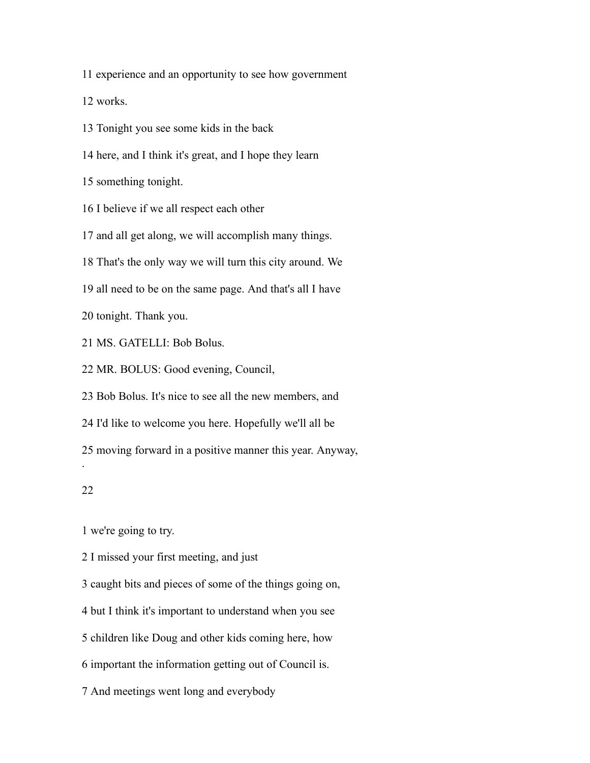experience and an opportunity to see how government

works.

Tonight you see some kids in the back

here, and I think it's great, and I hope they learn

something tonight.

I believe if we all respect each other

and all get along, we will accomplish many things.

That's the only way we will turn this city around. We

all need to be on the same page. And that's all I have

tonight. Thank you.

MS. GATELLI: Bob Bolus.

MR. BOLUS: Good evening, Council,

Bob Bolus. It's nice to see all the new members, and

I'd like to welcome you here. Hopefully we'll all be

moving forward in a positive manner this year. Anyway,

## 

.

we're going to try.

I missed your first meeting, and just

caught bits and pieces of some of the things going on,

but I think it's important to understand when you see

children like Doug and other kids coming here, how

important the information getting out of Council is.

And meetings went long and everybody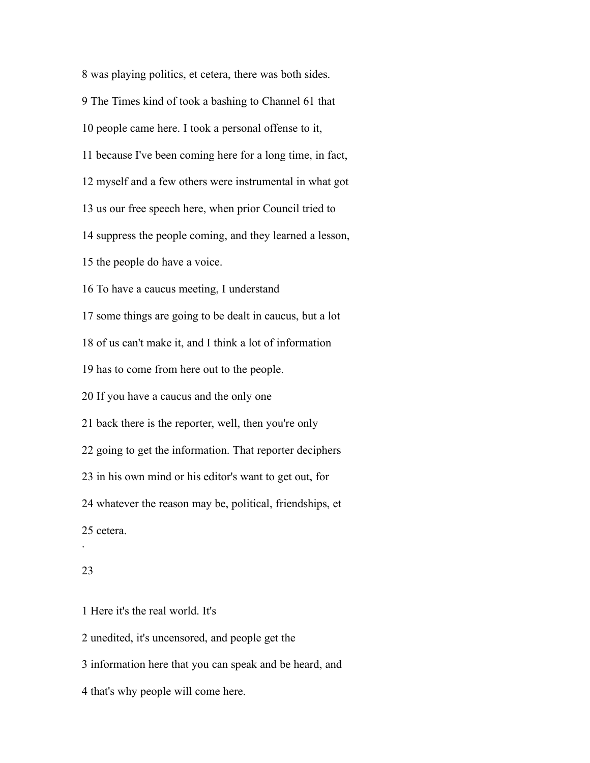was playing politics, et cetera, there was both sides. The Times kind of took a bashing to Channel 61 that people came here. I took a personal offense to it, because I've been coming here for a long time, in fact, myself and a few others were instrumental in what got us our free speech here, when prior Council tried to suppress the people coming, and they learned a lesson, the people do have a voice. To have a caucus meeting, I understand some things are going to be dealt in caucus, but a lot of us can't make it, and I think a lot of information has to come from here out to the people. If you have a caucus and the only one back there is the reporter, well, then you're only going to get the information. That reporter deciphers in his own mind or his editor's want to get out, for whatever the reason may be, political, friendships, et cetera. .

# 

Here it's the real world. It's

unedited, it's uncensored, and people get the

information here that you can speak and be heard, and

that's why people will come here.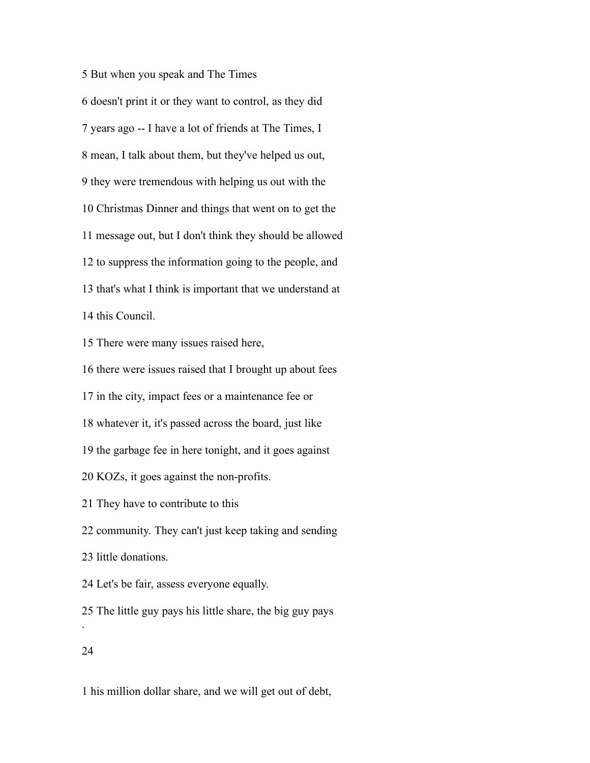But when you speak and The Times

 doesn't print it or they want to control, as they did years ago -- I have a lot of friends at The Times, I mean, I talk about them, but they've helped us out, they were tremendous with helping us out with the Christmas Dinner and things that went on to get the message out, but I don't think they should be allowed to suppress the information going to the people, and that's what I think is important that we understand at this Council.

There were many issues raised here,

there were issues raised that I brought up about fees

in the city, impact fees or a maintenance fee or

whatever it, it's passed across the board, just like

the garbage fee in here tonight, and it goes against

KOZs, it goes against the non-profits.

They have to contribute to this

community. They can't just keep taking and sending

little donations.

Let's be fair, assess everyone equally.

 The little guy pays his little share, the big guy pays .

his million dollar share, and we will get out of debt,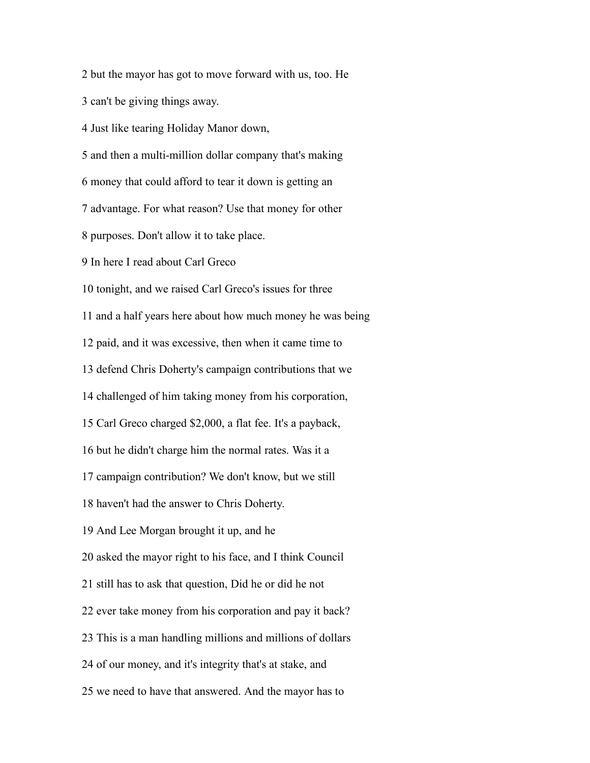but the mayor has got to move forward with us, too. He

can't be giving things away.

Just like tearing Holiday Manor down,

and then a multi-million dollar company that's making

money that could afford to tear it down is getting an

advantage. For what reason? Use that money for other

purposes. Don't allow it to take place.

In here I read about Carl Greco

tonight, and we raised Carl Greco's issues for three

and a half years here about how much money he was being

paid, and it was excessive, then when it came time to

defend Chris Doherty's campaign contributions that we

challenged of him taking money from his corporation,

Carl Greco charged \$2,000, a flat fee. It's a payback,

but he didn't charge him the normal rates. Was it a

campaign contribution? We don't know, but we still

haven't had the answer to Chris Doherty.

And Lee Morgan brought it up, and he

asked the mayor right to his face, and I think Council

still has to ask that question, Did he or did he not

ever take money from his corporation and pay it back?

This is a man handling millions and millions of dollars

of our money, and it's integrity that's at stake, and

we need to have that answered. And the mayor has to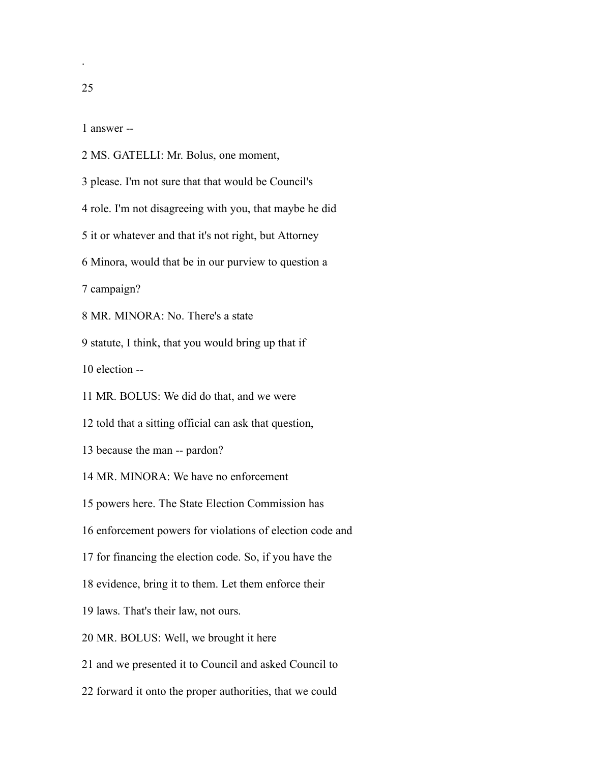.

answer --

MS. GATELLI: Mr. Bolus, one moment,

please. I'm not sure that that would be Council's

role. I'm not disagreeing with you, that maybe he did

it or whatever and that it's not right, but Attorney

Minora, would that be in our purview to question a

campaign?

MR. MINORA: No. There's a state

statute, I think, that you would bring up that if

election --

MR. BOLUS: We did do that, and we were

told that a sitting official can ask that question,

because the man -- pardon?

MR. MINORA: We have no enforcement

powers here. The State Election Commission has

enforcement powers for violations of election code and

for financing the election code. So, if you have the

evidence, bring it to them. Let them enforce their

laws. That's their law, not ours.

MR. BOLUS: Well, we brought it here

and we presented it to Council and asked Council to

forward it onto the proper authorities, that we could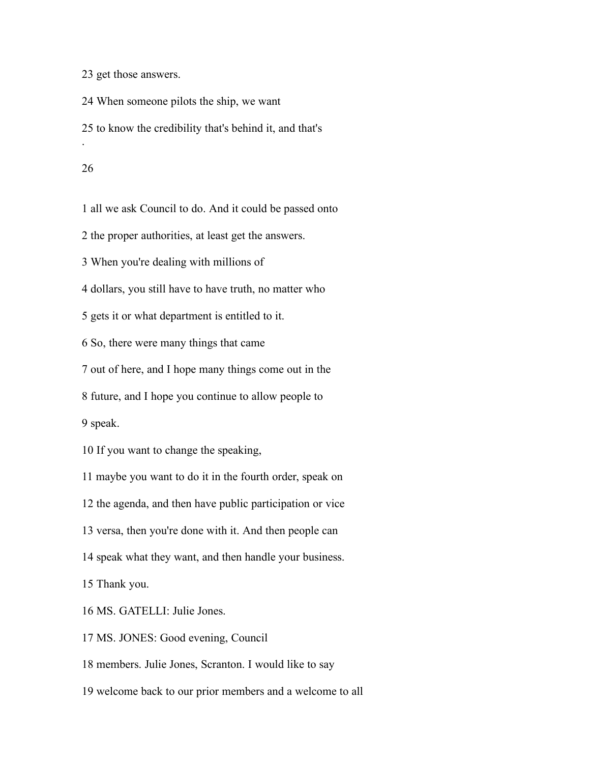get those answers.

When someone pilots the ship, we want

to know the credibility that's behind it, and that's

#### 

.

all we ask Council to do. And it could be passed onto

the proper authorities, at least get the answers.

When you're dealing with millions of

dollars, you still have to have truth, no matter who

gets it or what department is entitled to it.

So, there were many things that came

out of here, and I hope many things come out in the

future, and I hope you continue to allow people to

speak.

If you want to change the speaking,

maybe you want to do it in the fourth order, speak on

the agenda, and then have public participation or vice

versa, then you're done with it. And then people can

speak what they want, and then handle your business.

Thank you.

MS. GATELLI: Julie Jones.

MS. JONES: Good evening, Council

members. Julie Jones, Scranton. I would like to say

welcome back to our prior members and a welcome to all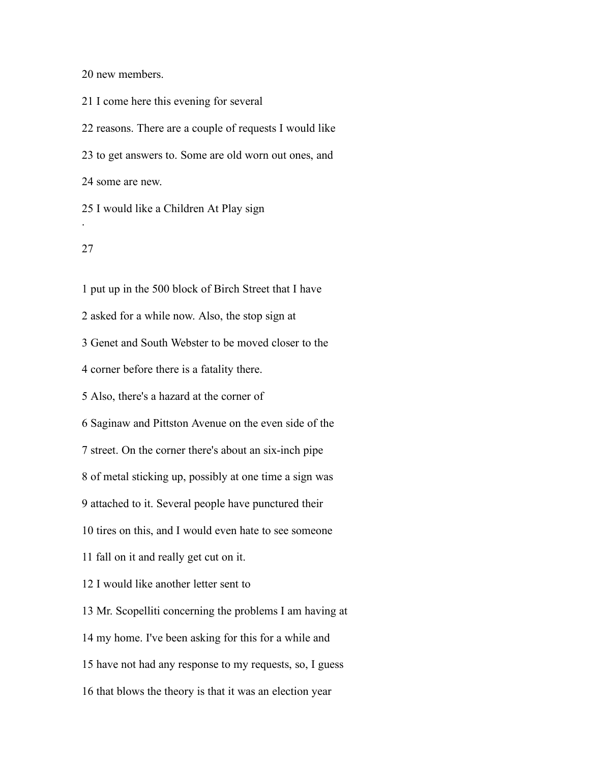new members.

 I come here this evening for several reasons. There are a couple of requests I would like to get answers to. Some are old worn out ones, and some are new. I would like a Children At Play sign

## 

.

 put up in the 500 block of Birch Street that I have asked for a while now. Also, the stop sign at Genet and South Webster to be moved closer to the corner before there is a fatality there. Also, there's a hazard at the corner of Saginaw and Pittston Avenue on the even side of the street. On the corner there's about an six-inch pipe of metal sticking up, possibly at one time a sign was attached to it. Several people have punctured their tires on this, and I would even hate to see someone fall on it and really get cut on it. I would like another letter sent to Mr. Scopelliti concerning the problems I am having at my home. I've been asking for this for a while and have not had any response to my requests, so, I guess that blows the theory is that it was an election year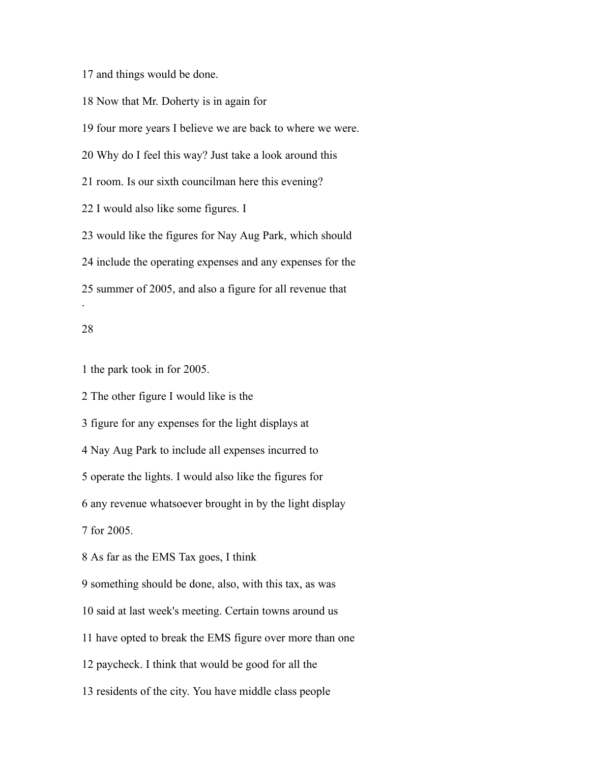and things would be done.

Now that Mr. Doherty is in again for

four more years I believe we are back to where we were.

Why do I feel this way? Just take a look around this

room. Is our sixth councilman here this evening?

I would also like some figures. I

 would like the figures for Nay Aug Park, which should include the operating expenses and any expenses for the summer of 2005, and also a figure for all revenue that

## 

.

the park took in for 2005.

The other figure I would like is the

figure for any expenses for the light displays at

Nay Aug Park to include all expenses incurred to

operate the lights. I would also like the figures for

any revenue whatsoever brought in by the light display

for 2005.

As far as the EMS Tax goes, I think

something should be done, also, with this tax, as was

said at last week's meeting. Certain towns around us

have opted to break the EMS figure over more than one

paycheck. I think that would be good for all the

residents of the city. You have middle class people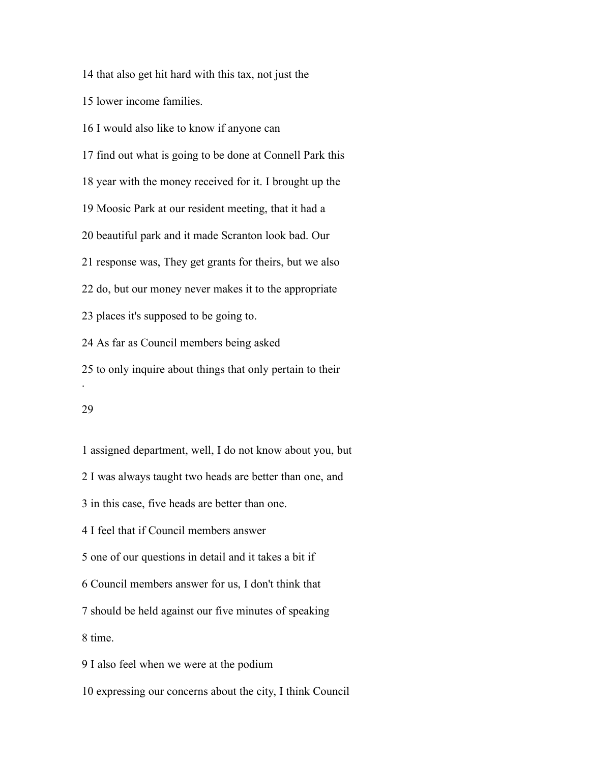that also get hit hard with this tax, not just the

lower income families.

 I would also like to know if anyone can find out what is going to be done at Connell Park this year with the money received for it. I brought up the Moosic Park at our resident meeting, that it had a beautiful park and it made Scranton look bad. Our response was, They get grants for theirs, but we also do, but our money never makes it to the appropriate places it's supposed to be going to. As far as Council members being asked to only inquire about things that only pertain to their .

## 

 assigned department, well, I do not know about you, but I was always taught two heads are better than one, and in this case, five heads are better than one. I feel that if Council members answer one of our questions in detail and it takes a bit if Council members answer for us, I don't think that should be held against our five minutes of speaking time. I also feel when we were at the podium expressing our concerns about the city, I think Council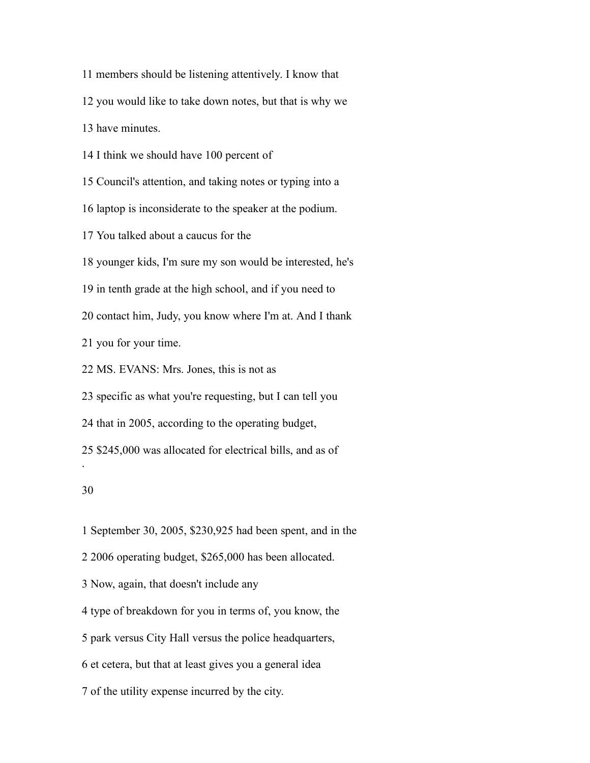members should be listening attentively. I know that

you would like to take down notes, but that is why we

have minutes.

I think we should have 100 percent of

Council's attention, and taking notes or typing into a

laptop is inconsiderate to the speaker at the podium.

You talked about a caucus for the

younger kids, I'm sure my son would be interested, he's

in tenth grade at the high school, and if you need to

contact him, Judy, you know where I'm at. And I thank

you for your time.

MS. EVANS: Mrs. Jones, this is not as

specific as what you're requesting, but I can tell you

that in 2005, according to the operating budget,

\$245,000 was allocated for electrical bills, and as of

.

September 30, 2005, \$230,925 had been spent, and in the

2006 operating budget, \$265,000 has been allocated.

Now, again, that doesn't include any

type of breakdown for you in terms of, you know, the

park versus City Hall versus the police headquarters,

et cetera, but that at least gives you a general idea

of the utility expense incurred by the city.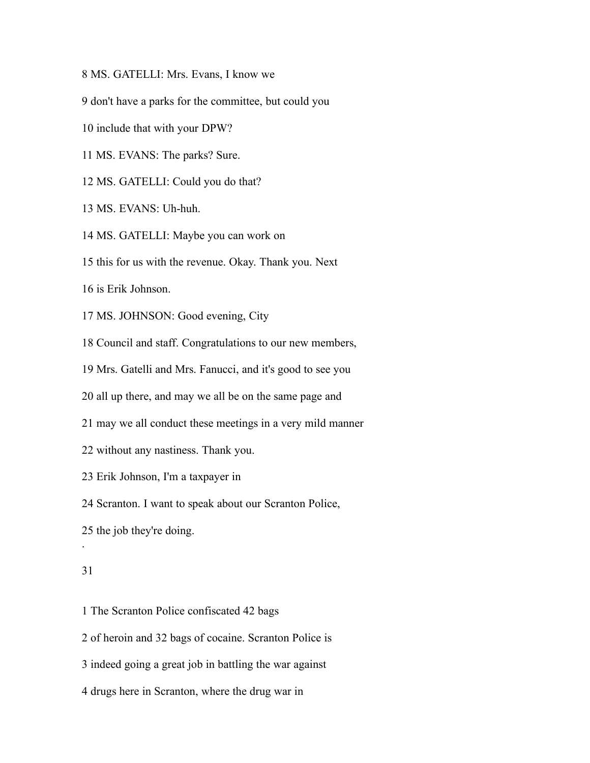MS. GATELLI: Mrs. Evans, I know we

don't have a parks for the committee, but could you

include that with your DPW?

MS. EVANS: The parks? Sure.

MS. GATELLI: Could you do that?

MS. EVANS: Uh-huh.

MS. GATELLI: Maybe you can work on

this for us with the revenue. Okay. Thank you. Next

is Erik Johnson.

MS. JOHNSON: Good evening, City

Council and staff. Congratulations to our new members,

Mrs. Gatelli and Mrs. Fanucci, and it's good to see you

all up there, and may we all be on the same page and

may we all conduct these meetings in a very mild manner

without any nastiness. Thank you.

Erik Johnson, I'm a taxpayer in

Scranton. I want to speak about our Scranton Police,

the job they're doing.

### 

.

The Scranton Police confiscated 42 bags

of heroin and 32 bags of cocaine. Scranton Police is

indeed going a great job in battling the war against

drugs here in Scranton, where the drug war in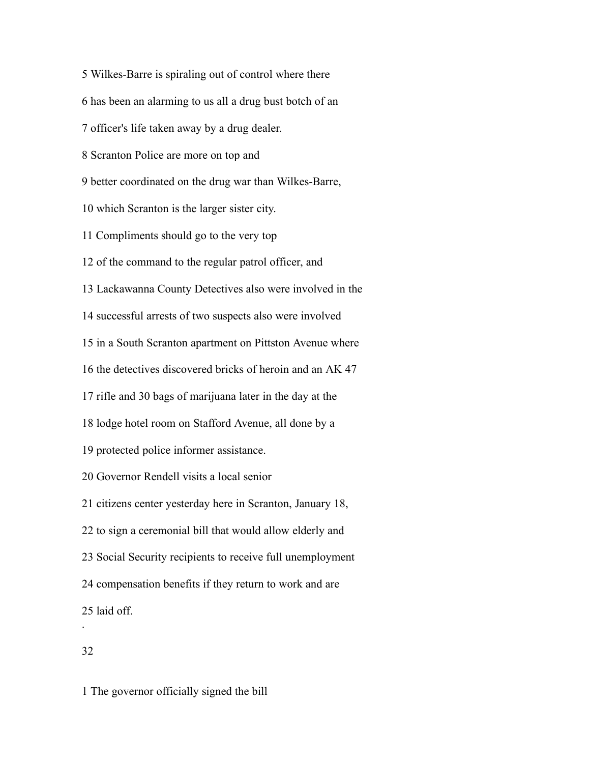Wilkes-Barre is spiraling out of control where there has been an alarming to us all a drug bust botch of an officer's life taken away by a drug dealer. Scranton Police are more on top and better coordinated on the drug war than Wilkes-Barre, which Scranton is the larger sister city. Compliments should go to the very top of the command to the regular patrol officer, and Lackawanna County Detectives also were involved in the successful arrests of two suspects also were involved in a South Scranton apartment on Pittston Avenue where the detectives discovered bricks of heroin and an AK 47 rifle and 30 bags of marijuana later in the day at the lodge hotel room on Stafford Avenue, all done by a protected police informer assistance. Governor Rendell visits a local senior citizens center yesterday here in Scranton, January 18, to sign a ceremonial bill that would allow elderly and Social Security recipients to receive full unemployment compensation benefits if they return to work and are laid off. .

The governor officially signed the bill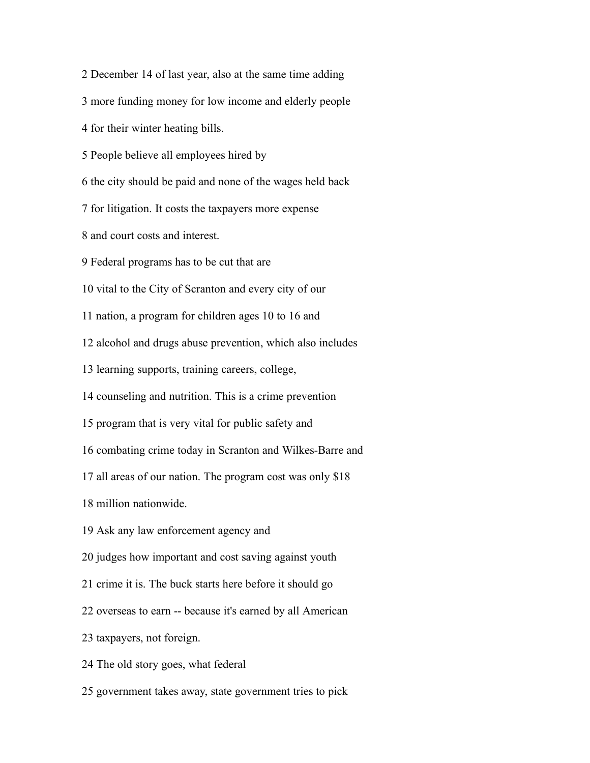December 14 of last year, also at the same time adding more funding money for low income and elderly people for their winter heating bills. People believe all employees hired by the city should be paid and none of the wages held back for litigation. It costs the taxpayers more expense and court costs and interest. Federal programs has to be cut that are vital to the City of Scranton and every city of our nation, a program for children ages 10 to 16 and alcohol and drugs abuse prevention, which also includes learning supports, training careers, college, counseling and nutrition. This is a crime prevention program that is very vital for public safety and combating crime today in Scranton and Wilkes-Barre and all areas of our nation. The program cost was only \$18 million nationwide. Ask any law enforcement agency and judges how important and cost saving against youth crime it is. The buck starts here before it should go overseas to earn -- because it's earned by all American taxpayers, not foreign. The old story goes, what federal government takes away, state government tries to pick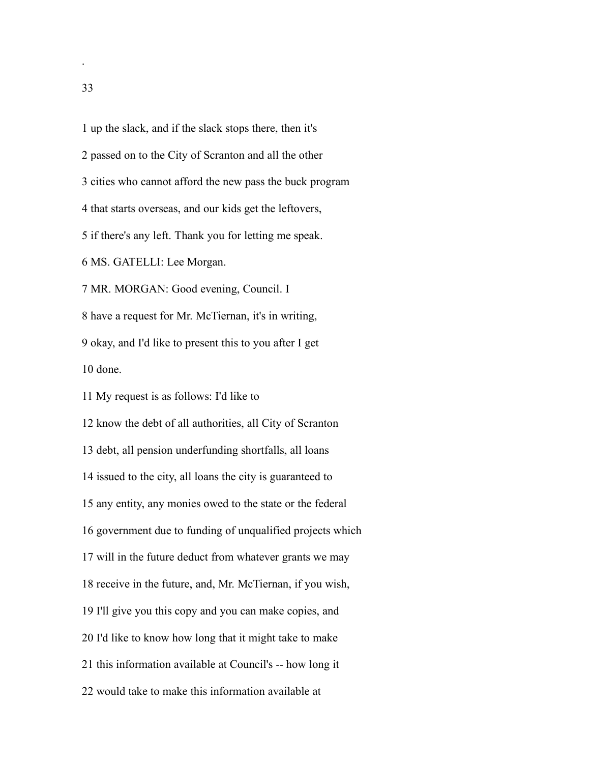up the slack, and if the slack stops there, then it's passed on to the City of Scranton and all the other cities who cannot afford the new pass the buck program that starts overseas, and our kids get the leftovers, if there's any left. Thank you for letting me speak. MS. GATELLI: Lee Morgan. MR. MORGAN: Good evening, Council. I have a request for Mr. McTiernan, it's in writing, okay, and I'd like to present this to you after I get done. My request is as follows: I'd like to know the debt of all authorities, all City of Scranton

 debt, all pension underfunding shortfalls, all loans issued to the city, all loans the city is guaranteed to any entity, any monies owed to the state or the federal government due to funding of unqualified projects which will in the future deduct from whatever grants we may receive in the future, and, Mr. McTiernan, if you wish, I'll give you this copy and you can make copies, and I'd like to know how long that it might take to make this information available at Council's -- how long it would take to make this information available at

.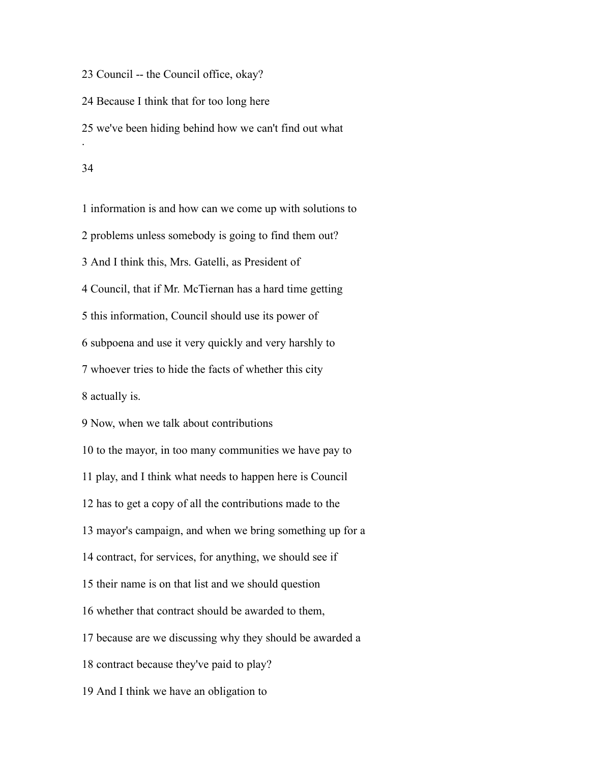Council -- the Council office, okay?

Because I think that for too long here

we've been hiding behind how we can't find out what

.

 information is and how can we come up with solutions to problems unless somebody is going to find them out? And I think this, Mrs. Gatelli, as President of Council, that if Mr. McTiernan has a hard time getting this information, Council should use its power of subpoena and use it very quickly and very harshly to whoever tries to hide the facts of whether this city actually is. Now, when we talk about contributions to the mayor, in too many communities we have pay to play, and I think what needs to happen here is Council

has to get a copy of all the contributions made to the

mayor's campaign, and when we bring something up for a

contract, for services, for anything, we should see if

their name is on that list and we should question

whether that contract should be awarded to them,

because are we discussing why they should be awarded a

contract because they've paid to play?

And I think we have an obligation to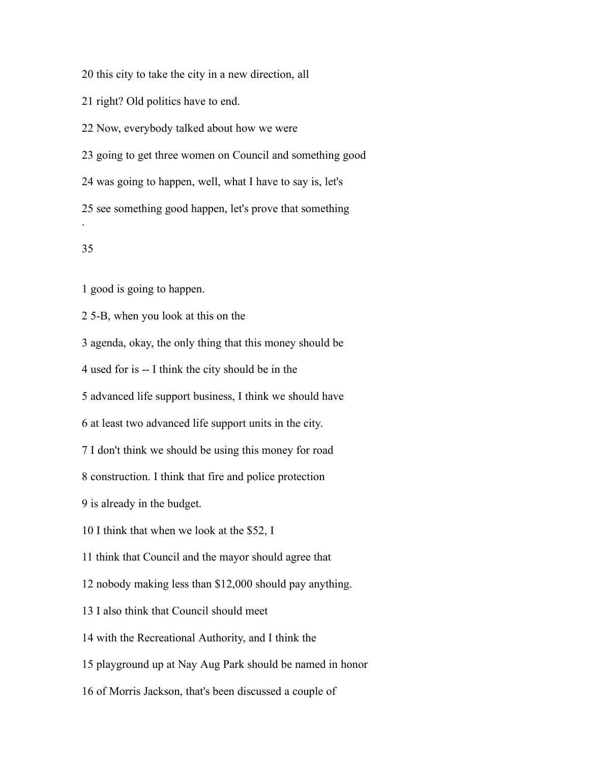this city to take the city in a new direction, all

right? Old politics have to end.

Now, everybody talked about how we were

going to get three women on Council and something good

was going to happen, well, what I have to say is, let's

see something good happen, let's prove that something

## 

.

good is going to happen.

5-B, when you look at this on the

agenda, okay, the only thing that this money should be

used for is -- I think the city should be in the

advanced life support business, I think we should have

at least two advanced life support units in the city.

I don't think we should be using this money for road

construction. I think that fire and police protection

is already in the budget.

I think that when we look at the \$52, I

think that Council and the mayor should agree that

nobody making less than \$12,000 should pay anything.

I also think that Council should meet

with the Recreational Authority, and I think the

playground up at Nay Aug Park should be named in honor

of Morris Jackson, that's been discussed a couple of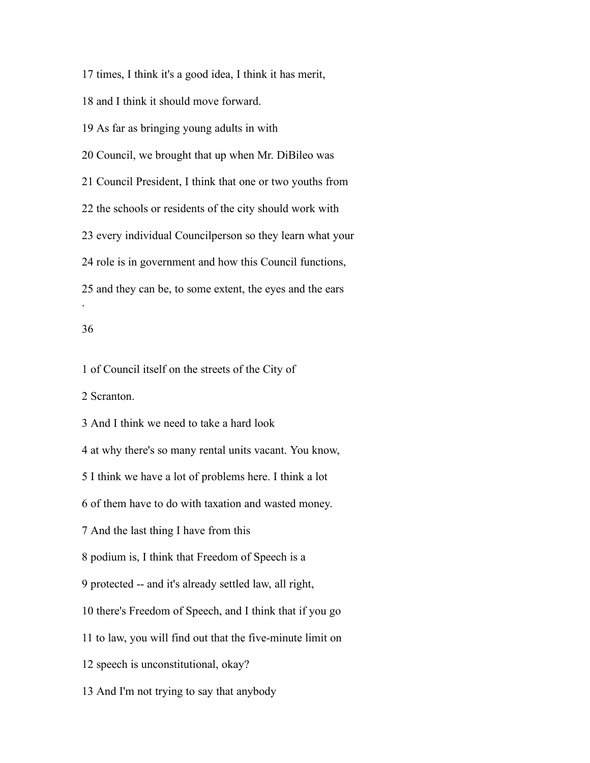times, I think it's a good idea, I think it has merit, and I think it should move forward. As far as bringing young adults in with Council, we brought that up when Mr. DiBileo was Council President, I think that one or two youths from the schools or residents of the city should work with every individual Councilperson so they learn what your role is in government and how this Council functions, and they can be, to some extent, the eyes and the ears .

## 

of Council itself on the streets of the City of

Scranton.

And I think we need to take a hard look

at why there's so many rental units vacant. You know,

I think we have a lot of problems here. I think a lot

of them have to do with taxation and wasted money.

And the last thing I have from this

podium is, I think that Freedom of Speech is a

protected -- and it's already settled law, all right,

there's Freedom of Speech, and I think that if you go

to law, you will find out that the five-minute limit on

speech is unconstitutional, okay?

And I'm not trying to say that anybody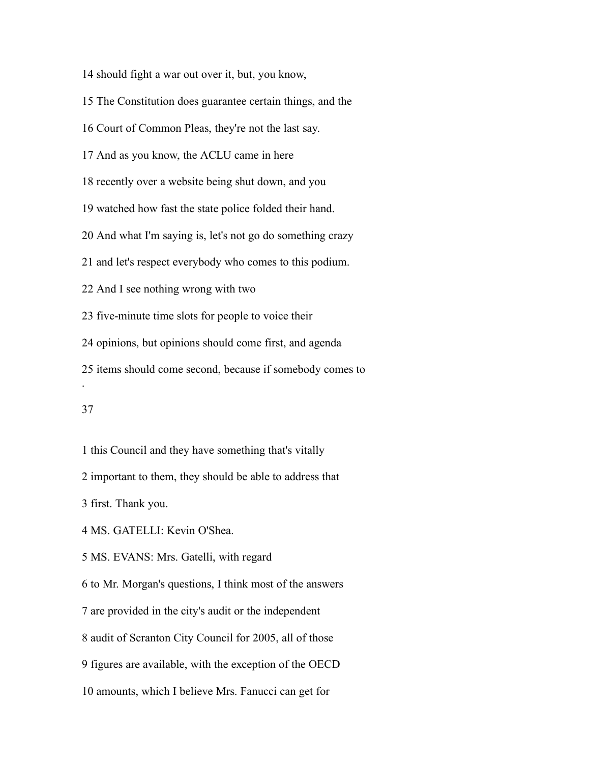should fight a war out over it, but, you know,

The Constitution does guarantee certain things, and the

Court of Common Pleas, they're not the last say.

And as you know, the ACLU came in here

recently over a website being shut down, and you

watched how fast the state police folded their hand.

And what I'm saying is, let's not go do something crazy

and let's respect everybody who comes to this podium.

And I see nothing wrong with two

five-minute time slots for people to voice their

opinions, but opinions should come first, and agenda

items should come second, because if somebody comes to

.

this Council and they have something that's vitally

important to them, they should be able to address that

first. Thank you.

MS. GATELLI: Kevin O'Shea.

MS. EVANS: Mrs. Gatelli, with regard

to Mr. Morgan's questions, I think most of the answers

are provided in the city's audit or the independent

audit of Scranton City Council for 2005, all of those

figures are available, with the exception of the OECD

amounts, which I believe Mrs. Fanucci can get for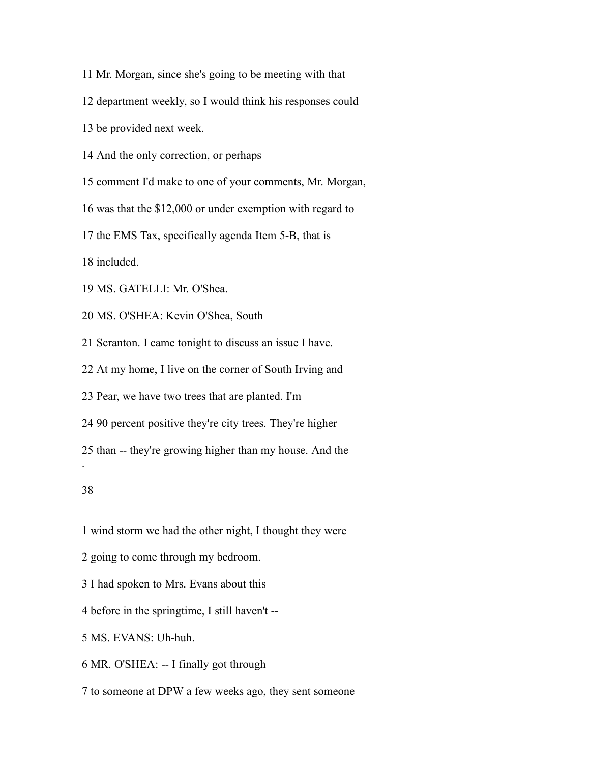- Mr. Morgan, since she's going to be meeting with that
- department weekly, so I would think his responses could
- be provided next week.
- And the only correction, or perhaps
- comment I'd make to one of your comments, Mr. Morgan,
- was that the \$12,000 or under exemption with regard to
- the EMS Tax, specifically agenda Item 5-B, that is

included.

- MS. GATELLI: Mr. O'Shea.
- MS. O'SHEA: Kevin O'Shea, South
- Scranton. I came tonight to discuss an issue I have.
- At my home, I live on the corner of South Irving and
- Pear, we have two trees that are planted. I'm
- 90 percent positive they're city trees. They're higher
- than -- they're growing higher than my house. And the

.

- wind storm we had the other night, I thought they were
- going to come through my bedroom.
- I had spoken to Mrs. Evans about this
- before in the springtime, I still haven't --
- MS. EVANS: Uh-huh.
- MR. O'SHEA: -- I finally got through
- to someone at DPW a few weeks ago, they sent someone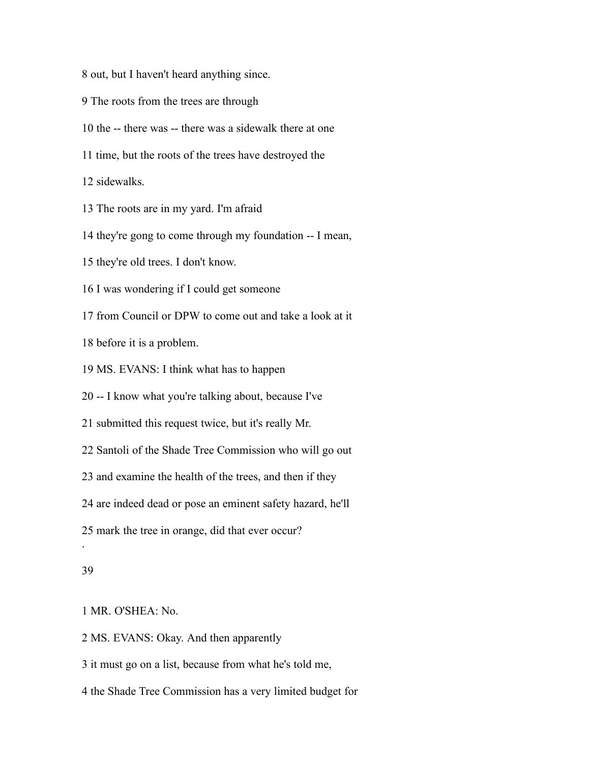out, but I haven't heard anything since.

- The roots from the trees are through
- the -- there was -- there was a sidewalk there at one
- time, but the roots of the trees have destroyed the

sidewalks.

The roots are in my yard. I'm afraid

they're gong to come through my foundation -- I mean,

they're old trees. I don't know.

I was wondering if I could get someone

from Council or DPW to come out and take a look at it

before it is a problem.

MS. EVANS: I think what has to happen

-- I know what you're talking about, because I've

submitted this request twice, but it's really Mr.

Santoli of the Shade Tree Commission who will go out

and examine the health of the trees, and then if they

are indeed dead or pose an eminent safety hazard, he'll

mark the tree in orange, did that ever occur?

#### 

.

MR. O'SHEA: No.

MS. EVANS: Okay. And then apparently

it must go on a list, because from what he's told me,

the Shade Tree Commission has a very limited budget for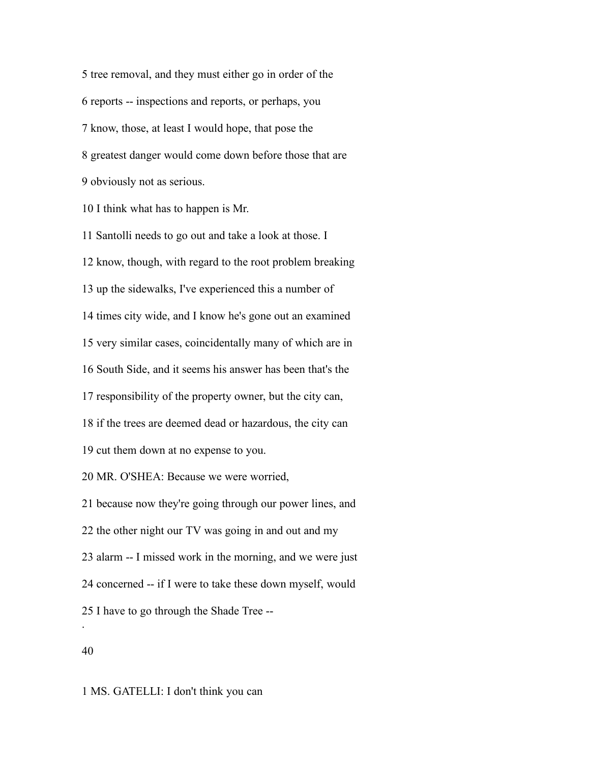tree removal, and they must either go in order of the reports -- inspections and reports, or perhaps, you know, those, at least I would hope, that pose the greatest danger would come down before those that are obviously not as serious.

I think what has to happen is Mr.

 Santolli needs to go out and take a look at those. I know, though, with regard to the root problem breaking up the sidewalks, I've experienced this a number of times city wide, and I know he's gone out an examined very similar cases, coincidentally many of which are in South Side, and it seems his answer has been that's the responsibility of the property owner, but the city can, if the trees are deemed dead or hazardous, the city can cut them down at no expense to you. MR. O'SHEA: Because we were worried, because now they're going through our power lines, and the other night our TV was going in and out and my alarm -- I missed work in the morning, and we were just concerned -- if I were to take these down myself, would I have to go through the Shade Tree -- .

MS. GATELLI: I don't think you can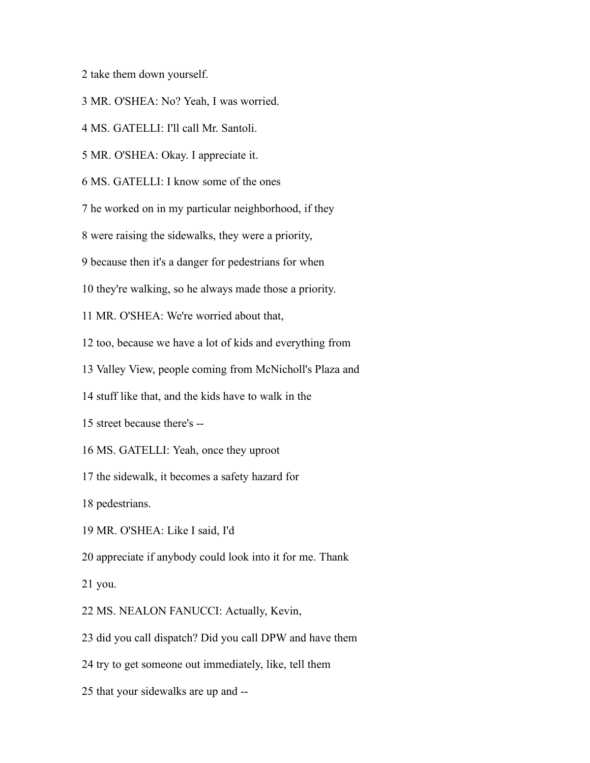take them down yourself.

MR. O'SHEA: No? Yeah, I was worried.

MS. GATELLI: I'll call Mr. Santoli.

MR. O'SHEA: Okay. I appreciate it.

MS. GATELLI: I know some of the ones

he worked on in my particular neighborhood, if they

were raising the sidewalks, they were a priority,

because then it's a danger for pedestrians for when

they're walking, so he always made those a priority.

MR. O'SHEA: We're worried about that,

too, because we have a lot of kids and everything from

Valley View, people coming from McNicholl's Plaza and

stuff like that, and the kids have to walk in the

street because there's --

MS. GATELLI: Yeah, once they uproot

the sidewalk, it becomes a safety hazard for

pedestrians.

MR. O'SHEA: Like I said, I'd

appreciate if anybody could look into it for me. Thank

you.

MS. NEALON FANUCCI: Actually, Kevin,

did you call dispatch? Did you call DPW and have them

try to get someone out immediately, like, tell them

that your sidewalks are up and --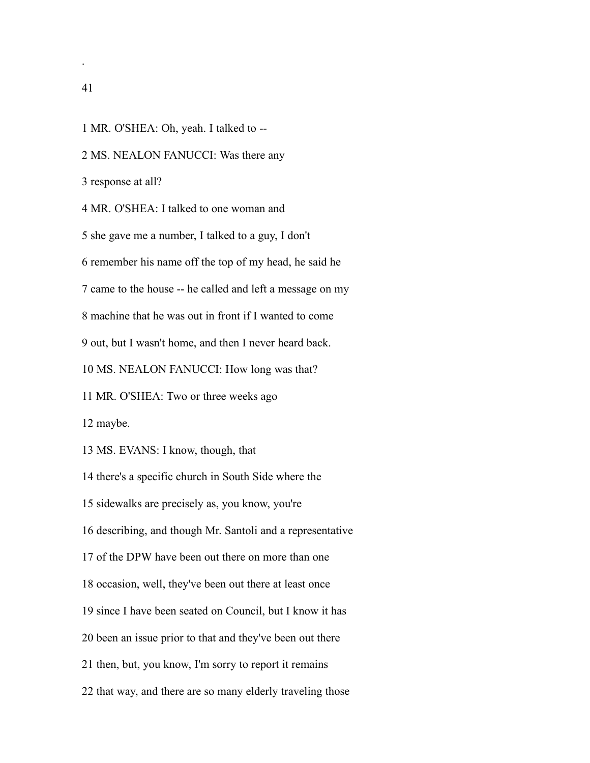MR. O'SHEA: Oh, yeah. I talked to --

MS. NEALON FANUCCI: Was there any

response at all?

MR. O'SHEA: I talked to one woman and

she gave me a number, I talked to a guy, I don't

remember his name off the top of my head, he said he

came to the house -- he called and left a message on my

machine that he was out in front if I wanted to come

out, but I wasn't home, and then I never heard back.

MS. NEALON FANUCCI: How long was that?

MR. O'SHEA: Two or three weeks ago

maybe.

MS. EVANS: I know, though, that

there's a specific church in South Side where the

sidewalks are precisely as, you know, you're

describing, and though Mr. Santoli and a representative

of the DPW have been out there on more than one

occasion, well, they've been out there at least once

since I have been seated on Council, but I know it has

been an issue prior to that and they've been out there

then, but, you know, I'm sorry to report it remains

that way, and there are so many elderly traveling those

.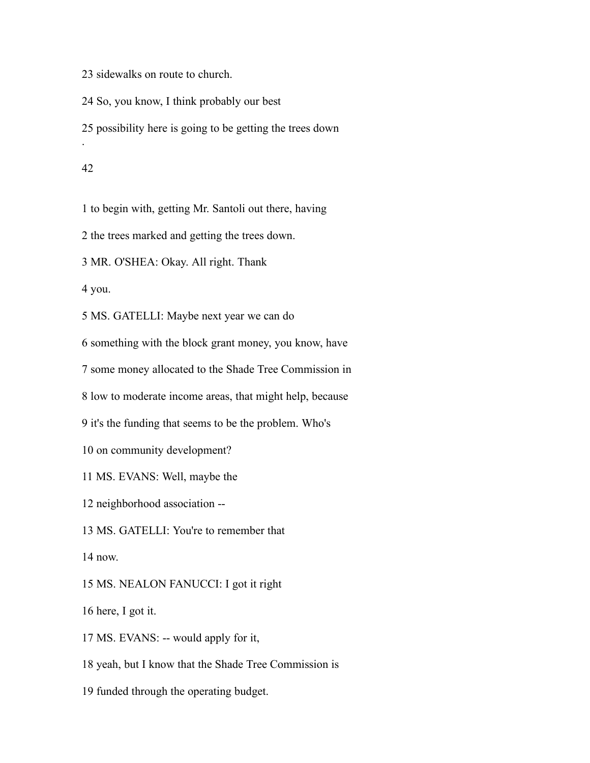sidewalks on route to church.

So, you know, I think probably our best

possibility here is going to be getting the trees down

.

to begin with, getting Mr. Santoli out there, having

the trees marked and getting the trees down.

MR. O'SHEA: Okay. All right. Thank

you.

MS. GATELLI: Maybe next year we can do

something with the block grant money, you know, have

some money allocated to the Shade Tree Commission in

low to moderate income areas, that might help, because

it's the funding that seems to be the problem. Who's

on community development?

MS. EVANS: Well, maybe the

neighborhood association --

MS. GATELLI: You're to remember that

now.

MS. NEALON FANUCCI: I got it right

here, I got it.

MS. EVANS: -- would apply for it,

yeah, but I know that the Shade Tree Commission is

funded through the operating budget.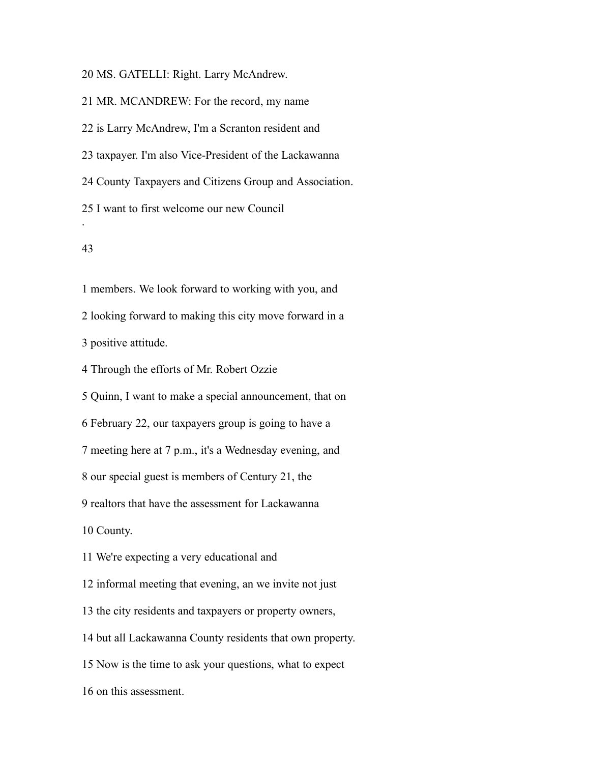MS. GATELLI: Right. Larry McAndrew.

MR. MCANDREW: For the record, my name

is Larry McAndrew, I'm a Scranton resident and

taxpayer. I'm also Vice-President of the Lackawanna

County Taxpayers and Citizens Group and Association.

I want to first welcome our new Council

## 

.

 members. We look forward to working with you, and looking forward to making this city move forward in a

positive attitude.

Through the efforts of Mr. Robert Ozzie

Quinn, I want to make a special announcement, that on

February 22, our taxpayers group is going to have a

meeting here at 7 p.m., it's a Wednesday evening, and

our special guest is members of Century 21, the

realtors that have the assessment for Lackawanna

County.

We're expecting a very educational and

informal meeting that evening, an we invite not just

the city residents and taxpayers or property owners,

but all Lackawanna County residents that own property.

Now is the time to ask your questions, what to expect

on this assessment.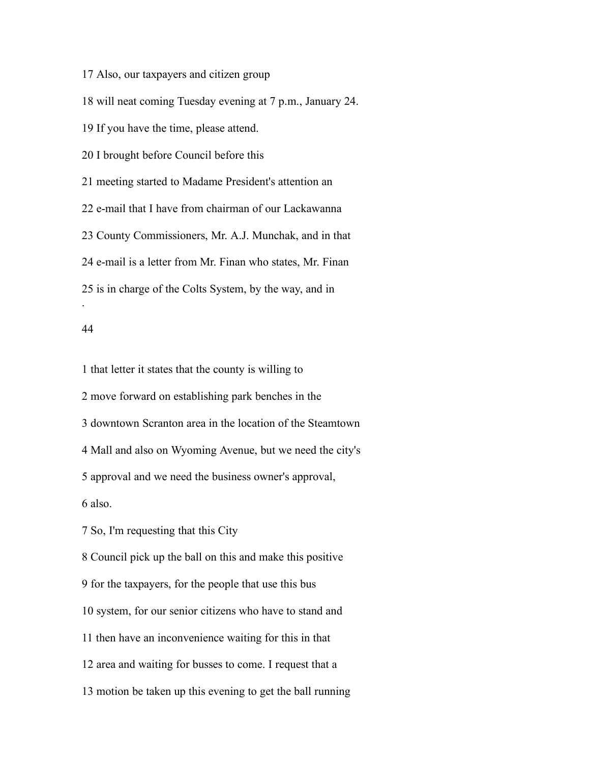Also, our taxpayers and citizen group

will neat coming Tuesday evening at 7 p.m., January 24.

If you have the time, please attend.

I brought before Council before this

meeting started to Madame President's attention an

e-mail that I have from chairman of our Lackawanna

County Commissioners, Mr. A.J. Munchak, and in that

e-mail is a letter from Mr. Finan who states, Mr. Finan

is in charge of the Colts System, by the way, and in

#### 

.

 that letter it states that the county is willing to move forward on establishing park benches in the downtown Scranton area in the location of the Steamtown Mall and also on Wyoming Avenue, but we need the city's approval and we need the business owner's approval, also.

So, I'm requesting that this City

 Council pick up the ball on this and make this positive for the taxpayers, for the people that use this bus system, for our senior citizens who have to stand and then have an inconvenience waiting for this in that area and waiting for busses to come. I request that a motion be taken up this evening to get the ball running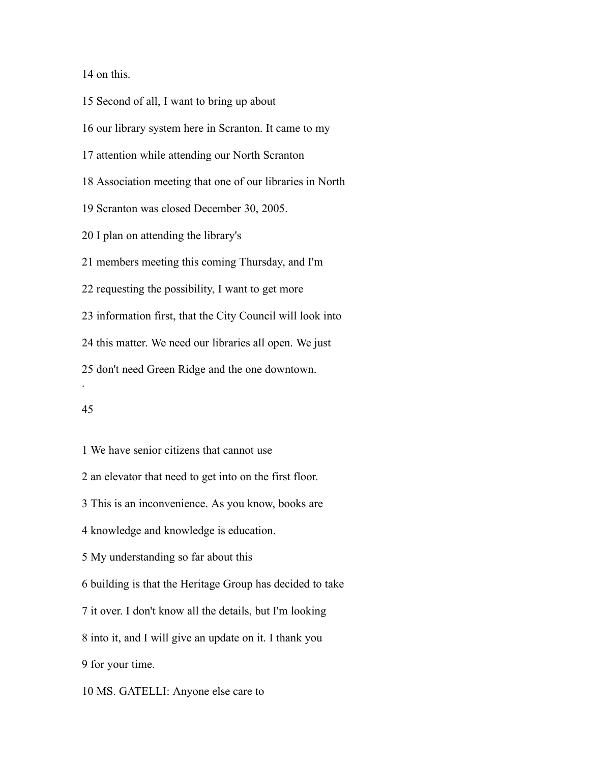on this.

 Second of all, I want to bring up about our library system here in Scranton. It came to my attention while attending our North Scranton Association meeting that one of our libraries in North Scranton was closed December 30, 2005. I plan on attending the library's members meeting this coming Thursday, and I'm requesting the possibility, I want to get more information first, that the City Council will look into this matter. We need our libraries all open. We just don't need Green Ridge and the one downtown. .

 We have senior citizens that cannot use an elevator that need to get into on the first floor. This is an inconvenience. As you know, books are knowledge and knowledge is education. My understanding so far about this building is that the Heritage Group has decided to take it over. I don't know all the details, but I'm looking into it, and I will give an update on it. I thank you for your time.

MS. GATELLI: Anyone else care to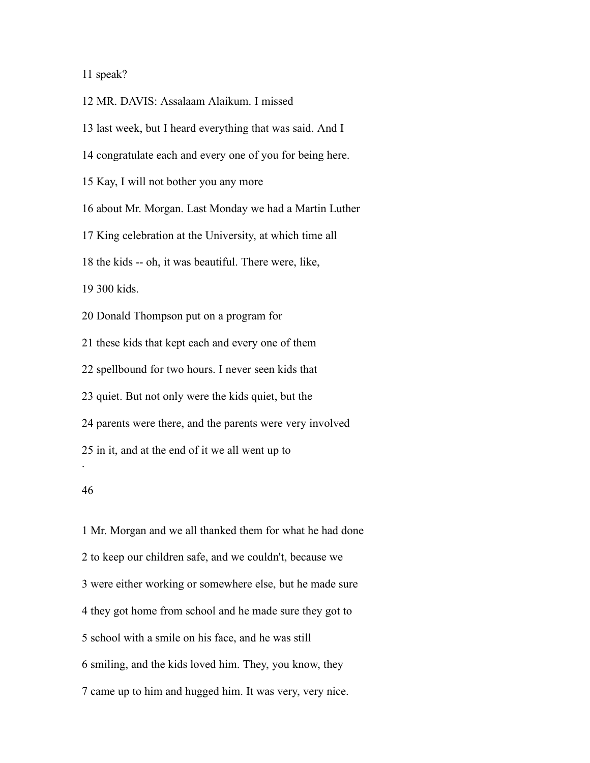## speak?

MR. DAVIS: Assalaam Alaikum. I missed

last week, but I heard everything that was said. And I

congratulate each and every one of you for being here.

Kay, I will not bother you any more

about Mr. Morgan. Last Monday we had a Martin Luther

King celebration at the University, at which time all

the kids -- oh, it was beautiful. There were, like,

300 kids.

Donald Thompson put on a program for

these kids that kept each and every one of them

spellbound for two hours. I never seen kids that

quiet. But not only were the kids quiet, but the

parents were there, and the parents were very involved

in it, and at the end of it we all went up to

.

 Mr. Morgan and we all thanked them for what he had done to keep our children safe, and we couldn't, because we were either working or somewhere else, but he made sure they got home from school and he made sure they got to school with a smile on his face, and he was still smiling, and the kids loved him. They, you know, they came up to him and hugged him. It was very, very nice.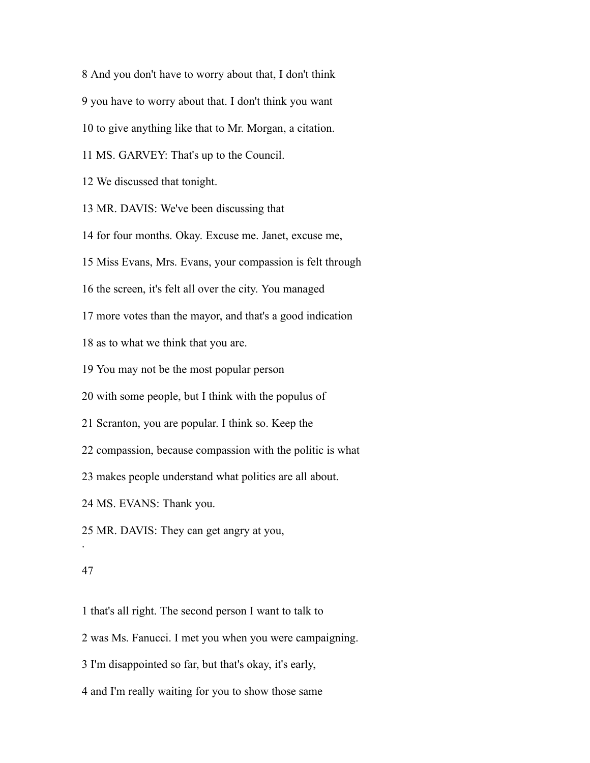And you don't have to worry about that, I don't think

you have to worry about that. I don't think you want

to give anything like that to Mr. Morgan, a citation.

MS. GARVEY: That's up to the Council.

We discussed that tonight.

MR. DAVIS: We've been discussing that

for four months. Okay. Excuse me. Janet, excuse me,

Miss Evans, Mrs. Evans, your compassion is felt through

the screen, it's felt all over the city. You managed

more votes than the mayor, and that's a good indication

as to what we think that you are.

You may not be the most popular person

with some people, but I think with the populus of

Scranton, you are popular. I think so. Keep the

compassion, because compassion with the politic is what

makes people understand what politics are all about.

MS. EVANS: Thank you.

MR. DAVIS: They can get angry at you,

#### 

.

that's all right. The second person I want to talk to

was Ms. Fanucci. I met you when you were campaigning.

I'm disappointed so far, but that's okay, it's early,

and I'm really waiting for you to show those same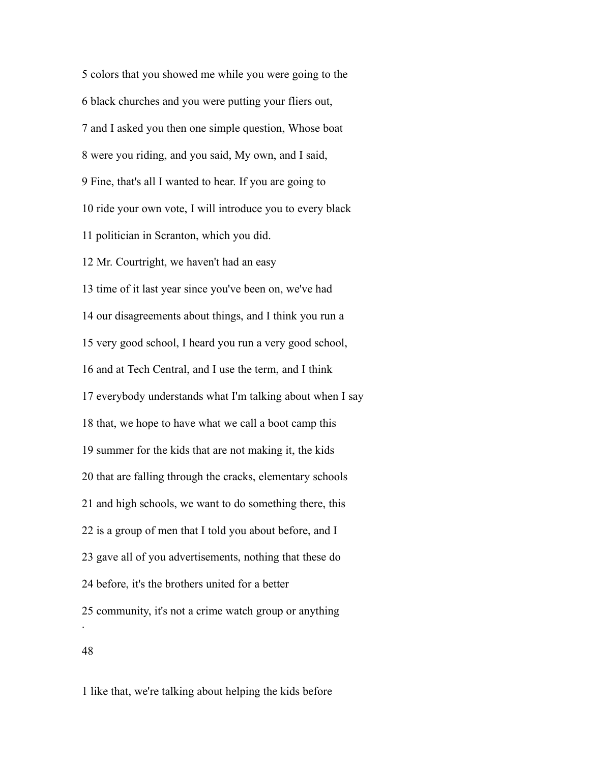colors that you showed me while you were going to the black churches and you were putting your fliers out, and I asked you then one simple question, Whose boat were you riding, and you said, My own, and I said, Fine, that's all I wanted to hear. If you are going to ride your own vote, I will introduce you to every black politician in Scranton, which you did. Mr. Courtright, we haven't had an easy time of it last year since you've been on, we've had our disagreements about things, and I think you run a very good school, I heard you run a very good school, and at Tech Central, and I use the term, and I think everybody understands what I'm talking about when I say that, we hope to have what we call a boot camp this summer for the kids that are not making it, the kids that are falling through the cracks, elementary schools and high schools, we want to do something there, this is a group of men that I told you about before, and I gave all of you advertisements, nothing that these do before, it's the brothers united for a better community, it's not a crime watch group or anything . 

like that, we're talking about helping the kids before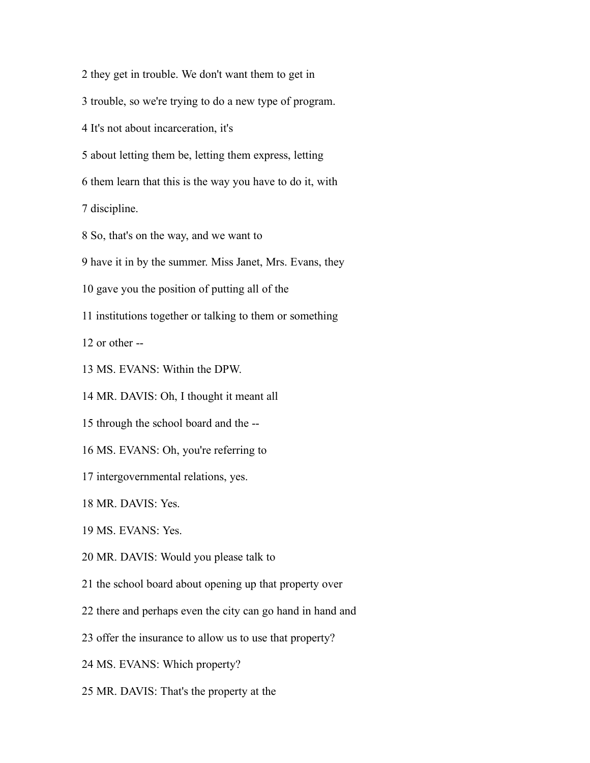they get in trouble. We don't want them to get in

trouble, so we're trying to do a new type of program.

It's not about incarceration, it's

about letting them be, letting them express, letting

them learn that this is the way you have to do it, with

discipline.

So, that's on the way, and we want to

have it in by the summer. Miss Janet, Mrs. Evans, they

gave you the position of putting all of the

institutions together or talking to them or something

or other --

MS. EVANS: Within the DPW.

MR. DAVIS: Oh, I thought it meant all

through the school board and the --

MS. EVANS: Oh, you're referring to

intergovernmental relations, yes.

MR. DAVIS: Yes.

MS. EVANS: Yes.

MR. DAVIS: Would you please talk to

the school board about opening up that property over

there and perhaps even the city can go hand in hand and

offer the insurance to allow us to use that property?

MS. EVANS: Which property?

MR. DAVIS: That's the property at the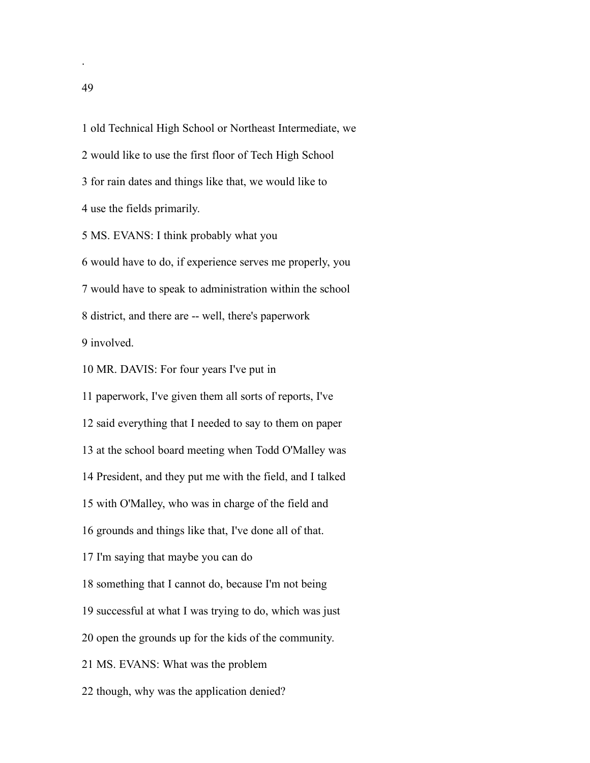old Technical High School or Northeast Intermediate, we

would like to use the first floor of Tech High School

for rain dates and things like that, we would like to

use the fields primarily.

MS. EVANS: I think probably what you

 would have to do, if experience serves me properly, you would have to speak to administration within the school district, and there are -- well, there's paperwork involved.

MR. DAVIS: For four years I've put in

paperwork, I've given them all sorts of reports, I've

said everything that I needed to say to them on paper

at the school board meeting when Todd O'Malley was

President, and they put me with the field, and I talked

with O'Malley, who was in charge of the field and

grounds and things like that, I've done all of that.

I'm saying that maybe you can do

something that I cannot do, because I'm not being

successful at what I was trying to do, which was just

open the grounds up for the kids of the community.

MS. EVANS: What was the problem

though, why was the application denied?

.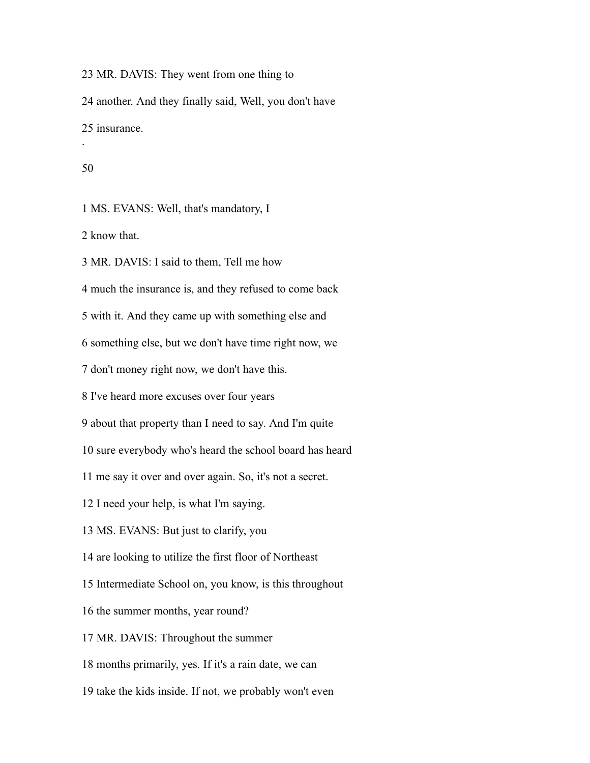MR. DAVIS: They went from one thing to another. And they finally said, Well, you don't have insurance. .

### 

MS. EVANS: Well, that's mandatory, I

know that.

MR. DAVIS: I said to them, Tell me how

much the insurance is, and they refused to come back

with it. And they came up with something else and

something else, but we don't have time right now, we

don't money right now, we don't have this.

I've heard more excuses over four years

about that property than I need to say. And I'm quite

sure everybody who's heard the school board has heard

me say it over and over again. So, it's not a secret.

I need your help, is what I'm saying.

MS. EVANS: But just to clarify, you

are looking to utilize the first floor of Northeast

Intermediate School on, you know, is this throughout

the summer months, year round?

MR. DAVIS: Throughout the summer

months primarily, yes. If it's a rain date, we can

take the kids inside. If not, we probably won't even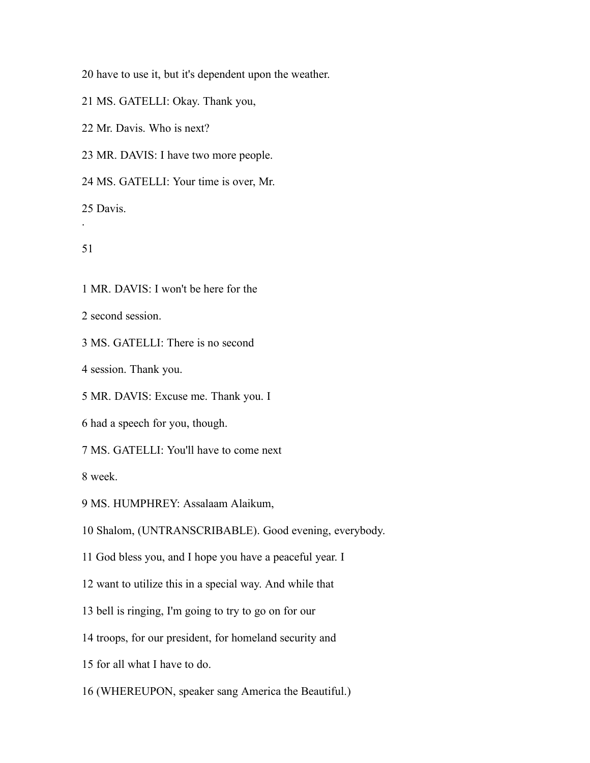have to use it, but it's dependent upon the weather.

MS. GATELLI: Okay. Thank you,

Mr. Davis. Who is next?

MR. DAVIS: I have two more people.

MS. GATELLI: Your time is over, Mr.

Davis.

```
51
```
.

MR. DAVIS: I won't be here for the

second session.

MS. GATELLI: There is no second

session. Thank you.

MR. DAVIS: Excuse me. Thank you. I

had a speech for you, though.

MS. GATELLI: You'll have to come next

week.

MS. HUMPHREY: Assalaam Alaikum,

Shalom, (UNTRANSCRIBABLE). Good evening, everybody.

God bless you, and I hope you have a peaceful year. I

want to utilize this in a special way. And while that

bell is ringing, I'm going to try to go on for our

troops, for our president, for homeland security and

for all what I have to do.

(WHEREUPON, speaker sang America the Beautiful.)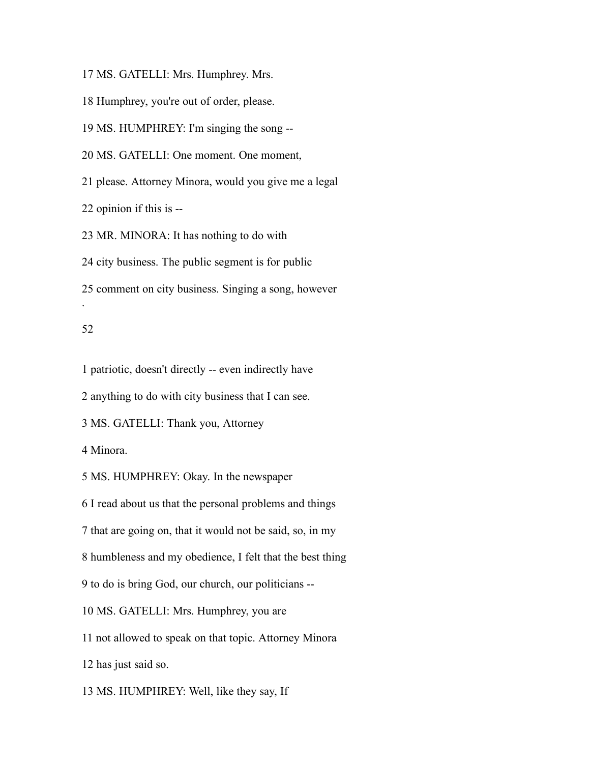MS. GATELLI: Mrs. Humphrey. Mrs.

Humphrey, you're out of order, please.

MS. HUMPHREY: I'm singing the song --

MS. GATELLI: One moment. One moment,

please. Attorney Minora, would you give me a legal

opinion if this is --

MR. MINORA: It has nothing to do with

city business. The public segment is for public

comment on city business. Singing a song, however

### 

.

patriotic, doesn't directly -- even indirectly have

anything to do with city business that I can see.

MS. GATELLI: Thank you, Attorney

Minora.

MS. HUMPHREY: Okay. In the newspaper

I read about us that the personal problems and things

that are going on, that it would not be said, so, in my

humbleness and my obedience, I felt that the best thing

to do is bring God, our church, our politicians --

MS. GATELLI: Mrs. Humphrey, you are

not allowed to speak on that topic. Attorney Minora

has just said so.

MS. HUMPHREY: Well, like they say, If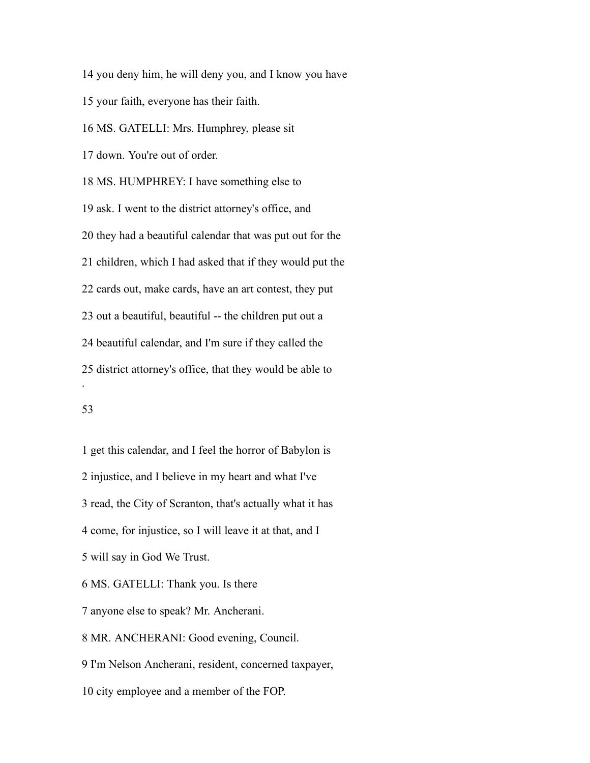you deny him, he will deny you, and I know you have

your faith, everyone has their faith.

MS. GATELLI: Mrs. Humphrey, please sit

down. You're out of order.

 MS. HUMPHREY: I have something else to ask. I went to the district attorney's office, and they had a beautiful calendar that was put out for the children, which I had asked that if they would put the cards out, make cards, have an art contest, they put out a beautiful, beautiful -- the children put out a beautiful calendar, and I'm sure if they called the district attorney's office, that they would be able to .

# 

 get this calendar, and I feel the horror of Babylon is injustice, and I believe in my heart and what I've read, the City of Scranton, that's actually what it has come, for injustice, so I will leave it at that, and I will say in God We Trust. MS. GATELLI: Thank you. Is there anyone else to speak? Mr. Ancherani. MR. ANCHERANI: Good evening, Council. I'm Nelson Ancherani, resident, concerned taxpayer,

city employee and a member of the FOP.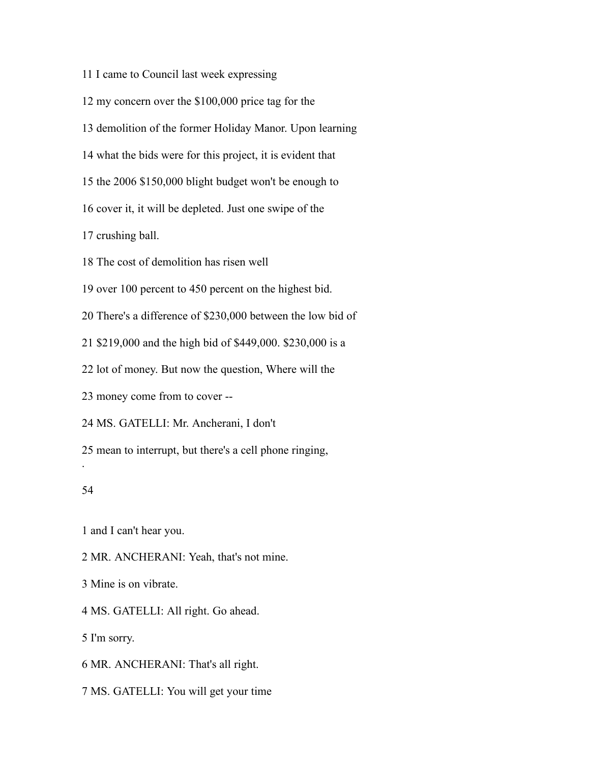I came to Council last week expressing

my concern over the \$100,000 price tag for the

demolition of the former Holiday Manor. Upon learning

what the bids were for this project, it is evident that

the 2006 \$150,000 blight budget won't be enough to

cover it, it will be depleted. Just one swipe of the

crushing ball.

The cost of demolition has risen well

over 100 percent to 450 percent on the highest bid.

There's a difference of \$230,000 between the low bid of

\$219,000 and the high bid of \$449,000. \$230,000 is a

lot of money. But now the question, Where will the

money come from to cover --

MS. GATELLI: Mr. Ancherani, I don't

mean to interrupt, but there's a cell phone ringing,

#### 

.

and I can't hear you.

MR. ANCHERANI: Yeah, that's not mine.

Mine is on vibrate.

MS. GATELLI: All right. Go ahead.

I'm sorry.

MR. ANCHERANI: That's all right.

MS. GATELLI: You will get your time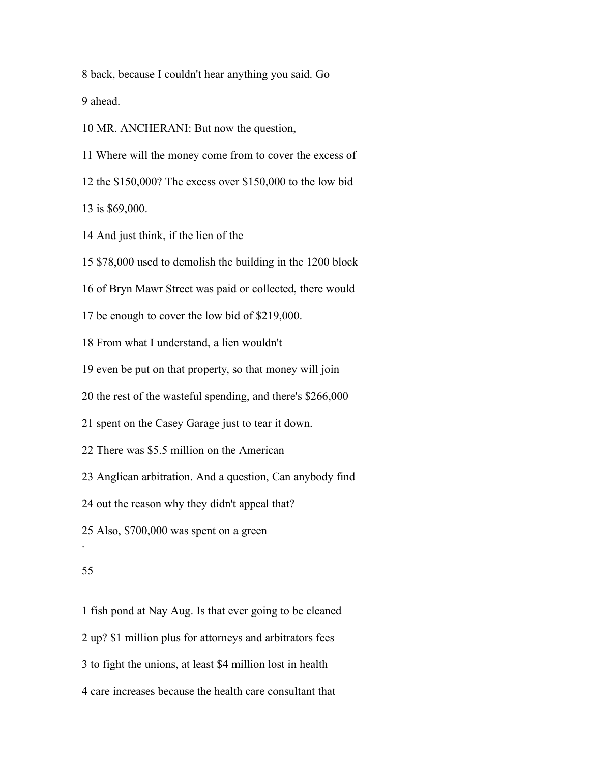back, because I couldn't hear anything you said. Go ahead.

MR. ANCHERANI: But now the question,

Where will the money come from to cover the excess of

the \$150,000? The excess over \$150,000 to the low bid

is \$69,000.

And just think, if the lien of the

\$78,000 used to demolish the building in the 1200 block

of Bryn Mawr Street was paid or collected, there would

be enough to cover the low bid of \$219,000.

From what I understand, a lien wouldn't

even be put on that property, so that money will join

the rest of the wasteful spending, and there's \$266,000

spent on the Casey Garage just to tear it down.

There was \$5.5 million on the American

Anglican arbitration. And a question, Can anybody find

out the reason why they didn't appeal that?

Also, \$700,000 was spent on a green

#### 

.

 fish pond at Nay Aug. Is that ever going to be cleaned up? \$1 million plus for attorneys and arbitrators fees to fight the unions, at least \$4 million lost in health care increases because the health care consultant that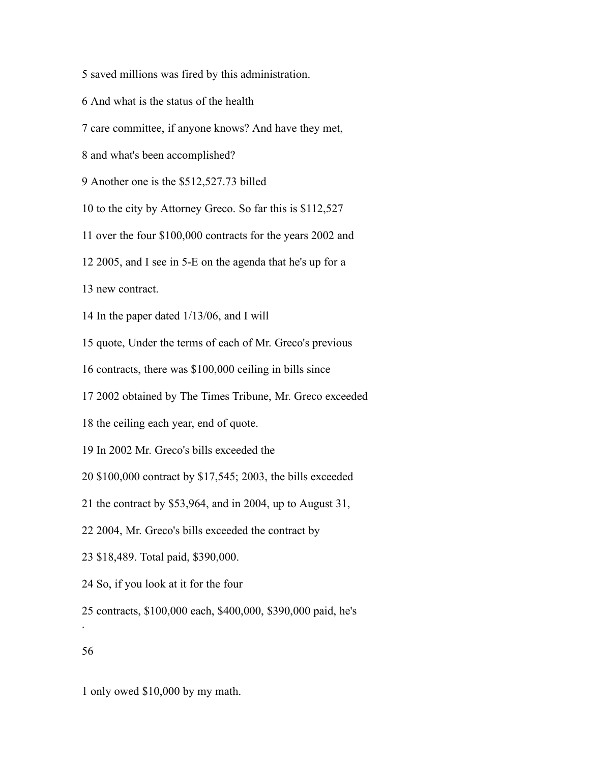- saved millions was fired by this administration.
- And what is the status of the health
- care committee, if anyone knows? And have they met,
- and what's been accomplished?
- Another one is the \$512,527.73 billed
- to the city by Attorney Greco. So far this is \$112,527
- over the four \$100,000 contracts for the years 2002 and
- 2005, and I see in 5-E on the agenda that he's up for a
- new contract.
- In the paper dated 1/13/06, and I will
- quote, Under the terms of each of Mr. Greco's previous
- contracts, there was \$100,000 ceiling in bills since
- 2002 obtained by The Times Tribune, Mr. Greco exceeded
- the ceiling each year, end of quote.
- In 2002 Mr. Greco's bills exceeded the
- \$100,000 contract by \$17,545; 2003, the bills exceeded
- the contract by \$53,964, and in 2004, up to August 31,
- 2004, Mr. Greco's bills exceeded the contract by
- \$18,489. Total paid, \$390,000.
- So, if you look at it for the four
- contracts, \$100,000 each, \$400,000, \$390,000 paid, he's
- 

.

only owed \$10,000 by my math.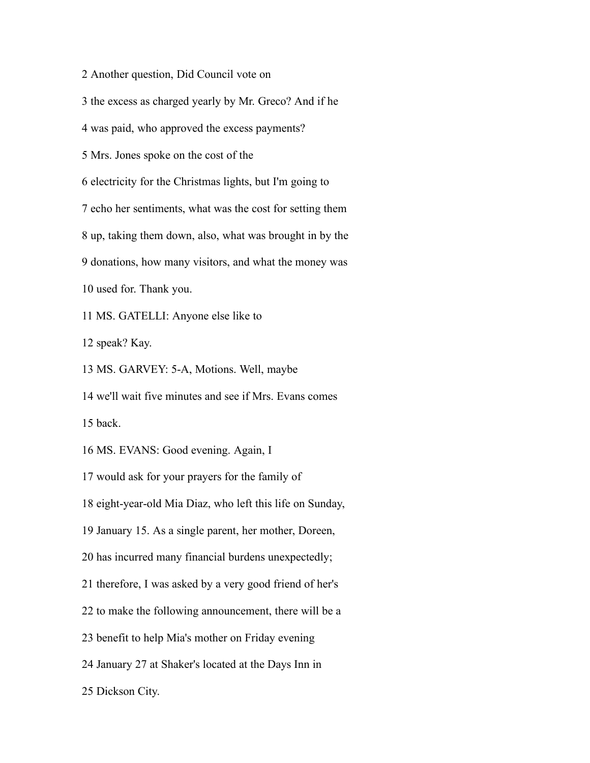Another question, Did Council vote on

the excess as charged yearly by Mr. Greco? And if he

was paid, who approved the excess payments?

Mrs. Jones spoke on the cost of the

electricity for the Christmas lights, but I'm going to

echo her sentiments, what was the cost for setting them

up, taking them down, also, what was brought in by the

donations, how many visitors, and what the money was

used for. Thank you.

MS. GATELLI: Anyone else like to

speak? Kay.

MS. GARVEY: 5-A, Motions. Well, maybe

 we'll wait five minutes and see if Mrs. Evans comes back.

MS. EVANS: Good evening. Again, I

would ask for your prayers for the family of

eight-year-old Mia Diaz, who left this life on Sunday,

January 15. As a single parent, her mother, Doreen,

has incurred many financial burdens unexpectedly;

therefore, I was asked by a very good friend of her's

to make the following announcement, there will be a

benefit to help Mia's mother on Friday evening

January 27 at Shaker's located at the Days Inn in

Dickson City.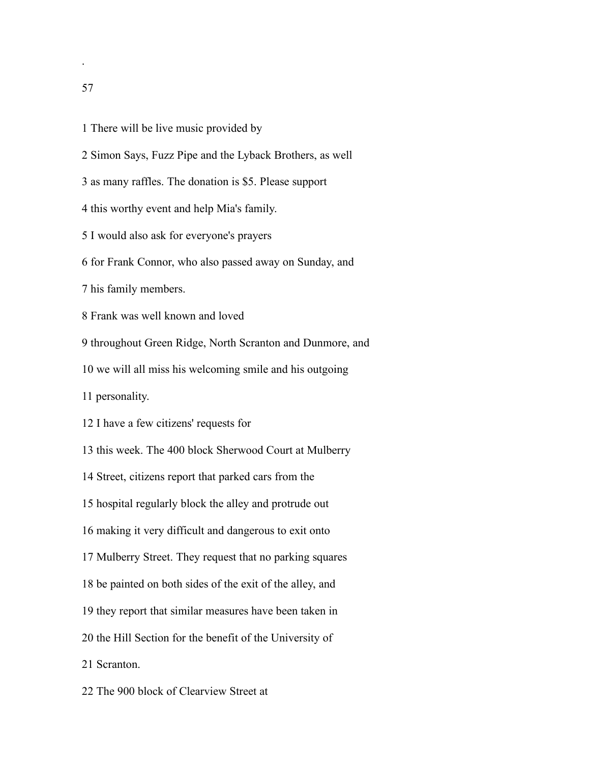- There will be live music provided by
- Simon Says, Fuzz Pipe and the Lyback Brothers, as well
- as many raffles. The donation is \$5. Please support
- this worthy event and help Mia's family.
- I would also ask for everyone's prayers
- for Frank Connor, who also passed away on Sunday, and
- his family members.
- Frank was well known and loved
- throughout Green Ridge, North Scranton and Dunmore, and
- we will all miss his welcoming smile and his outgoing
- personality.
- I have a few citizens' requests for
- this week. The 400 block Sherwood Court at Mulberry
- Street, citizens report that parked cars from the
- hospital regularly block the alley and protrude out
- making it very difficult and dangerous to exit onto
- Mulberry Street. They request that no parking squares
- be painted on both sides of the exit of the alley, and
- they report that similar measures have been taken in
- the Hill Section for the benefit of the University of
- Scranton.
- The 900 block of Clearview Street at

.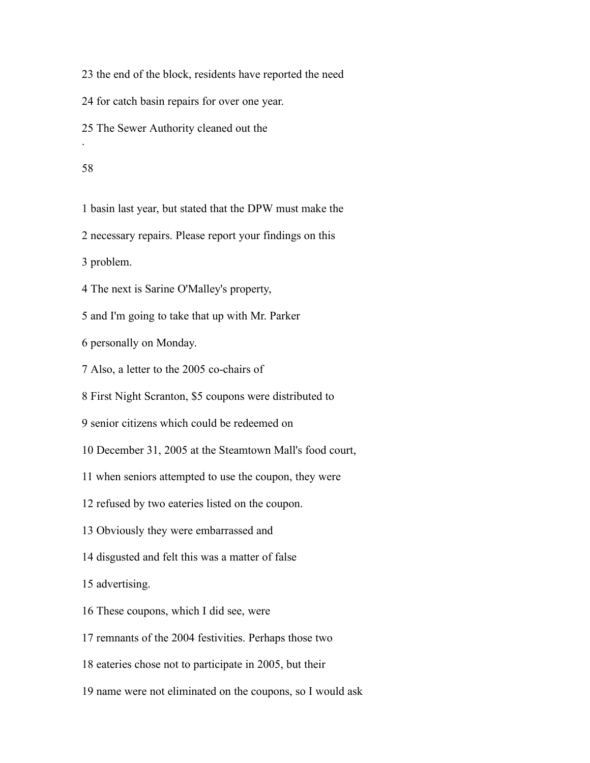the end of the block, residents have reported the need

for catch basin repairs for over one year.

The Sewer Authority cleaned out the

#### 

.

basin last year, but stated that the DPW must make the

necessary repairs. Please report your findings on this

problem.

The next is Sarine O'Malley's property,

and I'm going to take that up with Mr. Parker

personally on Monday.

Also, a letter to the 2005 co-chairs of

First Night Scranton, \$5 coupons were distributed to

senior citizens which could be redeemed on

December 31, 2005 at the Steamtown Mall's food court,

when seniors attempted to use the coupon, they were

refused by two eateries listed on the coupon.

Obviously they were embarrassed and

disgusted and felt this was a matter of false

advertising.

These coupons, which I did see, were

remnants of the 2004 festivities. Perhaps those two

eateries chose not to participate in 2005, but their

name were not eliminated on the coupons, so I would ask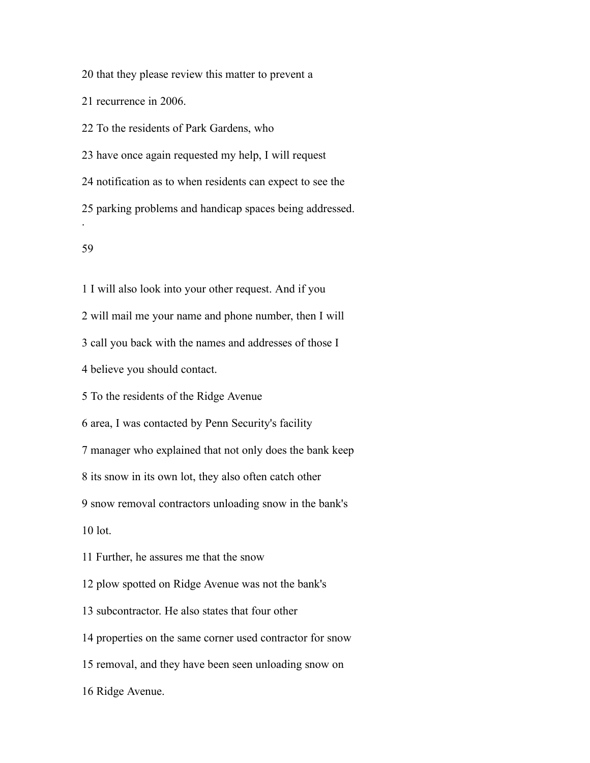that they please review this matter to prevent a

recurrence in 2006.

To the residents of Park Gardens, who

have once again requested my help, I will request

notification as to when residents can expect to see the

parking problems and handicap spaces being addressed.

#### 

.

I will also look into your other request. And if you

will mail me your name and phone number, then I will

call you back with the names and addresses of those I

believe you should contact.

To the residents of the Ridge Avenue

area, I was contacted by Penn Security's facility

manager who explained that not only does the bank keep

its snow in its own lot, they also often catch other

snow removal contractors unloading snow in the bank's

lot.

Further, he assures me that the snow

plow spotted on Ridge Avenue was not the bank's

subcontractor. He also states that four other

properties on the same corner used contractor for snow

removal, and they have been seen unloading snow on

Ridge Avenue.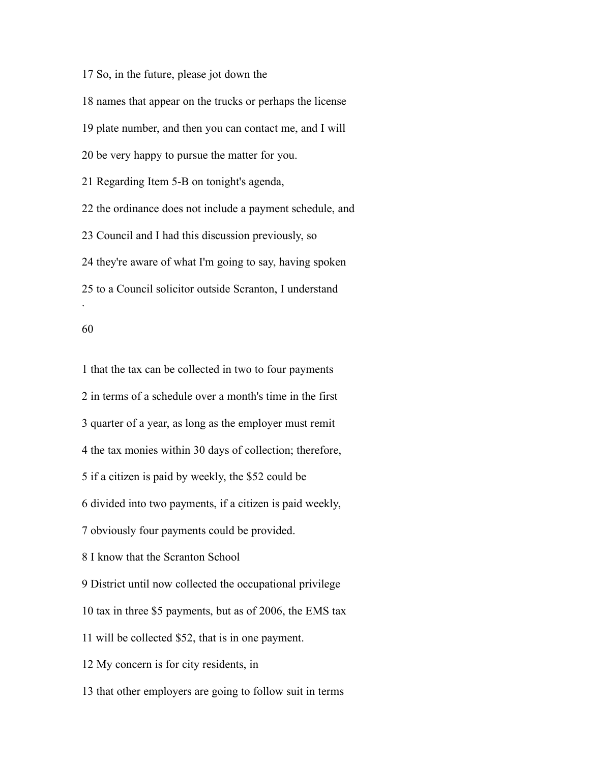So, in the future, please jot down the names that appear on the trucks or perhaps the license plate number, and then you can contact me, and I will be very happy to pursue the matter for you. Regarding Item 5-B on tonight's agenda, the ordinance does not include a payment schedule, and Council and I had this discussion previously, so they're aware of what I'm going to say, having spoken to a Council solicitor outside Scranton, I understand .

 that the tax can be collected in two to four payments in terms of a schedule over a month's time in the first quarter of a year, as long as the employer must remit the tax monies within 30 days of collection; therefore, if a citizen is paid by weekly, the \$52 could be divided into two payments, if a citizen is paid weekly, obviously four payments could be provided. I know that the Scranton School District until now collected the occupational privilege tax in three \$5 payments, but as of 2006, the EMS tax will be collected \$52, that is in one payment. My concern is for city residents, in that other employers are going to follow suit in terms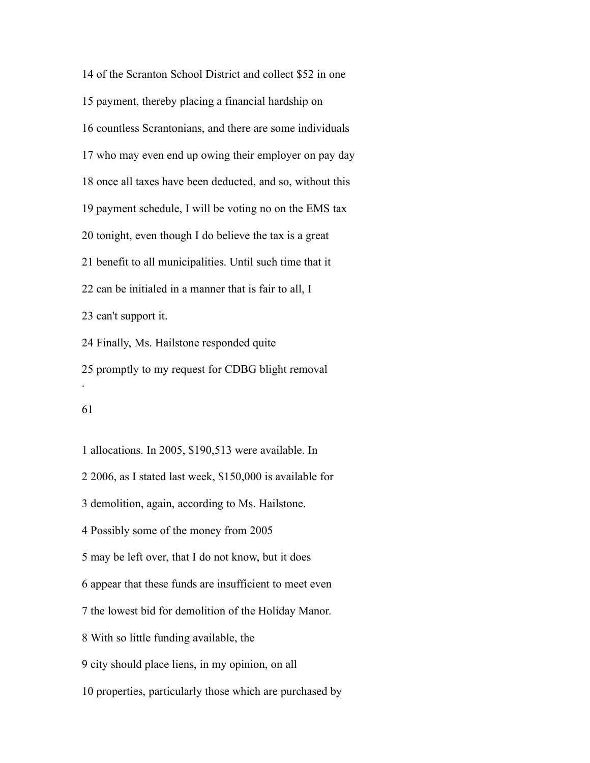of the Scranton School District and collect \$52 in one payment, thereby placing a financial hardship on countless Scrantonians, and there are some individuals who may even end up owing their employer on pay day once all taxes have been deducted, and so, without this payment schedule, I will be voting no on the EMS tax tonight, even though I do believe the tax is a great benefit to all municipalities. Until such time that it can be initialed in a manner that is fair to all, I can't support it. Finally, Ms. Hailstone responded quite promptly to my request for CDBG blight removal .

 allocations. In 2005, \$190,513 were available. In 2006, as I stated last week, \$150,000 is available for demolition, again, according to Ms. Hailstone. Possibly some of the money from 2005 may be left over, that I do not know, but it does appear that these funds are insufficient to meet even the lowest bid for demolition of the Holiday Manor. With so little funding available, the city should place liens, in my opinion, on all properties, particularly those which are purchased by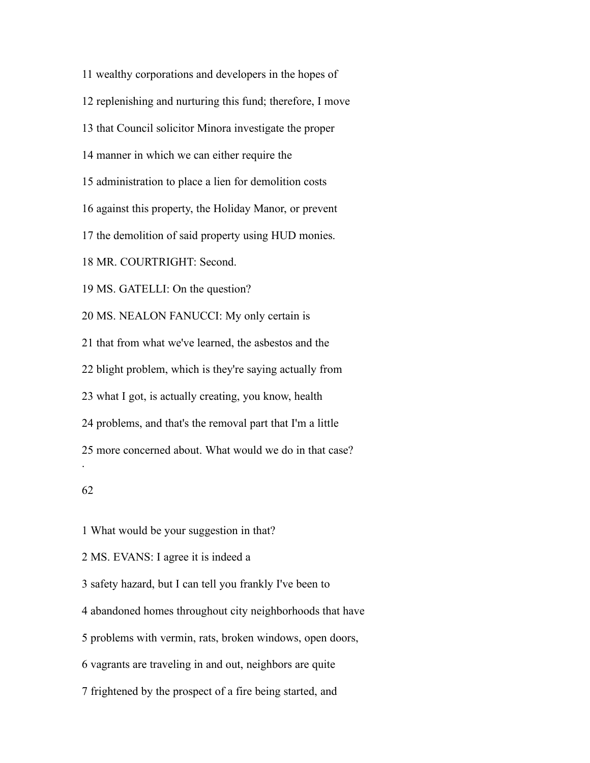wealthy corporations and developers in the hopes of replenishing and nurturing this fund; therefore, I move that Council solicitor Minora investigate the proper manner in which we can either require the administration to place a lien for demolition costs against this property, the Holiday Manor, or prevent the demolition of said property using HUD monies. MR. COURTRIGHT: Second. MS. GATELLI: On the question? MS. NEALON FANUCCI: My only certain is that from what we've learned, the asbestos and the blight problem, which is they're saying actually from what I got, is actually creating, you know, health problems, and that's the removal part that I'm a little more concerned about. What would we do in that case? . 

 What would be your suggestion in that? MS. EVANS: I agree it is indeed a safety hazard, but I can tell you frankly I've been to abandoned homes throughout city neighborhoods that have problems with vermin, rats, broken windows, open doors, vagrants are traveling in and out, neighbors are quite frightened by the prospect of a fire being started, and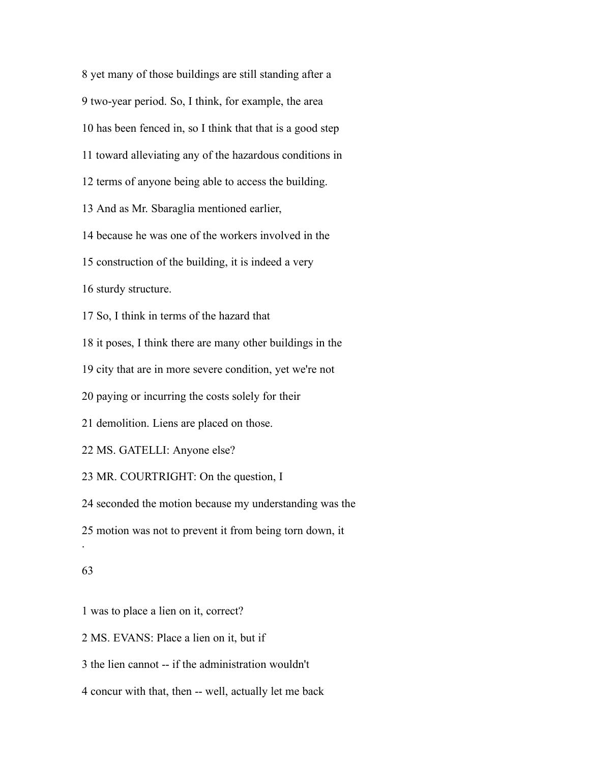yet many of those buildings are still standing after a two-year period. So, I think, for example, the area has been fenced in, so I think that that is a good step toward alleviating any of the hazardous conditions in terms of anyone being able to access the building. And as Mr. Sbaraglia mentioned earlier, because he was one of the workers involved in the construction of the building, it is indeed a very sturdy structure. So, I think in terms of the hazard that it poses, I think there are many other buildings in the city that are in more severe condition, yet we're not paying or incurring the costs solely for their demolition. Liens are placed on those. MS. GATELLI: Anyone else? MR. COURTRIGHT: On the question, I seconded the motion because my understanding was the motion was not to prevent it from being torn down, it . 

was to place a lien on it, correct?

MS. EVANS: Place a lien on it, but if

the lien cannot -- if the administration wouldn't

concur with that, then -- well, actually let me back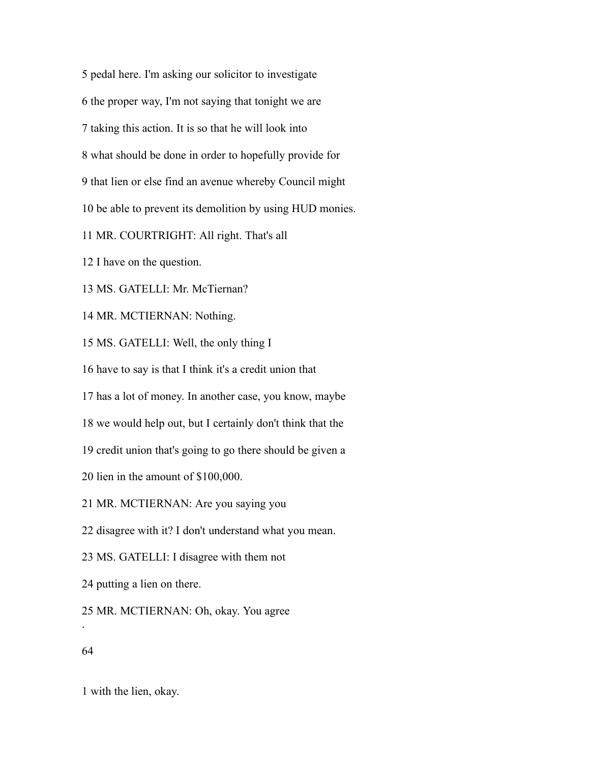pedal here. I'm asking our solicitor to investigate the proper way, I'm not saying that tonight we are taking this action. It is so that he will look into what should be done in order to hopefully provide for that lien or else find an avenue whereby Council might be able to prevent its demolition by using HUD monies. MR. COURTRIGHT: All right. That's all I have on the question.

MS. GATELLI: Mr. McTiernan?

MR. MCTIERNAN: Nothing.

MS. GATELLI: Well, the only thing I

have to say is that I think it's a credit union that

has a lot of money. In another case, you know, maybe

we would help out, but I certainly don't think that the

credit union that's going to go there should be given a

lien in the amount of \$100,000.

MR. MCTIERNAN: Are you saying you

disagree with it? I don't understand what you mean.

MS. GATELLI: I disagree with them not

putting a lien on there.

MR. MCTIERNAN: Oh, okay. You agree

## 

.

with the lien, okay.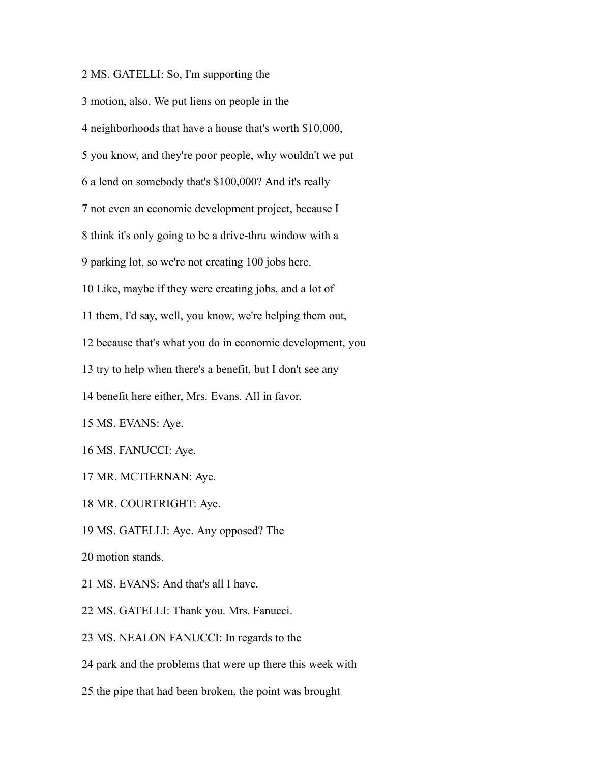MS. GATELLI: So, I'm supporting the

 motion, also. We put liens on people in the neighborhoods that have a house that's worth \$10,000, you know, and they're poor people, why wouldn't we put a lend on somebody that's \$100,000? And it's really not even an economic development project, because I think it's only going to be a drive-thru window with a parking lot, so we're not creating 100 jobs here. Like, maybe if they were creating jobs, and a lot of them, I'd say, well, you know, we're helping them out, because that's what you do in economic development, you try to help when there's a benefit, but I don't see any benefit here either, Mrs. Evans. All in favor. MS. EVANS: Aye. MS. FANUCCI: Aye. MR. MCTIERNAN: Aye. MR. COURTRIGHT: Aye.

MS. GATELLI: Aye. Any opposed? The

motion stands.

MS. EVANS: And that's all I have.

MS. GATELLI: Thank you. Mrs. Fanucci.

MS. NEALON FANUCCI: In regards to the

park and the problems that were up there this week with

the pipe that had been broken, the point was brought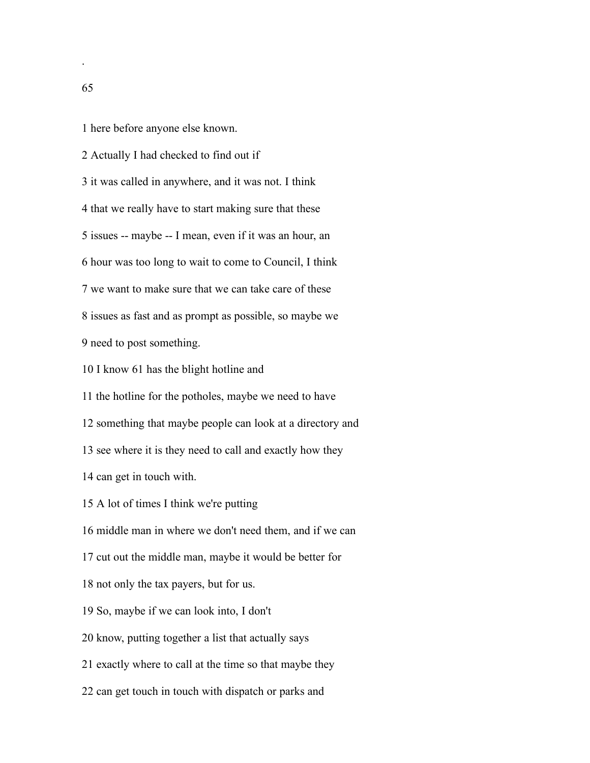here before anyone else known.

 Actually I had checked to find out if it was called in anywhere, and it was not. I think that we really have to start making sure that these issues -- maybe -- I mean, even if it was an hour, an hour was too long to wait to come to Council, I think we want to make sure that we can take care of these issues as fast and as prompt as possible, so maybe we need to post something. I know 61 has the blight hotline and

the hotline for the potholes, maybe we need to have

something that maybe people can look at a directory and

see where it is they need to call and exactly how they

can get in touch with.

A lot of times I think we're putting

middle man in where we don't need them, and if we can

cut out the middle man, maybe it would be better for

not only the tax payers, but for us.

So, maybe if we can look into, I don't

know, putting together a list that actually says

exactly where to call at the time so that maybe they

can get touch in touch with dispatch or parks and

.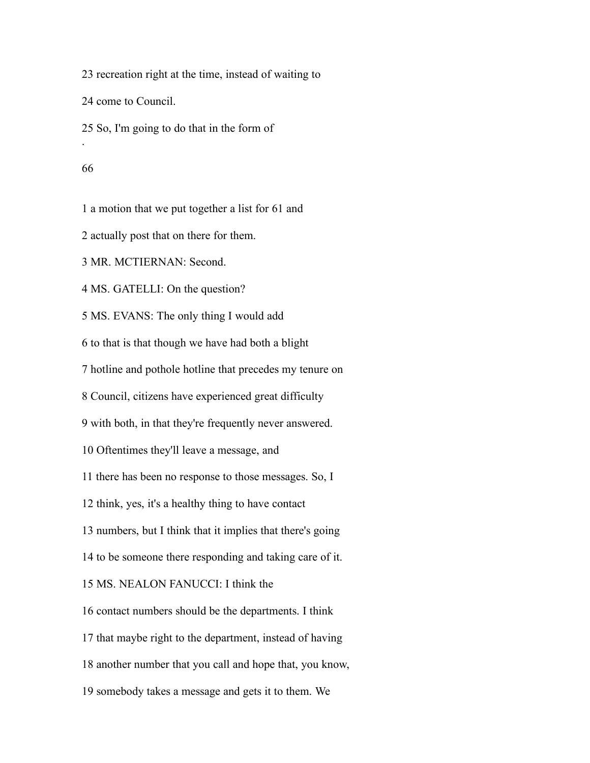recreation right at the time, instead of waiting to

come to Council.

So, I'm going to do that in the form of

.

a motion that we put together a list for 61 and

actually post that on there for them.

MR. MCTIERNAN: Second.

MS. GATELLI: On the question?

MS. EVANS: The only thing I would add

to that is that though we have had both a blight

hotline and pothole hotline that precedes my tenure on

Council, citizens have experienced great difficulty

with both, in that they're frequently never answered.

Oftentimes they'll leave a message, and

there has been no response to those messages. So, I

think, yes, it's a healthy thing to have contact

numbers, but I think that it implies that there's going

to be someone there responding and taking care of it.

MS. NEALON FANUCCI: I think the

contact numbers should be the departments. I think

that maybe right to the department, instead of having

another number that you call and hope that, you know,

somebody takes a message and gets it to them. We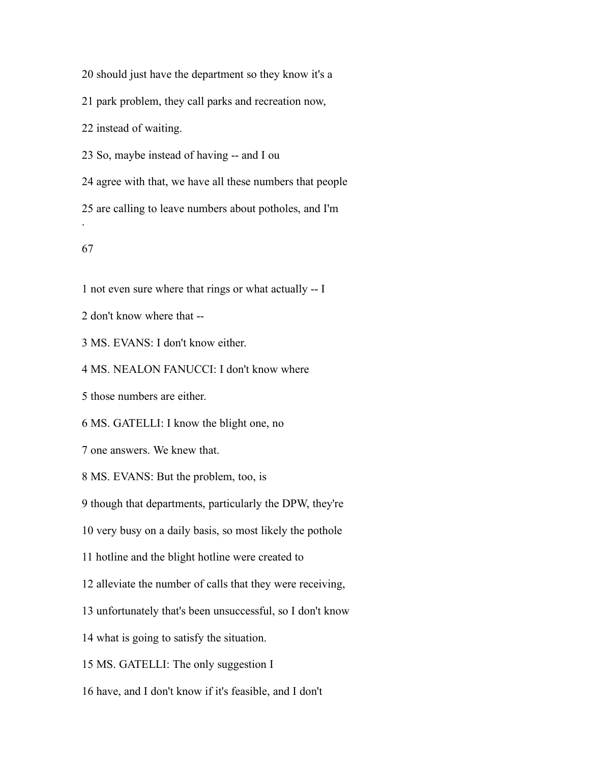should just have the department so they know it's a

park problem, they call parks and recreation now,

instead of waiting.

So, maybe instead of having -- and I ou

agree with that, we have all these numbers that people

are calling to leave numbers about potholes, and I'm

.

not even sure where that rings or what actually -- I

don't know where that --

MS. EVANS: I don't know either.

MS. NEALON FANUCCI: I don't know where

those numbers are either.

MS. GATELLI: I know the blight one, no

one answers. We knew that.

MS. EVANS: But the problem, too, is

though that departments, particularly the DPW, they're

very busy on a daily basis, so most likely the pothole

hotline and the blight hotline were created to

alleviate the number of calls that they were receiving,

unfortunately that's been unsuccessful, so I don't know

what is going to satisfy the situation.

MS. GATELLI: The only suggestion I

have, and I don't know if it's feasible, and I don't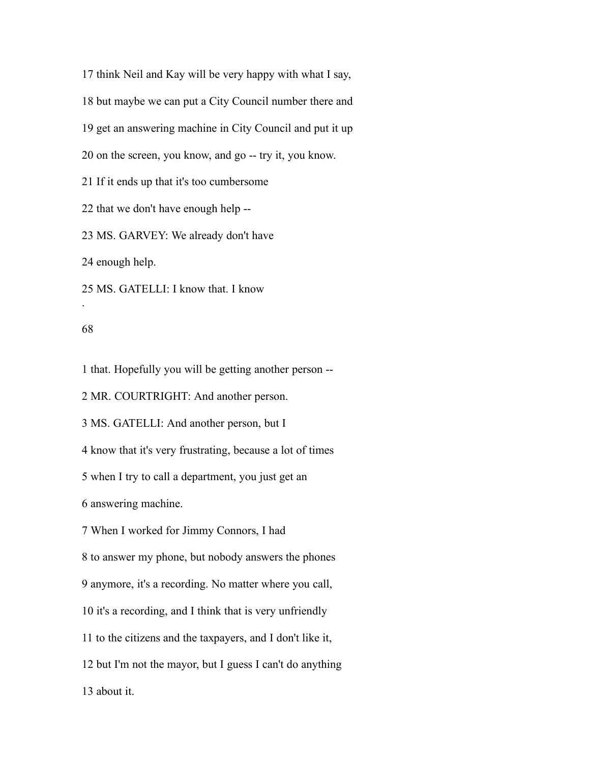think Neil and Kay will be very happy with what I say, but maybe we can put a City Council number there and get an answering machine in City Council and put it up on the screen, you know, and go -- try it, you know. If it ends up that it's too cumbersome that we don't have enough help -- MS. GARVEY: We already don't have

enough help.

MS. GATELLI: I know that. I know

### 

.

that. Hopefully you will be getting another person --

MR. COURTRIGHT: And another person.

MS. GATELLI: And another person, but I

know that it's very frustrating, because a lot of times

when I try to call a department, you just get an

answering machine.

When I worked for Jimmy Connors, I had

to answer my phone, but nobody answers the phones

anymore, it's a recording. No matter where you call,

it's a recording, and I think that is very unfriendly

to the citizens and the taxpayers, and I don't like it,

but I'm not the mayor, but I guess I can't do anything

about it.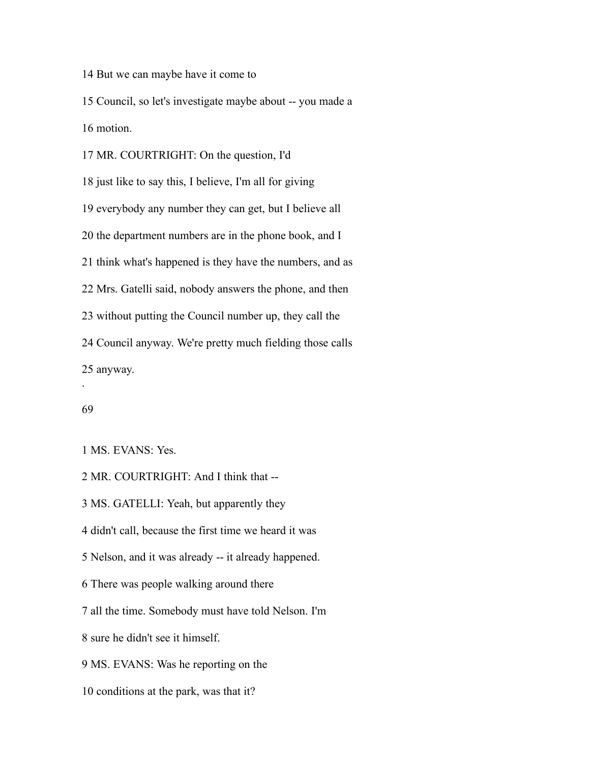But we can maybe have it come to

 Council, so let's investigate maybe about -- you made a motion.

 MR. COURTRIGHT: On the question, I'd just like to say this, I believe, I'm all for giving everybody any number they can get, but I believe all the department numbers are in the phone book, and I think what's happened is they have the numbers, and as Mrs. Gatelli said, nobody answers the phone, and then without putting the Council number up, they call the Council anyway. We're pretty much fielding those calls anyway. .

### 

MS. EVANS: Yes.

MR. COURTRIGHT: And I think that --

MS. GATELLI: Yeah, but apparently they

didn't call, because the first time we heard it was

Nelson, and it was already -- it already happened.

There was people walking around there

all the time. Somebody must have told Nelson. I'm

sure he didn't see it himself.

MS. EVANS: Was he reporting on the

conditions at the park, was that it?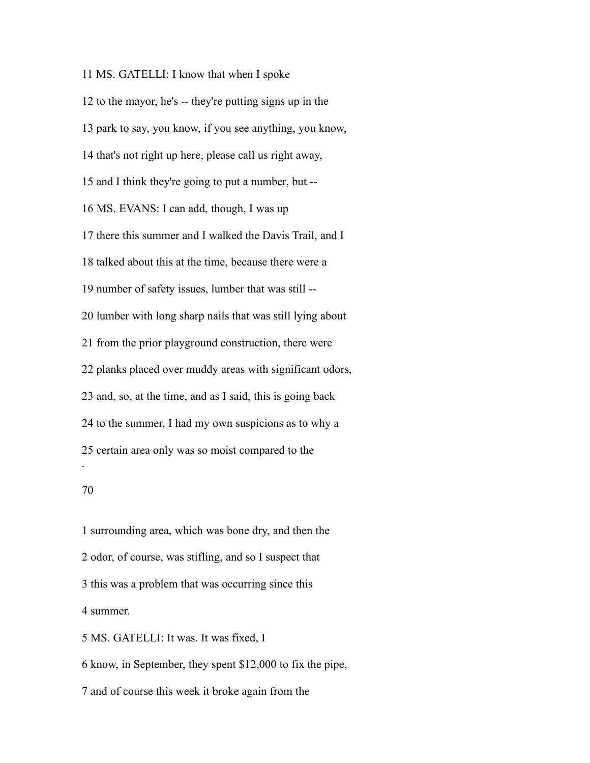MS. GATELLI: I know that when I spoke to the mayor, he's -- they're putting signs up in the park to say, you know, if you see anything, you know, that's not right up here, please call us right away, and I think they're going to put a number, but -- MS. EVANS: I can add, though, I was up there this summer and I walked the Davis Trail, and I talked about this at the time, because there were a number of safety issues, lumber that was still -- lumber with long sharp nails that was still lying about from the prior playground construction, there were planks placed over muddy areas with significant odors, and, so, at the time, and as I said, this is going back to the summer, I had my own suspicions as to why a certain area only was so moist compared to the .

 surrounding area, which was bone dry, and then the odor, of course, was stifling, and so I suspect that this was a problem that was occurring since this summer. MS. GATELLI: It was. It was fixed, I

 know, in September, they spent \$12,000 to fix the pipe, and of course this week it broke again from the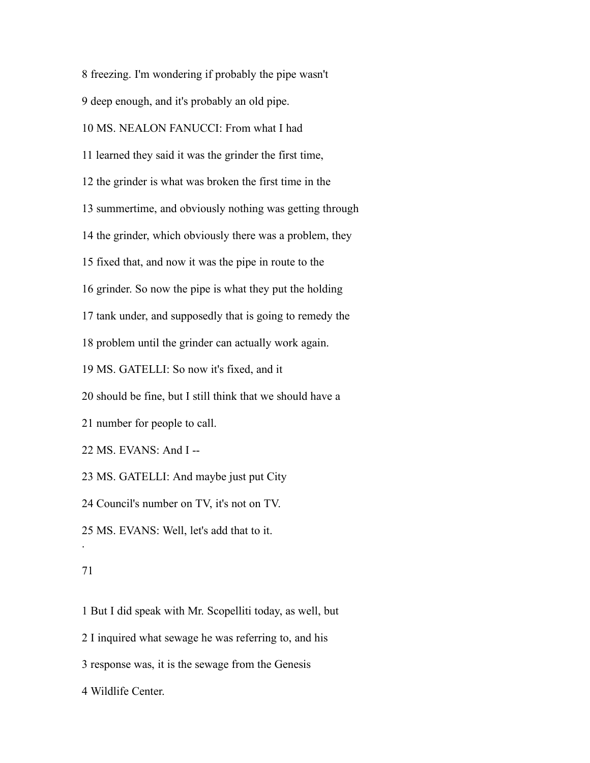freezing. I'm wondering if probably the pipe wasn't

deep enough, and it's probably an old pipe.

# MS. NEALON FANUCCI: From what I had

learned they said it was the grinder the first time,

the grinder is what was broken the first time in the

summertime, and obviously nothing was getting through

the grinder, which obviously there was a problem, they

fixed that, and now it was the pipe in route to the

grinder. So now the pipe is what they put the holding

tank under, and supposedly that is going to remedy the

problem until the grinder can actually work again.

MS. GATELLI: So now it's fixed, and it

should be fine, but I still think that we should have a

number for people to call.

MS. EVANS: And I --

MS. GATELLI: And maybe just put City

Council's number on TV, it's not on TV.

MS. EVANS: Well, let's add that to it.

### 

.

 But I did speak with Mr. Scopelliti today, as well, but I inquired what sewage he was referring to, and his response was, it is the sewage from the Genesis Wildlife Center.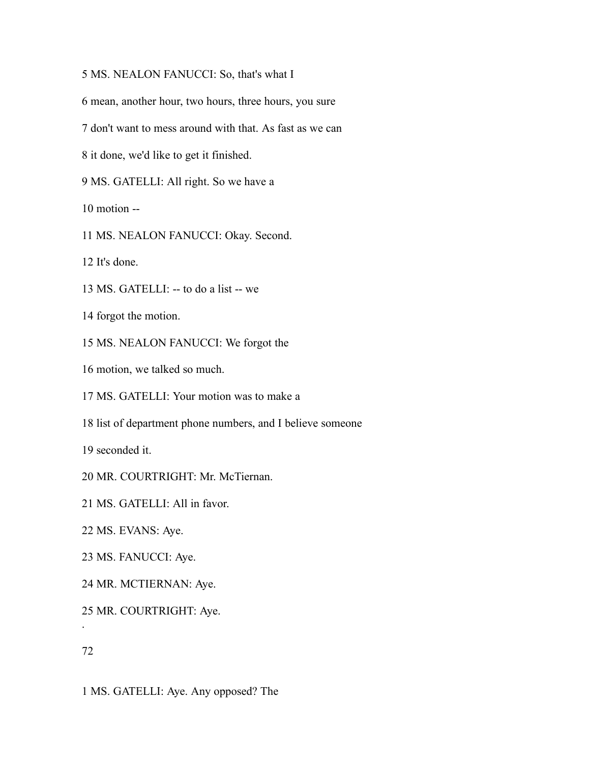# MS. NEALON FANUCCI: So, that's what I

mean, another hour, two hours, three hours, you sure

don't want to mess around with that. As fast as we can

it done, we'd like to get it finished.

MS. GATELLI: All right. So we have a

motion --

MS. NEALON FANUCCI: Okay. Second.

It's done.

MS. GATELLI: -- to do a list -- we

forgot the motion.

MS. NEALON FANUCCI: We forgot the

motion, we talked so much.

MS. GATELLI: Your motion was to make a

list of department phone numbers, and I believe someone

seconded it.

MR. COURTRIGHT: Mr. McTiernan.

MS. GATELLI: All in favor.

MS. EVANS: Aye.

MS. FANUCCI: Aye.

MR. MCTIERNAN: Aye.

MR. COURTRIGHT: Aye.

.

MS. GATELLI: Aye. Any opposed? The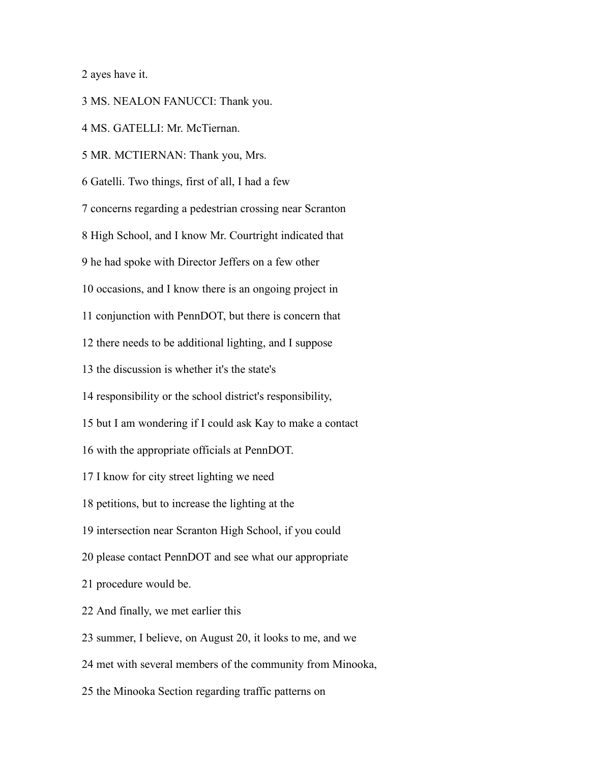ayes have it.

MS. NEALON FANUCCI: Thank you.

MS. GATELLI: Mr. McTiernan.

MR. MCTIERNAN: Thank you, Mrs.

Gatelli. Two things, first of all, I had a few

concerns regarding a pedestrian crossing near Scranton

High School, and I know Mr. Courtright indicated that

he had spoke with Director Jeffers on a few other

occasions, and I know there is an ongoing project in

conjunction with PennDOT, but there is concern that

there needs to be additional lighting, and I suppose

the discussion is whether it's the state's

responsibility or the school district's responsibility,

but I am wondering if I could ask Kay to make a contact

with the appropriate officials at PennDOT.

I know for city street lighting we need

petitions, but to increase the lighting at the

intersection near Scranton High School, if you could

please contact PennDOT and see what our appropriate

procedure would be.

And finally, we met earlier this

summer, I believe, on August 20, it looks to me, and we

met with several members of the community from Minooka,

the Minooka Section regarding traffic patterns on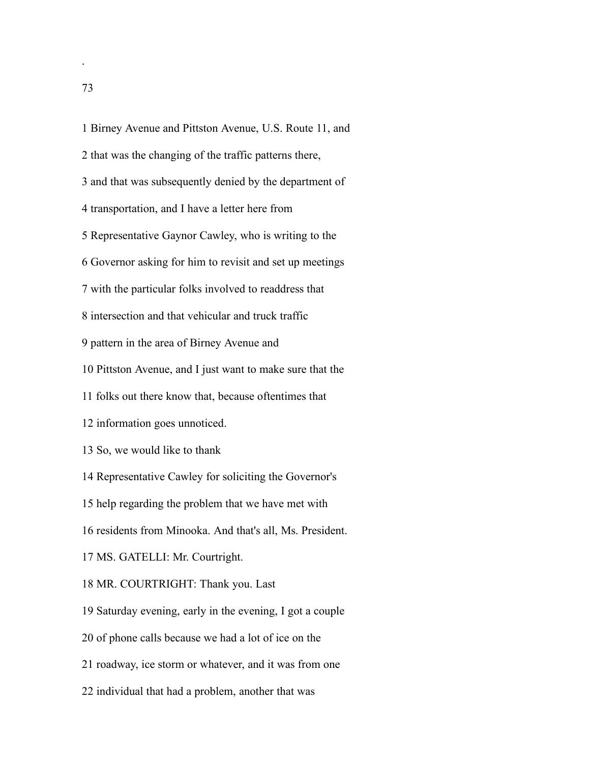Birney Avenue and Pittston Avenue, U.S. Route 11, and that was the changing of the traffic patterns there, and that was subsequently denied by the department of transportation, and I have a letter here from Representative Gaynor Cawley, who is writing to the Governor asking for him to revisit and set up meetings with the particular folks involved to readdress that intersection and that vehicular and truck traffic pattern in the area of Birney Avenue and Pittston Avenue, and I just want to make sure that the folks out there know that, because oftentimes that information goes unnoticed. So, we would like to thank Representative Cawley for soliciting the Governor's help regarding the problem that we have met with residents from Minooka. And that's all, Ms. President. MS. GATELLI: Mr. Courtright. MR. COURTRIGHT: Thank you. Last Saturday evening, early in the evening, I got a couple of phone calls because we had a lot of ice on the roadway, ice storm or whatever, and it was from one individual that had a problem, another that was

.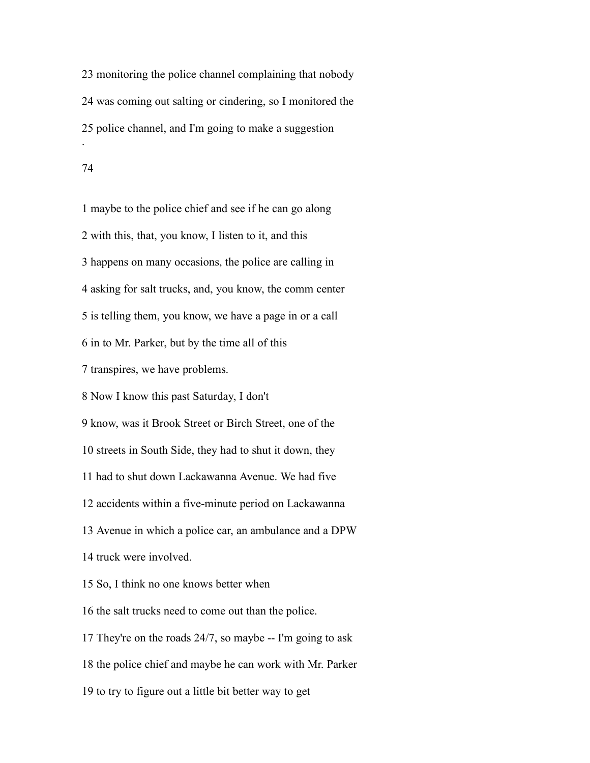monitoring the police channel complaining that nobody was coming out salting or cindering, so I monitored the police channel, and I'm going to make a suggestion .

 maybe to the police chief and see if he can go along with this, that, you know, I listen to it, and this happens on many occasions, the police are calling in asking for salt trucks, and, you know, the comm center is telling them, you know, we have a page in or a call in to Mr. Parker, but by the time all of this transpires, we have problems. Now I know this past Saturday, I don't know, was it Brook Street or Birch Street, one of the streets in South Side, they had to shut it down, they had to shut down Lackawanna Avenue. We had five accidents within a five-minute period on Lackawanna Avenue in which a police car, an ambulance and a DPW truck were involved. So, I think no one knows better when the salt trucks need to come out than the police. They're on the roads 24/7, so maybe -- I'm going to ask the police chief and maybe he can work with Mr. Parker

to try to figure out a little bit better way to get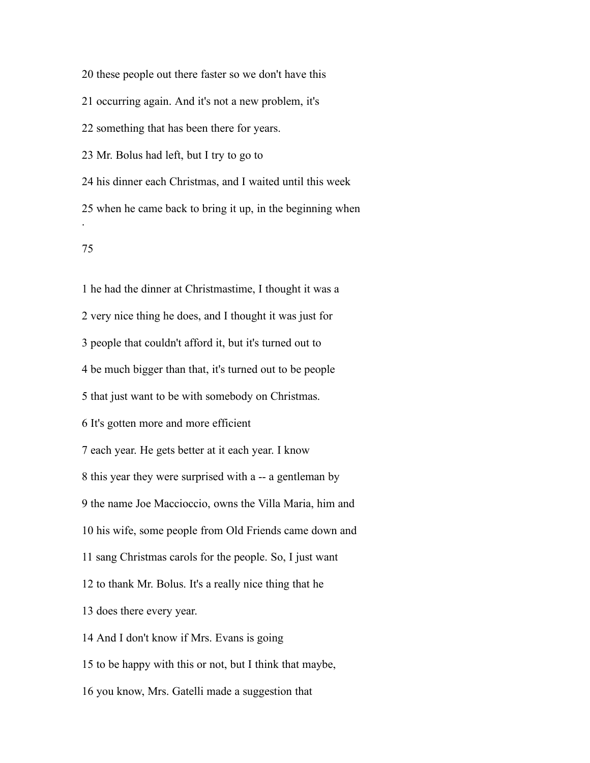these people out there faster so we don't have this occurring again. And it's not a new problem, it's something that has been there for years. Mr. Bolus had left, but I try to go to his dinner each Christmas, and I waited until this week when he came back to bring it up, in the beginning when .

 he had the dinner at Christmastime, I thought it was a very nice thing he does, and I thought it was just for people that couldn't afford it, but it's turned out to be much bigger than that, it's turned out to be people that just want to be with somebody on Christmas. It's gotten more and more efficient each year. He gets better at it each year. I know this year they were surprised with a -- a gentleman by the name Joe Maccioccio, owns the Villa Maria, him and his wife, some people from Old Friends came down and sang Christmas carols for the people. So, I just want to thank Mr. Bolus. It's a really nice thing that he does there every year. And I don't know if Mrs. Evans is going to be happy with this or not, but I think that maybe,

you know, Mrs. Gatelli made a suggestion that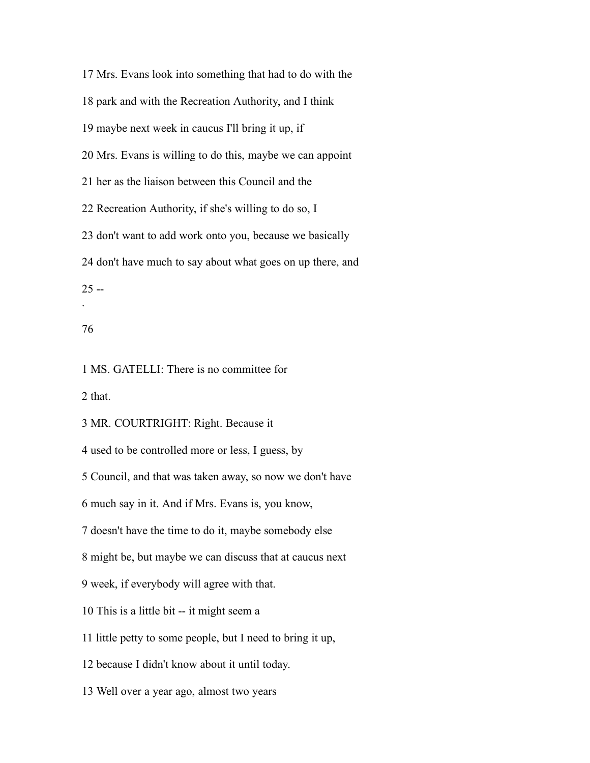Mrs. Evans look into something that had to do with the park and with the Recreation Authority, and I think maybe next week in caucus I'll bring it up, if Mrs. Evans is willing to do this, maybe we can appoint her as the liaison between this Council and the Recreation Authority, if she's willing to do so, I don't want to add work onto you, because we basically don't have much to say about what goes on up there, and  $25 -$ .

### 

MS. GATELLI: There is no committee for

that.

MR. COURTRIGHT: Right. Because it

used to be controlled more or less, I guess, by

Council, and that was taken away, so now we don't have

much say in it. And if Mrs. Evans is, you know,

doesn't have the time to do it, maybe somebody else

might be, but maybe we can discuss that at caucus next

week, if everybody will agree with that.

This is a little bit -- it might seem a

little petty to some people, but I need to bring it up,

because I didn't know about it until today.

Well over a year ago, almost two years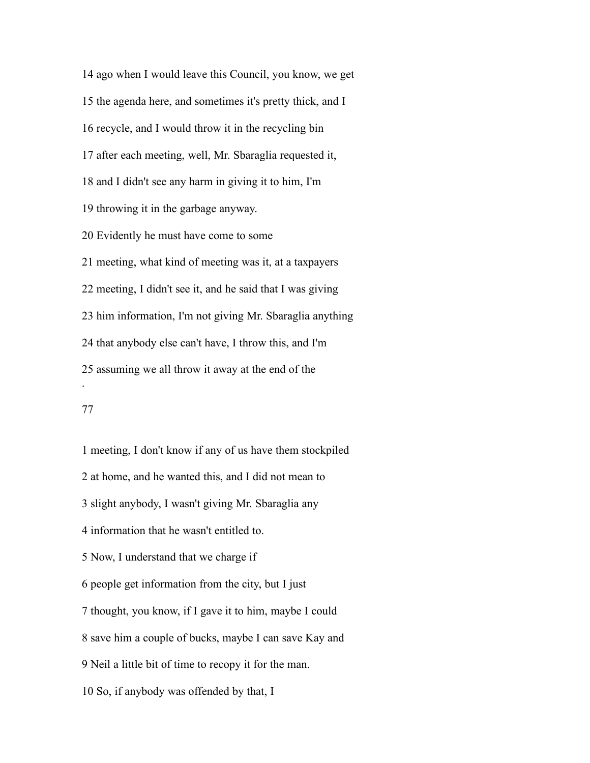ago when I would leave this Council, you know, we get the agenda here, and sometimes it's pretty thick, and I recycle, and I would throw it in the recycling bin after each meeting, well, Mr. Sbaraglia requested it, and I didn't see any harm in giving it to him, I'm throwing it in the garbage anyway. Evidently he must have come to some meeting, what kind of meeting was it, at a taxpayers meeting, I didn't see it, and he said that I was giving him information, I'm not giving Mr. Sbaraglia anything that anybody else can't have, I throw this, and I'm assuming we all throw it away at the end of the .

# 

 meeting, I don't know if any of us have them stockpiled at home, and he wanted this, and I did not mean to slight anybody, I wasn't giving Mr. Sbaraglia any information that he wasn't entitled to. Now, I understand that we charge if people get information from the city, but I just thought, you know, if I gave it to him, maybe I could save him a couple of bucks, maybe I can save Kay and Neil a little bit of time to recopy it for the man. So, if anybody was offended by that, I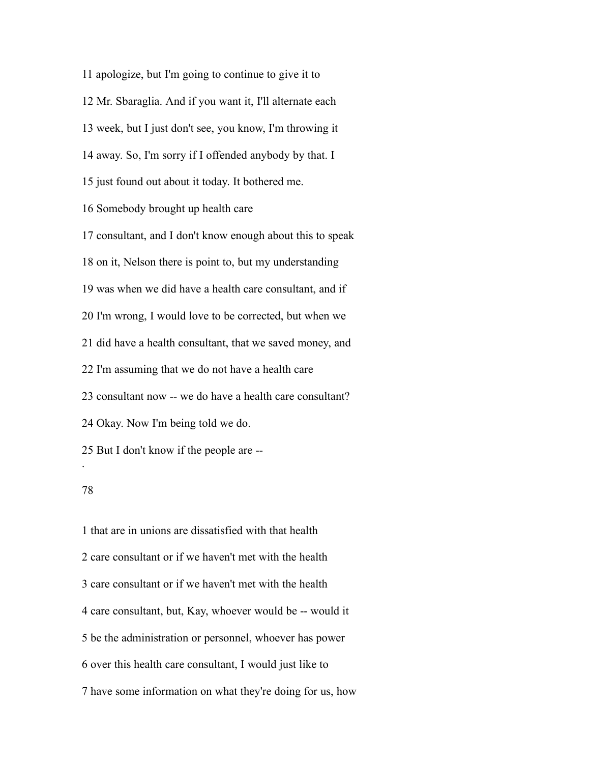apologize, but I'm going to continue to give it to Mr. Sbaraglia. And if you want it, I'll alternate each week, but I just don't see, you know, I'm throwing it away. So, I'm sorry if I offended anybody by that. I just found out about it today. It bothered me. Somebody brought up health care consultant, and I don't know enough about this to speak on it, Nelson there is point to, but my understanding was when we did have a health care consultant, and if I'm wrong, I would love to be corrected, but when we did have a health consultant, that we saved money, and I'm assuming that we do not have a health care consultant now -- we do have a health care consultant? Okay. Now I'm being told we do. But I don't know if the people are -- .

 that are in unions are dissatisfied with that health care consultant or if we haven't met with the health care consultant or if we haven't met with the health care consultant, but, Kay, whoever would be -- would it be the administration or personnel, whoever has power over this health care consultant, I would just like to have some information on what they're doing for us, how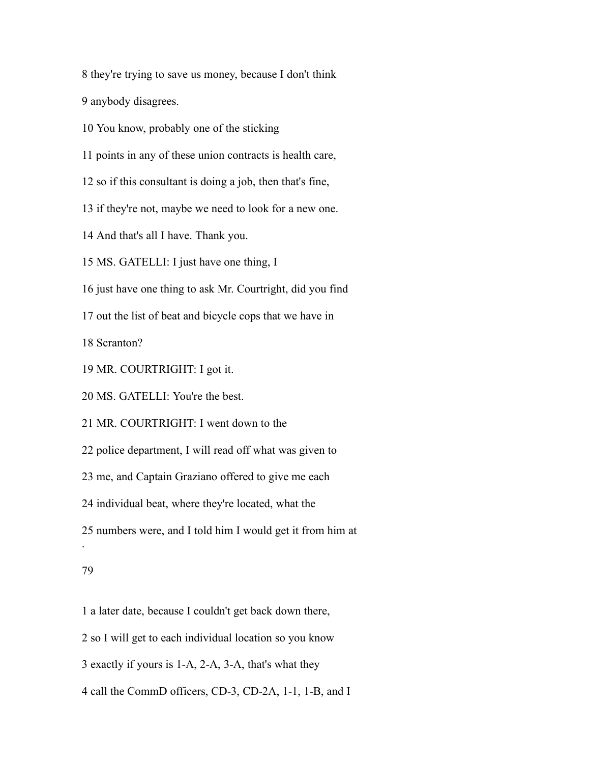they're trying to save us money, because I don't think

anybody disagrees.

You know, probably one of the sticking

points in any of these union contracts is health care,

so if this consultant is doing a job, then that's fine,

if they're not, maybe we need to look for a new one.

And that's all I have. Thank you.

MS. GATELLI: I just have one thing, I

just have one thing to ask Mr. Courtright, did you find

out the list of beat and bicycle cops that we have in

Scranton?

MR. COURTRIGHT: I got it.

MS. GATELLI: You're the best.

MR. COURTRIGHT: I went down to the

police department, I will read off what was given to

me, and Captain Graziano offered to give me each

individual beat, where they're located, what the

numbers were, and I told him I would get it from him at

### 

.

a later date, because I couldn't get back down there,

so I will get to each individual location so you know

exactly if yours is 1-A, 2-A, 3-A, that's what they

call the CommD officers, CD-3, CD-2A, 1-1, 1-B, and I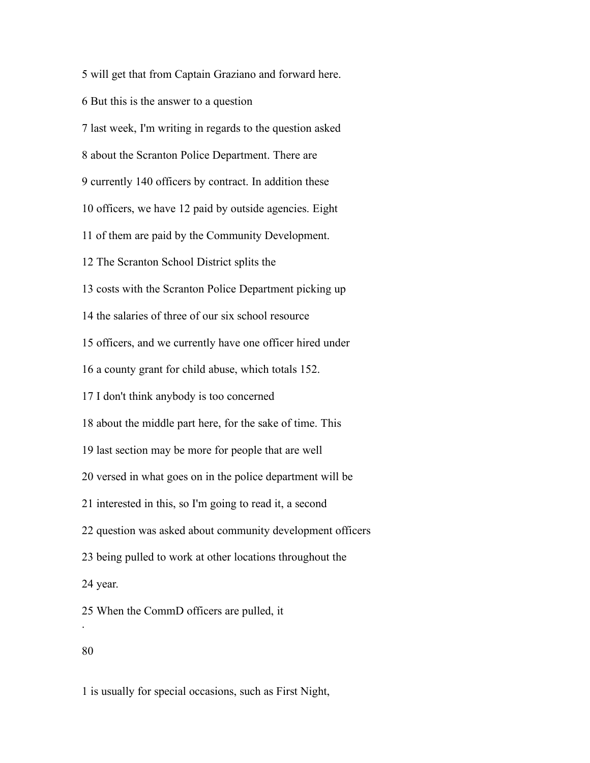will get that from Captain Graziano and forward here.

- But this is the answer to a question
- last week, I'm writing in regards to the question asked
- about the Scranton Police Department. There are
- currently 140 officers by contract. In addition these
- officers, we have 12 paid by outside agencies. Eight
- of them are paid by the Community Development.
- The Scranton School District splits the
- costs with the Scranton Police Department picking up
- the salaries of three of our six school resource
- officers, and we currently have one officer hired under
- a county grant for child abuse, which totals 152.
- I don't think anybody is too concerned
- about the middle part here, for the sake of time. This
- last section may be more for people that are well
- versed in what goes on in the police department will be
- interested in this, so I'm going to read it, a second
- question was asked about community development officers
- being pulled to work at other locations throughout the
- year.
- When the CommD officers are pulled, it
- 

.

is usually for special occasions, such as First Night,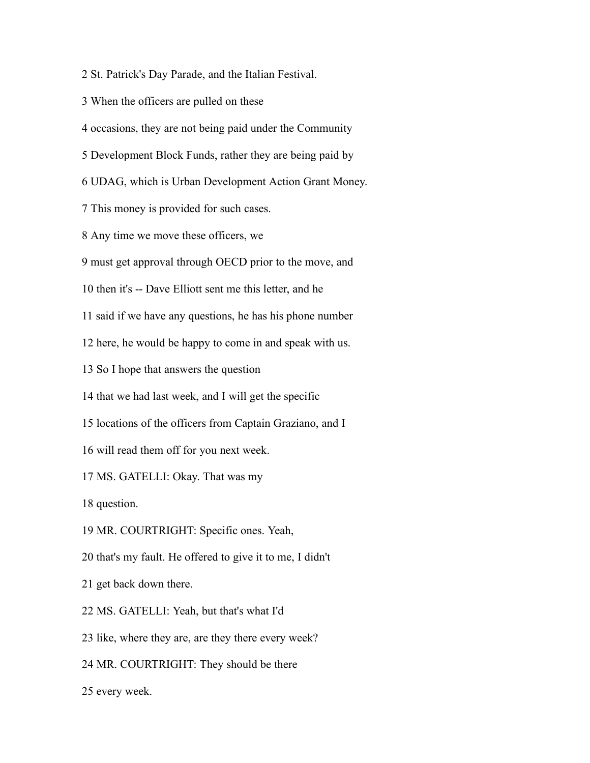St. Patrick's Day Parade, and the Italian Festival.

When the officers are pulled on these

occasions, they are not being paid under the Community

Development Block Funds, rather they are being paid by

UDAG, which is Urban Development Action Grant Money.

This money is provided for such cases.

Any time we move these officers, we

must get approval through OECD prior to the move, and

then it's -- Dave Elliott sent me this letter, and he

said if we have any questions, he has his phone number

here, he would be happy to come in and speak with us.

So I hope that answers the question

that we had last week, and I will get the specific

locations of the officers from Captain Graziano, and I

will read them off for you next week.

MS. GATELLI: Okay. That was my

question.

MR. COURTRIGHT: Specific ones. Yeah,

that's my fault. He offered to give it to me, I didn't

get back down there.

MS. GATELLI: Yeah, but that's what I'd

like, where they are, are they there every week?

MR. COURTRIGHT: They should be there

every week.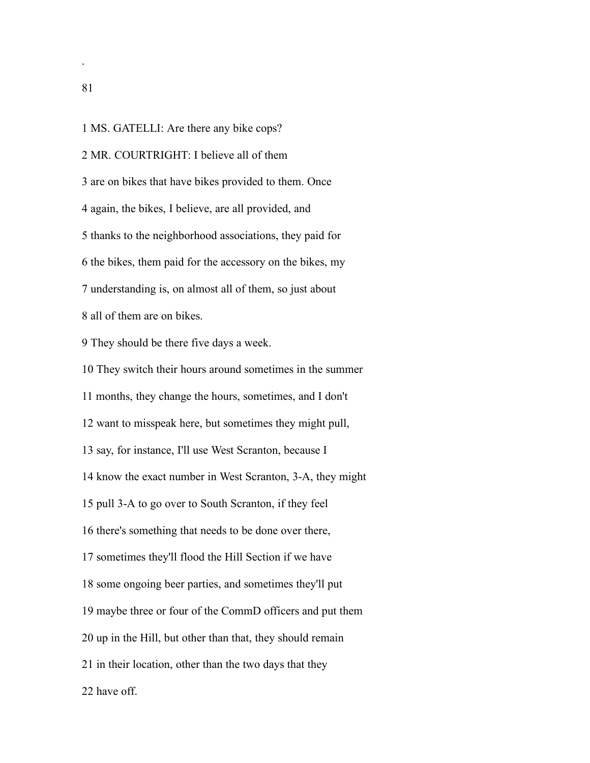MS. GATELLI: Are there any bike cops?

MR. COURTRIGHT: I believe all of them

are on bikes that have bikes provided to them. Once

again, the bikes, I believe, are all provided, and

thanks to the neighborhood associations, they paid for

the bikes, them paid for the accessory on the bikes, my

understanding is, on almost all of them, so just about

all of them are on bikes.

They should be there five days a week.

 They switch their hours around sometimes in the summer months, they change the hours, sometimes, and I don't want to misspeak here, but sometimes they might pull, say, for instance, I'll use West Scranton, because I know the exact number in West Scranton, 3-A, they might pull 3-A to go over to South Scranton, if they feel there's something that needs to be done over there, sometimes they'll flood the Hill Section if we have some ongoing beer parties, and sometimes they'll put maybe three or four of the CommD officers and put them up in the Hill, but other than that, they should remain in their location, other than the two days that they have off.

.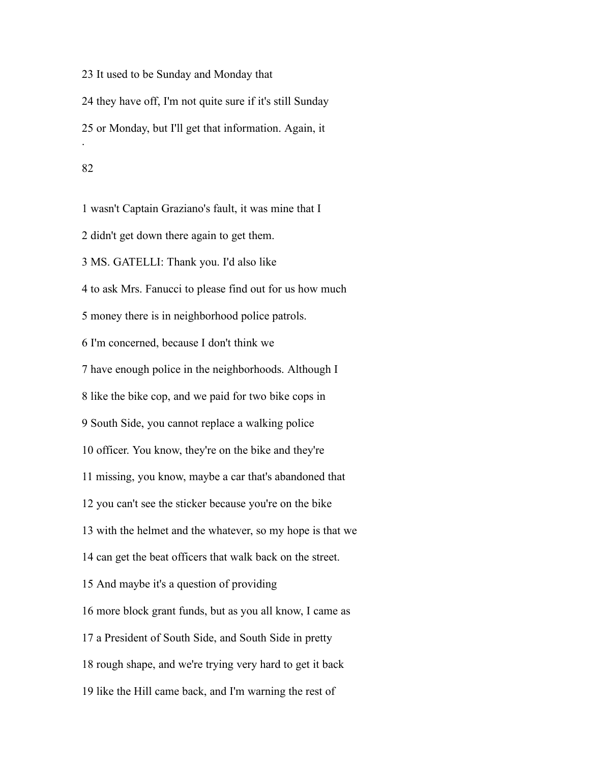It used to be Sunday and Monday that they have off, I'm not quite sure if it's still Sunday or Monday, but I'll get that information. Again, it . 

 wasn't Captain Graziano's fault, it was mine that I didn't get down there again to get them. MS. GATELLI: Thank you. I'd also like to ask Mrs. Fanucci to please find out for us how much money there is in neighborhood police patrols. I'm concerned, because I don't think we have enough police in the neighborhoods. Although I like the bike cop, and we paid for two bike cops in South Side, you cannot replace a walking police officer. You know, they're on the bike and they're missing, you know, maybe a car that's abandoned that you can't see the sticker because you're on the bike with the helmet and the whatever, so my hope is that we can get the beat officers that walk back on the street. And maybe it's a question of providing more block grant funds, but as you all know, I came as a President of South Side, and South Side in pretty rough shape, and we're trying very hard to get it back like the Hill came back, and I'm warning the rest of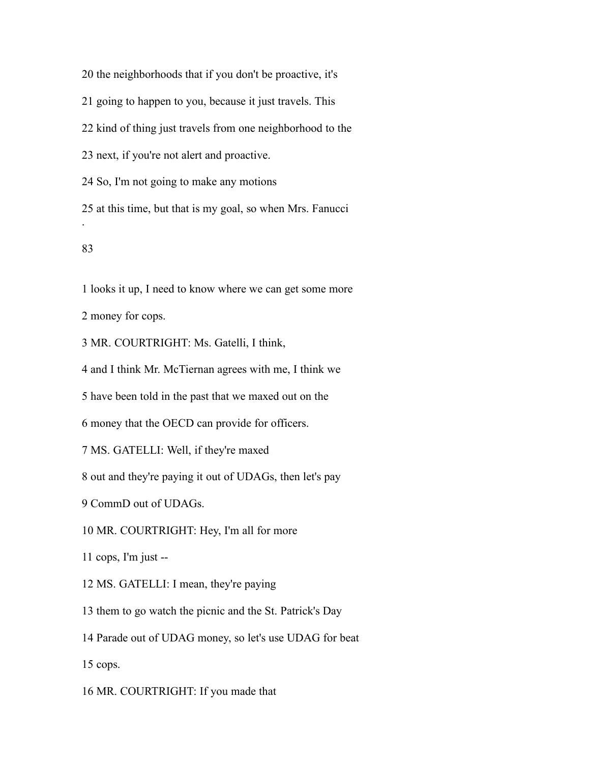the neighborhoods that if you don't be proactive, it's

going to happen to you, because it just travels. This

kind of thing just travels from one neighborhood to the

next, if you're not alert and proactive.

So, I'm not going to make any motions

 at this time, but that is my goal, so when Mrs. Fanucci .

# 

looks it up, I need to know where we can get some more

money for cops.

MR. COURTRIGHT: Ms. Gatelli, I think,

and I think Mr. McTiernan agrees with me, I think we

have been told in the past that we maxed out on the

money that the OECD can provide for officers.

MS. GATELLI: Well, if they're maxed

out and they're paying it out of UDAGs, then let's pay

CommD out of UDAGs.

MR. COURTRIGHT: Hey, I'm all for more

cops, I'm just --

MS. GATELLI: I mean, they're paying

them to go watch the picnic and the St. Patrick's Day

Parade out of UDAG money, so let's use UDAG for beat

cops.

MR. COURTRIGHT: If you made that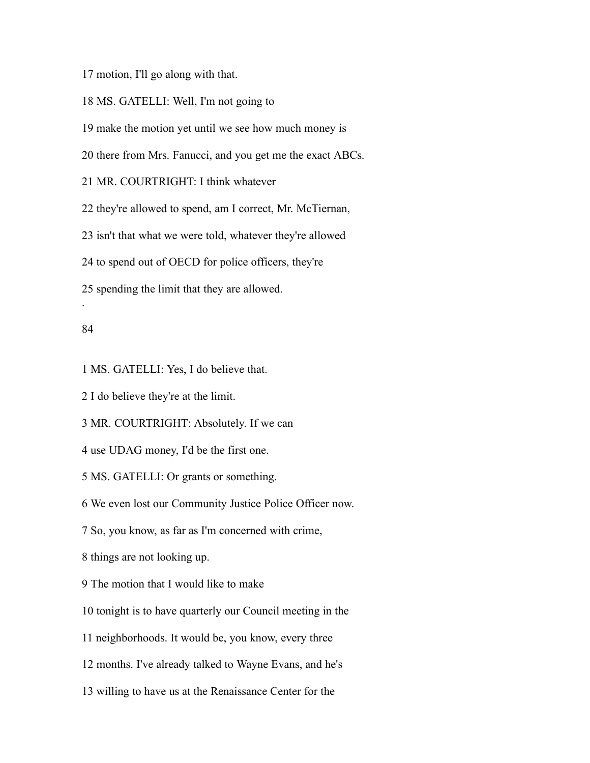motion, I'll go along with that.

MS. GATELLI: Well, I'm not going to

make the motion yet until we see how much money is

there from Mrs. Fanucci, and you get me the exact ABCs.

MR. COURTRIGHT: I think whatever

they're allowed to spend, am I correct, Mr. McTiernan,

isn't that what we were told, whatever they're allowed

to spend out of OECD for police officers, they're

spending the limit that they are allowed.

### 

.

MS. GATELLI: Yes, I do believe that.

I do believe they're at the limit.

MR. COURTRIGHT: Absolutely. If we can

use UDAG money, I'd be the first one.

MS. GATELLI: Or grants or something.

We even lost our Community Justice Police Officer now.

So, you know, as far as I'm concerned with crime,

things are not looking up.

The motion that I would like to make

tonight is to have quarterly our Council meeting in the

neighborhoods. It would be, you know, every three

months. I've already talked to Wayne Evans, and he's

willing to have us at the Renaissance Center for the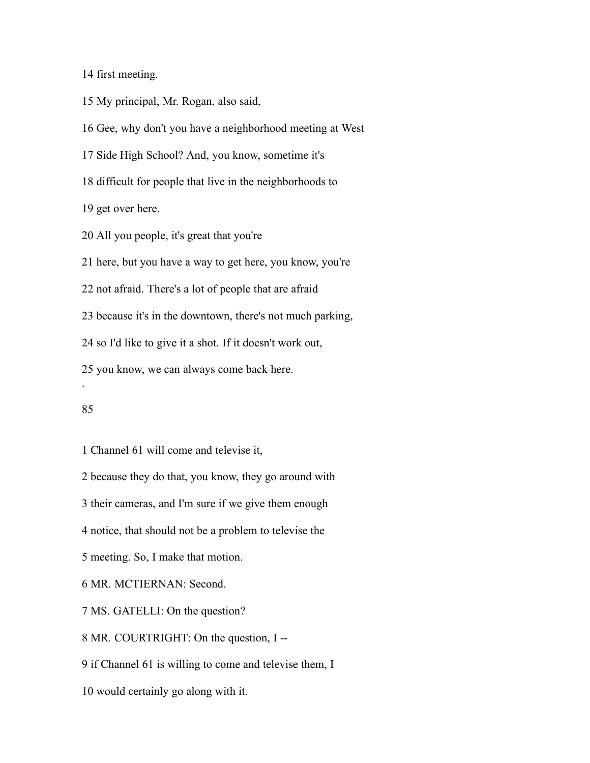first meeting.

My principal, Mr. Rogan, also said,

Gee, why don't you have a neighborhood meeting at West

Side High School? And, you know, sometime it's

difficult for people that live in the neighborhoods to

get over here.

All you people, it's great that you're

here, but you have a way to get here, you know, you're

not afraid. There's a lot of people that are afraid

because it's in the downtown, there's not much parking,

so I'd like to give it a shot. If it doesn't work out,

you know, we can always come back here.

.

Channel 61 will come and televise it,

because they do that, you know, they go around with

their cameras, and I'm sure if we give them enough

notice, that should not be a problem to televise the

meeting. So, I make that motion.

MR. MCTIERNAN: Second.

MS. GATELLI: On the question?

MR. COURTRIGHT: On the question, I --

if Channel 61 is willing to come and televise them, I

would certainly go along with it.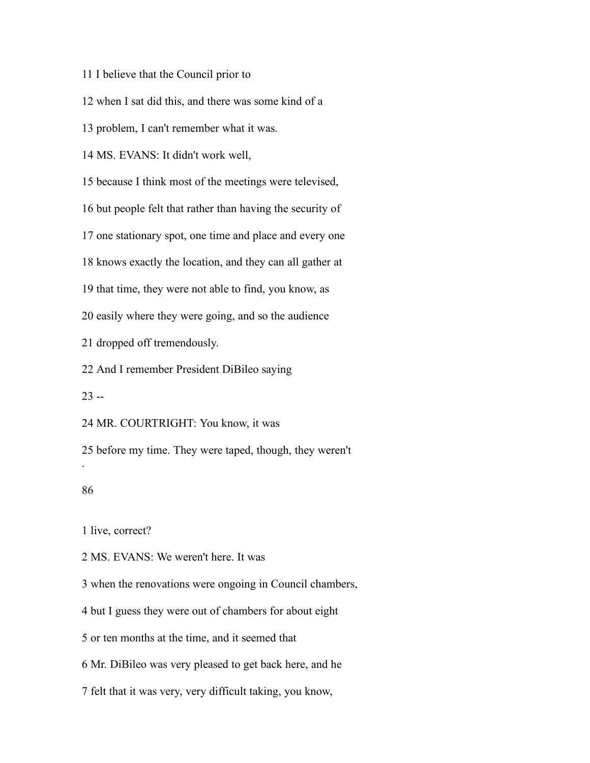I believe that the Council prior to

when I sat did this, and there was some kind of a

problem, I can't remember what it was.

MS. EVANS: It didn't work well,

because I think most of the meetings were televised,

but people felt that rather than having the security of

one stationary spot, one time and place and every one

knows exactly the location, and they can all gather at

that time, they were not able to find, you know, as

easily where they were going, and so the audience

dropped off tremendously.

And I remember President DiBileo saying

--

MR. COURTRIGHT: You know, it was

 before my time. They were taped, though, they weren't .

# 

live, correct?

MS. EVANS: We weren't here. It was

when the renovations were ongoing in Council chambers,

but I guess they were out of chambers for about eight

or ten months at the time, and it seemed that

Mr. DiBileo was very pleased to get back here, and he

felt that it was very, very difficult taking, you know,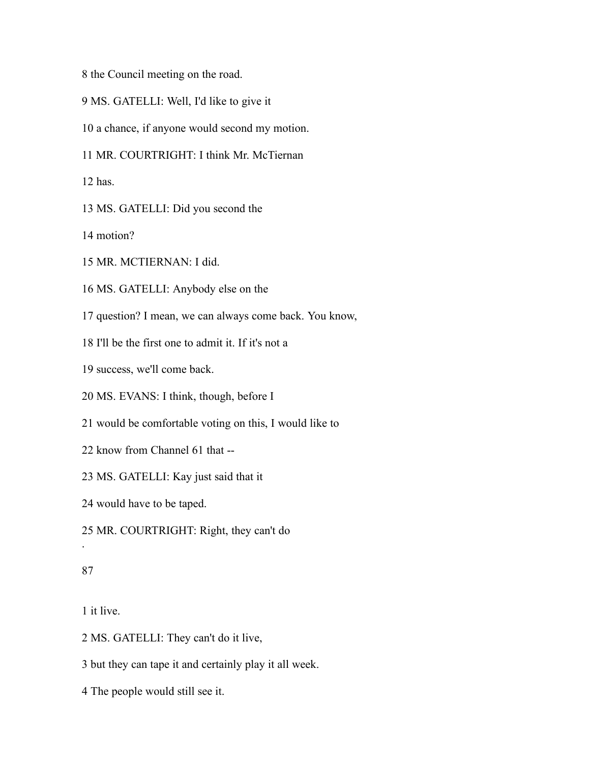the Council meeting on the road.

- MS. GATELLI: Well, I'd like to give it
- a chance, if anyone would second my motion.
- MR. COURTRIGHT: I think Mr. McTiernan

has.

MS. GATELLI: Did you second the

motion?

MR. MCTIERNAN: I did.

MS. GATELLI: Anybody else on the

question? I mean, we can always come back. You know,

I'll be the first one to admit it. If it's not a

success, we'll come back.

MS. EVANS: I think, though, before I

would be comfortable voting on this, I would like to

know from Channel 61 that --

MS. GATELLI: Kay just said that it

would have to be taped.

MR. COURTRIGHT: Right, they can't do

### 

.

it live.

MS. GATELLI: They can't do it live,

but they can tape it and certainly play it all week.

The people would still see it.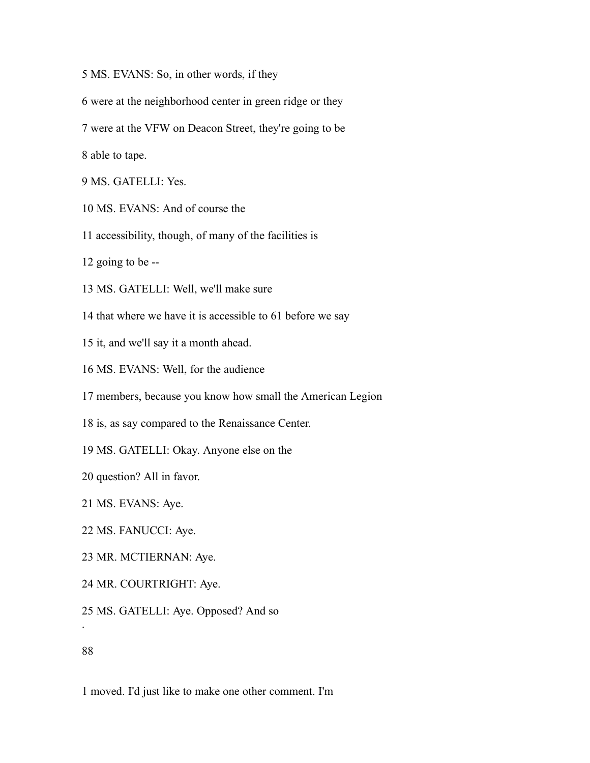- MS. EVANS: So, in other words, if they
- were at the neighborhood center in green ridge or they
- were at the VFW on Deacon Street, they're going to be

able to tape.

- MS. GATELLI: Yes.
- MS. EVANS: And of course the
- accessibility, though, of many of the facilities is
- going to be --
- MS. GATELLI: Well, we'll make sure
- that where we have it is accessible to 61 before we say
- it, and we'll say it a month ahead.
- MS. EVANS: Well, for the audience
- members, because you know how small the American Legion
- is, as say compared to the Renaissance Center.
- MS. GATELLI: Okay. Anyone else on the
- question? All in favor.
- MS. EVANS: Aye.
- MS. FANUCCI: Aye.
- MR. MCTIERNAN: Aye.
- MR. COURTRIGHT: Aye.
- MS. GATELLI: Aye. Opposed? And so

.

moved. I'd just like to make one other comment. I'm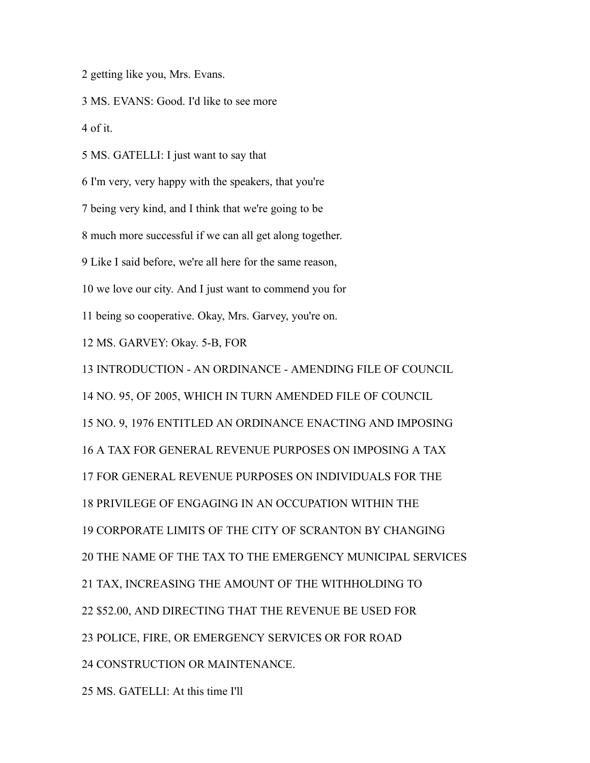getting like you, Mrs. Evans.

MS. EVANS: Good. I'd like to see more

of it.

MS. GATELLI: I just want to say that

I'm very, very happy with the speakers, that you're

being very kind, and I think that we're going to be

much more successful if we can all get along together.

Like I said before, we're all here for the same reason,

we love our city. And I just want to commend you for

being so cooperative. Okay, Mrs. Garvey, you're on.

MS. GARVEY: Okay. 5-B, FOR

INTRODUCTION - AN ORDINANCE - AMENDING FILE OF COUNCIL

NO. 95, OF 2005, WHICH IN TURN AMENDED FILE OF COUNCIL

NO. 9, 1976 ENTITLED AN ORDINANCE ENACTING AND IMPOSING

A TAX FOR GENERAL REVENUE PURPOSES ON IMPOSING A TAX

FOR GENERAL REVENUE PURPOSES ON INDIVIDUALS FOR THE

PRIVILEGE OF ENGAGING IN AN OCCUPATION WITHIN THE

CORPORATE LIMITS OF THE CITY OF SCRANTON BY CHANGING

THE NAME OF THE TAX TO THE EMERGENCY MUNICIPAL SERVICES

TAX, INCREASING THE AMOUNT OF THE WITHHOLDING TO

\$52.00, AND DIRECTING THAT THE REVENUE BE USED FOR

POLICE, FIRE, OR EMERGENCY SERVICES OR FOR ROAD

CONSTRUCTION OR MAINTENANCE.

MS. GATELLI: At this time I'll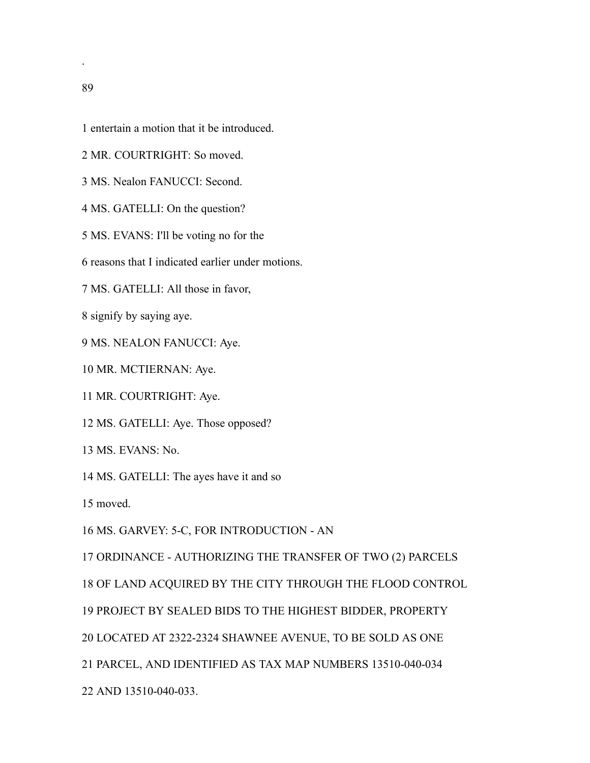entertain a motion that it be introduced.

- MR. COURTRIGHT: So moved.
- MS. Nealon FANUCCI: Second.
- MS. GATELLI: On the question?
- MS. EVANS: I'll be voting no for the
- reasons that I indicated earlier under motions.
- MS. GATELLI: All those in favor,
- signify by saying aye.
- MS. NEALON FANUCCI: Aye.
- MR. MCTIERNAN: Aye.
- MR. COURTRIGHT: Aye.
- MS. GATELLI: Aye. Those opposed?
- MS. EVANS: No.
- MS. GATELLI: The ayes have it and so
- moved.

MS. GARVEY: 5-C, FOR INTRODUCTION - AN

ORDINANCE - AUTHORIZING THE TRANSFER OF TWO (2) PARCELS

OF LAND ACQUIRED BY THE CITY THROUGH THE FLOOD CONTROL

PROJECT BY SEALED BIDS TO THE HIGHEST BIDDER, PROPERTY

LOCATED AT 2322-2324 SHAWNEE AVENUE, TO BE SOLD AS ONE

PARCEL, AND IDENTIFIED AS TAX MAP NUMBERS 13510-040-034

AND 13510-040-033.

.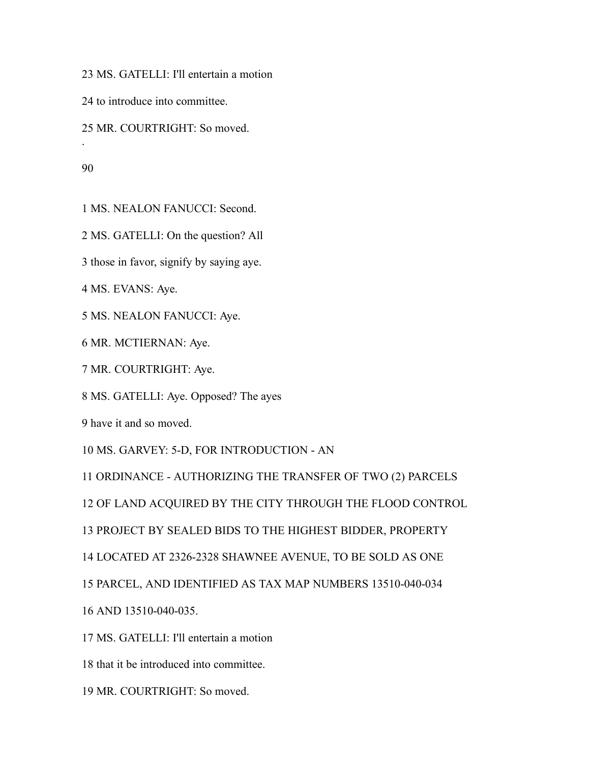MS. GATELLI: I'll entertain a motion

to introduce into committee.

MR. COURTRIGHT: So moved.

.

MS. NEALON FANUCCI: Second.

MS. GATELLI: On the question? All

those in favor, signify by saying aye.

MS. EVANS: Aye.

MS. NEALON FANUCCI: Aye.

MR. MCTIERNAN: Aye.

MR. COURTRIGHT: Aye.

MS. GATELLI: Aye. Opposed? The ayes

have it and so moved.

MS. GARVEY: 5-D, FOR INTRODUCTION - AN

ORDINANCE - AUTHORIZING THE TRANSFER OF TWO (2) PARCELS

OF LAND ACQUIRED BY THE CITY THROUGH THE FLOOD CONTROL

PROJECT BY SEALED BIDS TO THE HIGHEST BIDDER, PROPERTY

LOCATED AT 2326-2328 SHAWNEE AVENUE, TO BE SOLD AS ONE

PARCEL, AND IDENTIFIED AS TAX MAP NUMBERS 13510-040-034

AND 13510-040-035.

MS. GATELLI: I'll entertain a motion

that it be introduced into committee.

MR. COURTRIGHT: So moved.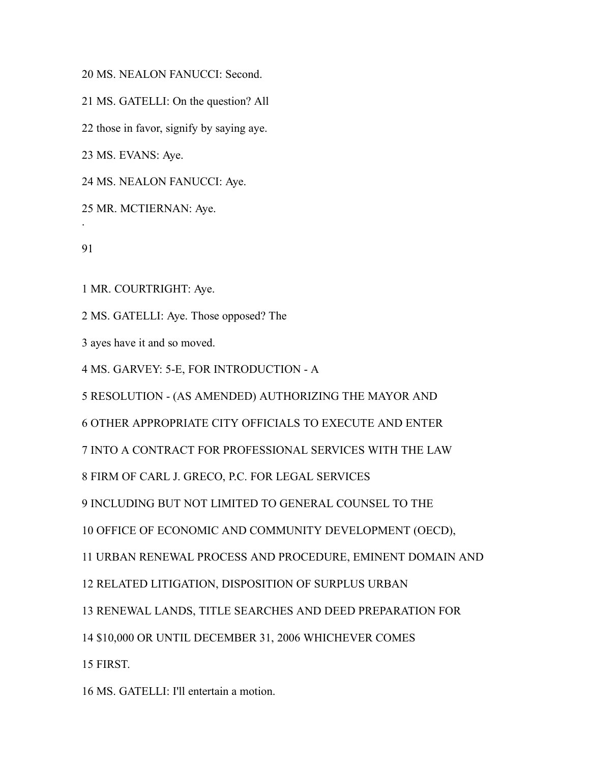MS. NEALON FANUCCI: Second.

MS. GATELLI: On the question? All

those in favor, signify by saying aye.

MS. EVANS: Aye.

MS. NEALON FANUCCI: Aye.

MR. MCTIERNAN: Aye.

.

MR. COURTRIGHT: Aye.

MS. GATELLI: Aye. Those opposed? The

ayes have it and so moved.

MS. GARVEY: 5-E, FOR INTRODUCTION - A

RESOLUTION - (AS AMENDED) AUTHORIZING THE MAYOR AND

OTHER APPROPRIATE CITY OFFICIALS TO EXECUTE AND ENTER

INTO A CONTRACT FOR PROFESSIONAL SERVICES WITH THE LAW

FIRM OF CARL J. GRECO, P.C. FOR LEGAL SERVICES

INCLUDING BUT NOT LIMITED TO GENERAL COUNSEL TO THE

OFFICE OF ECONOMIC AND COMMUNITY DEVELOPMENT (OECD),

URBAN RENEWAL PROCESS AND PROCEDURE, EMINENT DOMAIN AND

RELATED LITIGATION, DISPOSITION OF SURPLUS URBAN

RENEWAL LANDS, TITLE SEARCHES AND DEED PREPARATION FOR

\$10,000 OR UNTIL DECEMBER 31, 2006 WHICHEVER COMES

FIRST.

MS. GATELLI: I'll entertain a motion.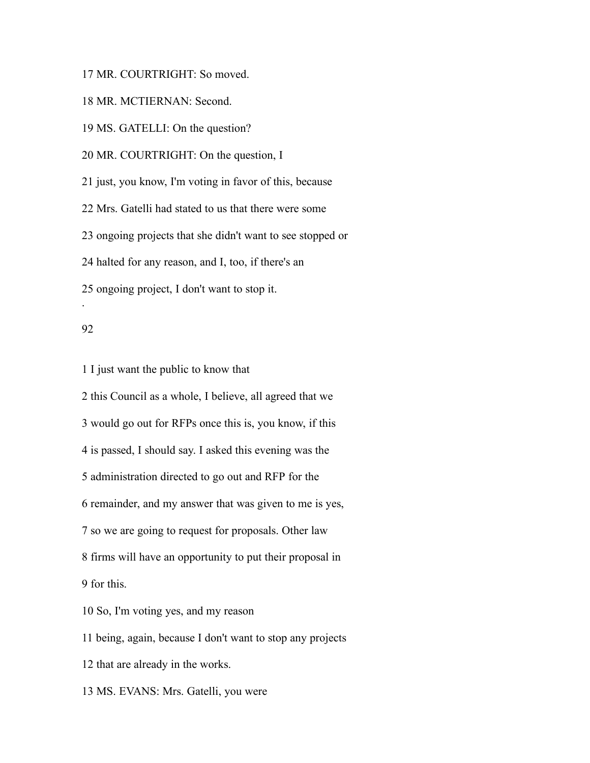MR. COURTRIGHT: So moved.

MR. MCTIERNAN: Second.

MS. GATELLI: On the question?

MR. COURTRIGHT: On the question, I

just, you know, I'm voting in favor of this, because

Mrs. Gatelli had stated to us that there were some

ongoing projects that she didn't want to see stopped or

halted for any reason, and I, too, if there's an

ongoing project, I don't want to stop it.

### 

.

I just want the public to know that

 this Council as a whole, I believe, all agreed that we would go out for RFPs once this is, you know, if this is passed, I should say. I asked this evening was the administration directed to go out and RFP for the remainder, and my answer that was given to me is yes, so we are going to request for proposals. Other law firms will have an opportunity to put their proposal in for this. So, I'm voting yes, and my reason being, again, because I don't want to stop any projects

that are already in the works.

MS. EVANS: Mrs. Gatelli, you were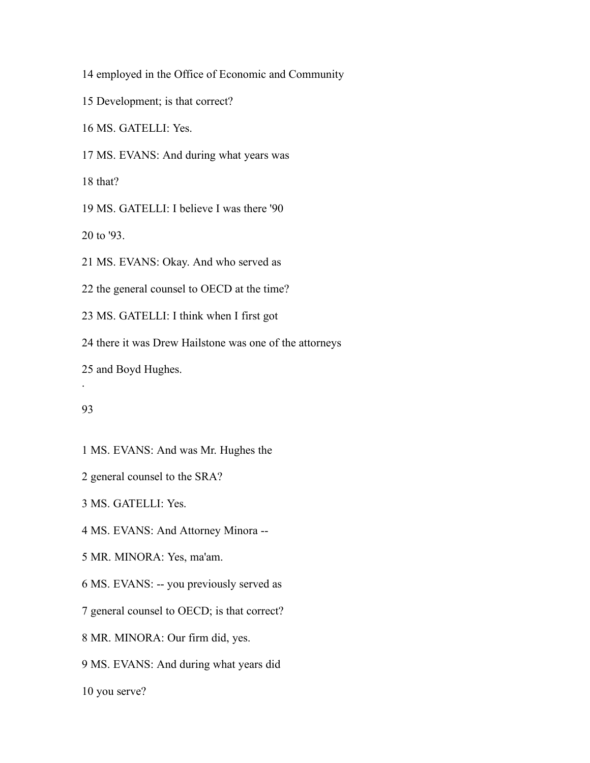employed in the Office of Economic and Community

Development; is that correct?

MS. GATELLI: Yes.

MS. EVANS: And during what years was

that?

MS. GATELLI: I believe I was there '90

to '93.

MS. EVANS: Okay. And who served as

the general counsel to OECD at the time?

MS. GATELLI: I think when I first got

there it was Drew Hailstone was one of the attorneys

and Boyd Hughes.

# 

.

MS. EVANS: And was Mr. Hughes the

general counsel to the SRA?

MS. GATELLI: Yes.

MS. EVANS: And Attorney Minora --

MR. MINORA: Yes, ma'am.

MS. EVANS: -- you previously served as

general counsel to OECD; is that correct?

MR. MINORA: Our firm did, yes.

MS. EVANS: And during what years did

you serve?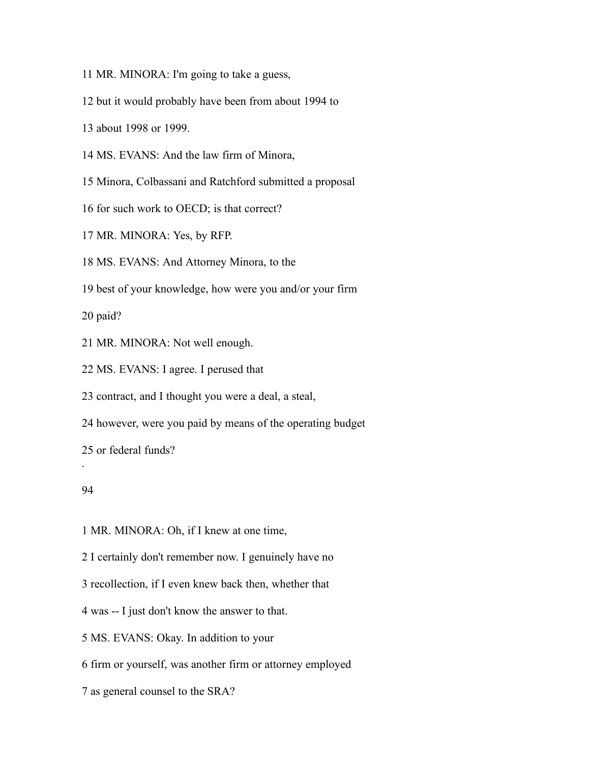MR. MINORA: I'm going to take a guess,

but it would probably have been from about 1994 to

about 1998 or 1999.

MS. EVANS: And the law firm of Minora,

Minora, Colbassani and Ratchford submitted a proposal

for such work to OECD; is that correct?

MR. MINORA: Yes, by RFP.

MS. EVANS: And Attorney Minora, to the

best of your knowledge, how were you and/or your firm

paid?

MR. MINORA: Not well enough.

MS. EVANS: I agree. I perused that

contract, and I thought you were a deal, a steal,

however, were you paid by means of the operating budget

or federal funds?

### 

.

MR. MINORA: Oh, if I knew at one time,

I certainly don't remember now. I genuinely have no

recollection, if I even knew back then, whether that

was -- I just don't know the answer to that.

MS. EVANS: Okay. In addition to your

firm or yourself, was another firm or attorney employed

as general counsel to the SRA?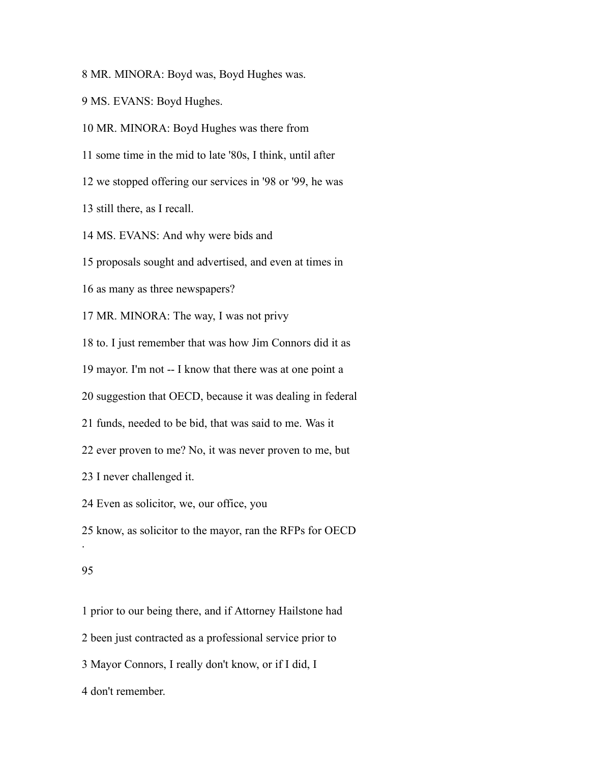MR. MINORA: Boyd was, Boyd Hughes was.

MS. EVANS: Boyd Hughes.

MR. MINORA: Boyd Hughes was there from

some time in the mid to late '80s, I think, until after

we stopped offering our services in '98 or '99, he was

still there, as I recall.

MS. EVANS: And why were bids and

proposals sought and advertised, and even at times in

as many as three newspapers?

MR. MINORA: The way, I was not privy

to. I just remember that was how Jim Connors did it as

mayor. I'm not -- I know that there was at one point a

suggestion that OECD, because it was dealing in federal

funds, needed to be bid, that was said to me. Was it

ever proven to me? No, it was never proven to me, but

I never challenged it.

Even as solicitor, we, our office, you

know, as solicitor to the mayor, ran the RFPs for OECD

#### 

.

prior to our being there, and if Attorney Hailstone had

been just contracted as a professional service prior to

Mayor Connors, I really don't know, or if I did, I

don't remember.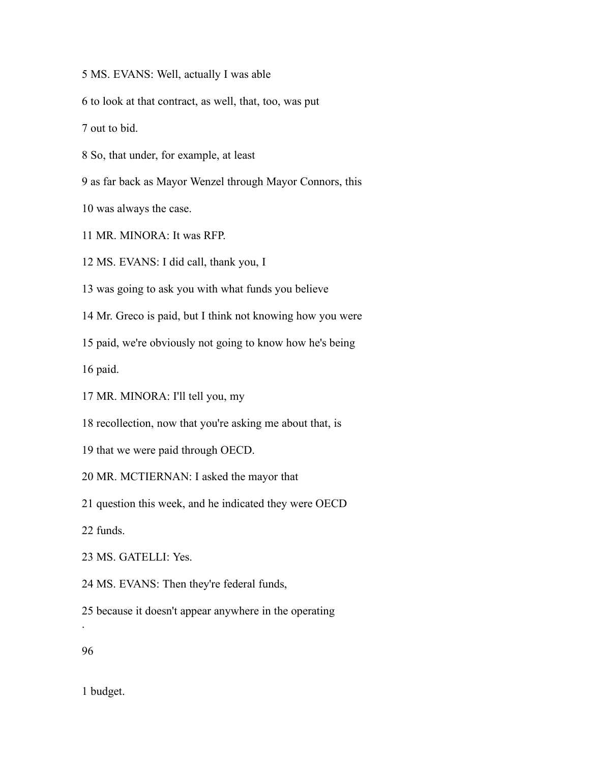MS. EVANS: Well, actually I was able

to look at that contract, as well, that, too, was put

out to bid.

So, that under, for example, at least

as far back as Mayor Wenzel through Mayor Connors, this

was always the case.

MR. MINORA: It was RFP.

MS. EVANS: I did call, thank you, I

was going to ask you with what funds you believe

Mr. Greco is paid, but I think not knowing how you were

paid, we're obviously not going to know how he's being

paid.

MR. MINORA: I'll tell you, my

recollection, now that you're asking me about that, is

that we were paid through OECD.

MR. MCTIERNAN: I asked the mayor that

question this week, and he indicated they were OECD

funds.

MS. GATELLI: Yes.

MS. EVANS: Then they're federal funds,

because it doesn't appear anywhere in the operating

.

budget.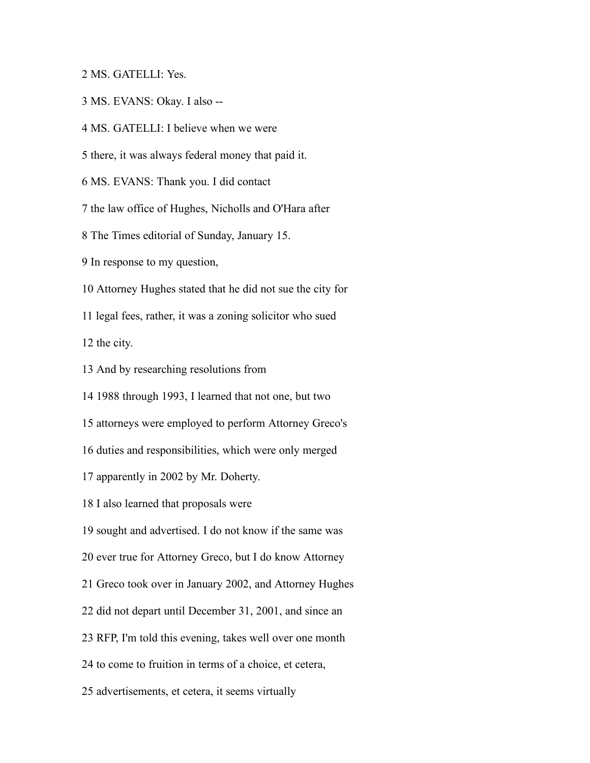MS. GATELLI: Yes.

MS. EVANS: Okay. I also --

MS. GATELLI: I believe when we were

there, it was always federal money that paid it.

MS. EVANS: Thank you. I did contact

the law office of Hughes, Nicholls and O'Hara after

The Times editorial of Sunday, January 15.

In response to my question,

Attorney Hughes stated that he did not sue the city for

legal fees, rather, it was a zoning solicitor who sued

the city.

And by researching resolutions from

1988 through 1993, I learned that not one, but two

attorneys were employed to perform Attorney Greco's

duties and responsibilities, which were only merged

apparently in 2002 by Mr. Doherty.

I also learned that proposals were

sought and advertised. I do not know if the same was

ever true for Attorney Greco, but I do know Attorney

Greco took over in January 2002, and Attorney Hughes

did not depart until December 31, 2001, and since an

RFP, I'm told this evening, takes well over one month

to come to fruition in terms of a choice, et cetera,

advertisements, et cetera, it seems virtually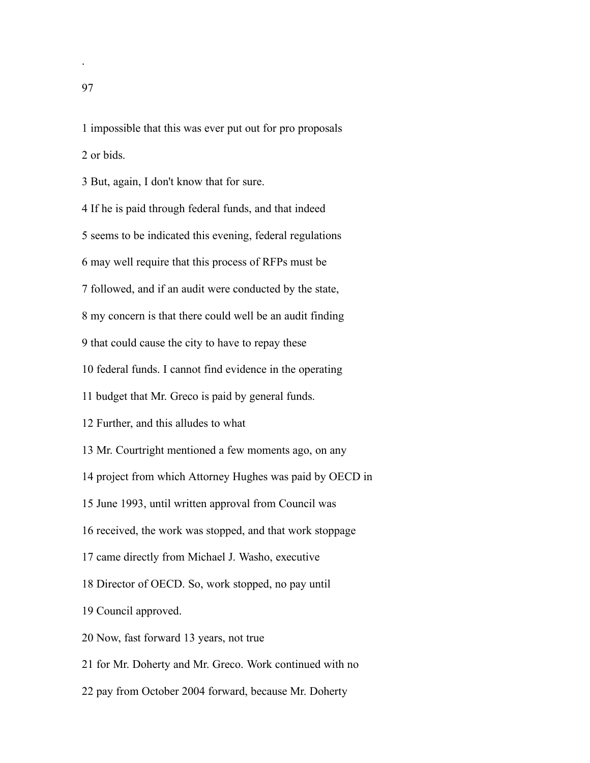impossible that this was ever put out for pro proposals or bids.

But, again, I don't know that for sure.

If he is paid through federal funds, and that indeed

seems to be indicated this evening, federal regulations

may well require that this process of RFPs must be

followed, and if an audit were conducted by the state,

my concern is that there could well be an audit finding

that could cause the city to have to repay these

federal funds. I cannot find evidence in the operating

budget that Mr. Greco is paid by general funds.

Further, and this alludes to what

Mr. Courtright mentioned a few moments ago, on any

project from which Attorney Hughes was paid by OECD in

June 1993, until written approval from Council was

received, the work was stopped, and that work stoppage

came directly from Michael J. Washo, executive

Director of OECD. So, work stopped, no pay until

Council approved.

Now, fast forward 13 years, not true

for Mr. Doherty and Mr. Greco. Work continued with no

pay from October 2004 forward, because Mr. Doherty

.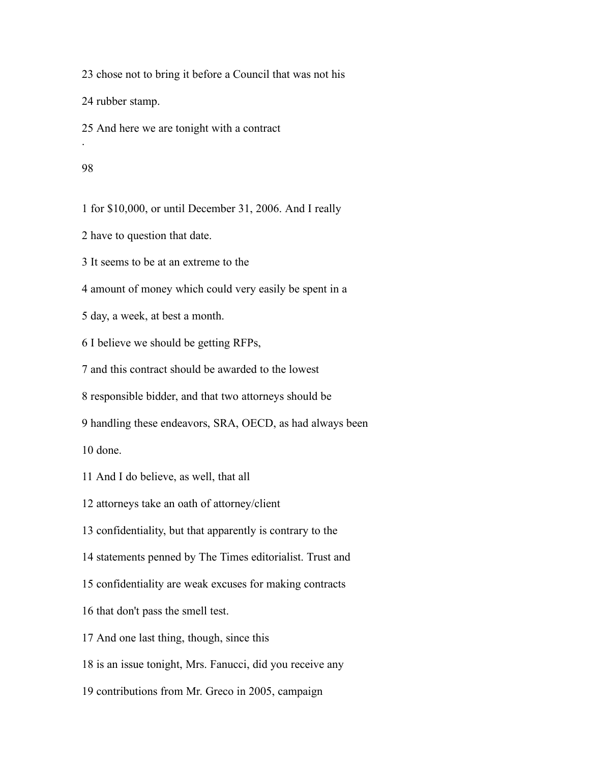chose not to bring it before a Council that was not his

rubber stamp.

And here we are tonight with a contract

#### 

.

for \$10,000, or until December 31, 2006. And I really

have to question that date.

It seems to be at an extreme to the

amount of money which could very easily be spent in a

day, a week, at best a month.

I believe we should be getting RFPs,

and this contract should be awarded to the lowest

responsible bidder, and that two attorneys should be

handling these endeavors, SRA, OECD, as had always been

done.

And I do believe, as well, that all

attorneys take an oath of attorney/client

confidentiality, but that apparently is contrary to the

statements penned by The Times editorialist. Trust and

confidentiality are weak excuses for making contracts

that don't pass the smell test.

And one last thing, though, since this

is an issue tonight, Mrs. Fanucci, did you receive any

contributions from Mr. Greco in 2005, campaign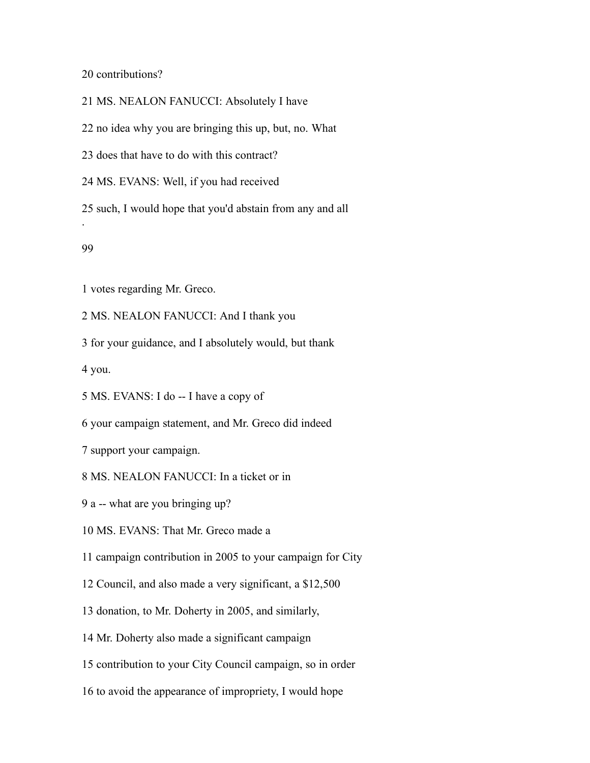20 contributions?

MS. NEALON FANUCCI: Absolutely I have

no idea why you are bringing this up, but, no. What

does that have to do with this contract?

MS. EVANS: Well, if you had received

 such, I would hope that you'd abstain from any and all .

### 

votes regarding Mr. Greco.

MS. NEALON FANUCCI: And I thank you

for your guidance, and I absolutely would, but thank

you.

MS. EVANS: I do -- I have a copy of

your campaign statement, and Mr. Greco did indeed

support your campaign.

MS. NEALON FANUCCI: In a ticket or in

a -- what are you bringing up?

MS. EVANS: That Mr. Greco made a

campaign contribution in 2005 to your campaign for City

Council, and also made a very significant, a \$12,500

donation, to Mr. Doherty in 2005, and similarly,

Mr. Doherty also made a significant campaign

contribution to your City Council campaign, so in order

to avoid the appearance of impropriety, I would hope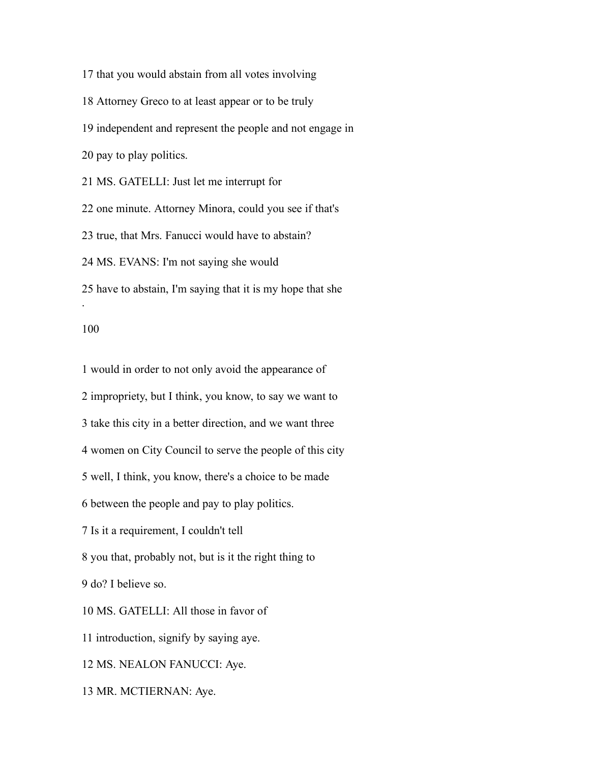that you would abstain from all votes involving Attorney Greco to at least appear or to be truly independent and represent the people and not engage in pay to play politics. MS. GATELLI: Just let me interrupt for one minute. Attorney Minora, could you see if that's true, that Mrs. Fanucci would have to abstain? MS. EVANS: I'm not saying she would have to abstain, I'm saying that it is my hope that she .

 would in order to not only avoid the appearance of impropriety, but I think, you know, to say we want to take this city in a better direction, and we want three women on City Council to serve the people of this city well, I think, you know, there's a choice to be made between the people and pay to play politics. Is it a requirement, I couldn't tell you that, probably not, but is it the right thing to do? I believe so. MS. GATELLI: All those in favor of introduction, signify by saying aye. MS. NEALON FANUCCI: Aye.

MR. MCTIERNAN: Aye.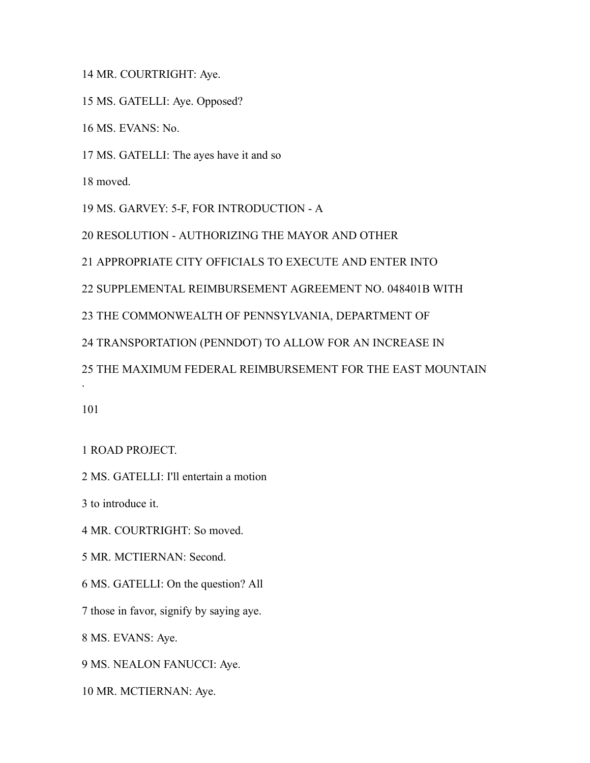MR. COURTRIGHT: Aye.

MS. GATELLI: Aye. Opposed?

MS. EVANS: No.

MS. GATELLI: The ayes have it and so

moved.

MS. GARVEY: 5-F, FOR INTRODUCTION - A

RESOLUTION - AUTHORIZING THE MAYOR AND OTHER

APPROPRIATE CITY OFFICIALS TO EXECUTE AND ENTER INTO

SUPPLEMENTAL REIMBURSEMENT AGREEMENT NO. 048401B WITH

THE COMMONWEALTH OF PENNSYLVANIA, DEPARTMENT OF

TRANSPORTATION (PENNDOT) TO ALLOW FOR AN INCREASE IN

THE MAXIMUM FEDERAL REIMBURSEMENT FOR THE EAST MOUNTAIN

.

ROAD PROJECT.

MS. GATELLI: I'll entertain a motion

to introduce it.

MR. COURTRIGHT: So moved.

MR. MCTIERNAN: Second.

MS. GATELLI: On the question? All

those in favor, signify by saying aye.

MS. EVANS: Aye.

MS. NEALON FANUCCI: Aye.

MR. MCTIERNAN: Aye.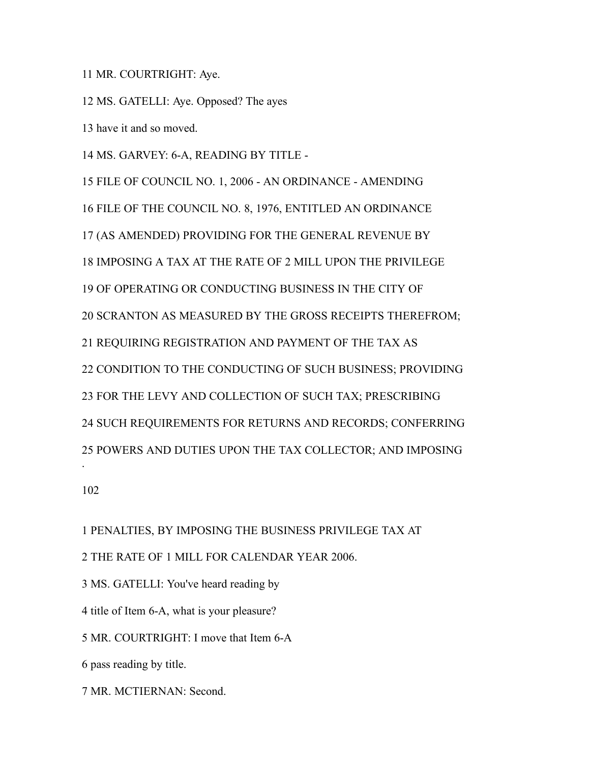MR. COURTRIGHT: Aye.

MS. GATELLI: Aye. Opposed? The ayes

have it and so moved.

MS. GARVEY: 6-A, READING BY TITLE -

 FILE OF COUNCIL NO. 1, 2006 - AN ORDINANCE - AMENDING FILE OF THE COUNCIL NO. 8, 1976, ENTITLED AN ORDINANCE (AS AMENDED) PROVIDING FOR THE GENERAL REVENUE BY IMPOSING A TAX AT THE RATE OF 2 MILL UPON THE PRIVILEGE OF OPERATING OR CONDUCTING BUSINESS IN THE CITY OF SCRANTON AS MEASURED BY THE GROSS RECEIPTS THEREFROM; REQUIRING REGISTRATION AND PAYMENT OF THE TAX AS CONDITION TO THE CONDUCTING OF SUCH BUSINESS; PROVIDING FOR THE LEVY AND COLLECTION OF SUCH TAX; PRESCRIBING SUCH REQUIREMENTS FOR RETURNS AND RECORDS; CONFERRING POWERS AND DUTIES UPON THE TAX COLLECTOR; AND IMPOSING . 

PENALTIES, BY IMPOSING THE BUSINESS PRIVILEGE TAX AT

THE RATE OF 1 MILL FOR CALENDAR YEAR 2006.

MS. GATELLI: You've heard reading by

title of Item 6-A, what is your pleasure?

MR. COURTRIGHT: I move that Item 6-A

pass reading by title.

MR. MCTIERNAN: Second.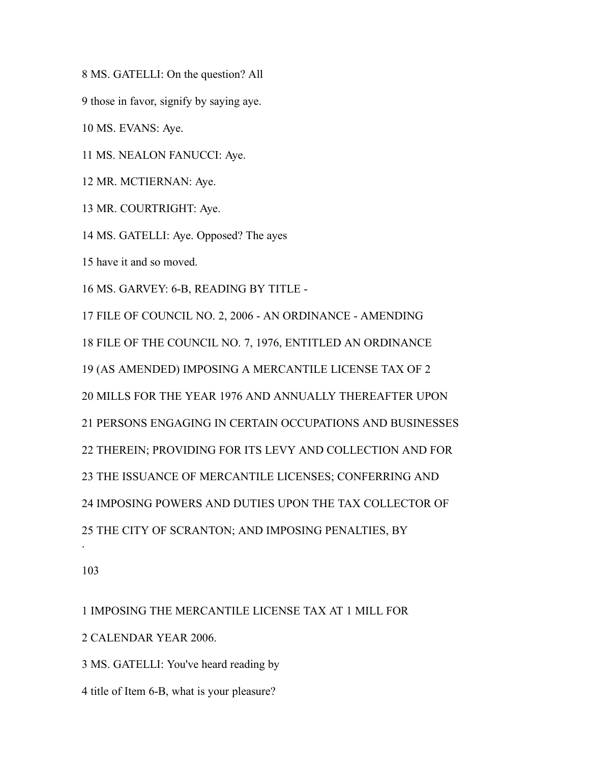MS. GATELLI: On the question? All

those in favor, signify by saying aye.

MS. EVANS: Aye.

MS. NEALON FANUCCI: Aye.

MR. MCTIERNAN: Aye.

MR. COURTRIGHT: Aye.

MS. GATELLI: Aye. Opposed? The ayes

have it and so moved.

MS. GARVEY: 6-B, READING BY TITLE -

 FILE OF COUNCIL NO. 2, 2006 - AN ORDINANCE - AMENDING FILE OF THE COUNCIL NO. 7, 1976, ENTITLED AN ORDINANCE (AS AMENDED) IMPOSING A MERCANTILE LICENSE TAX OF 2 MILLS FOR THE YEAR 1976 AND ANNUALLY THEREAFTER UPON PERSONS ENGAGING IN CERTAIN OCCUPATIONS AND BUSINESSES THEREIN; PROVIDING FOR ITS LEVY AND COLLECTION AND FOR THE ISSUANCE OF MERCANTILE LICENSES; CONFERRING AND IMPOSING POWERS AND DUTIES UPON THE TAX COLLECTOR OF THE CITY OF SCRANTON; AND IMPOSING PENALTIES, BY .

 IMPOSING THE MERCANTILE LICENSE TAX AT 1 MILL FOR CALENDAR YEAR 2006.

MS. GATELLI: You've heard reading by

title of Item 6-B, what is your pleasure?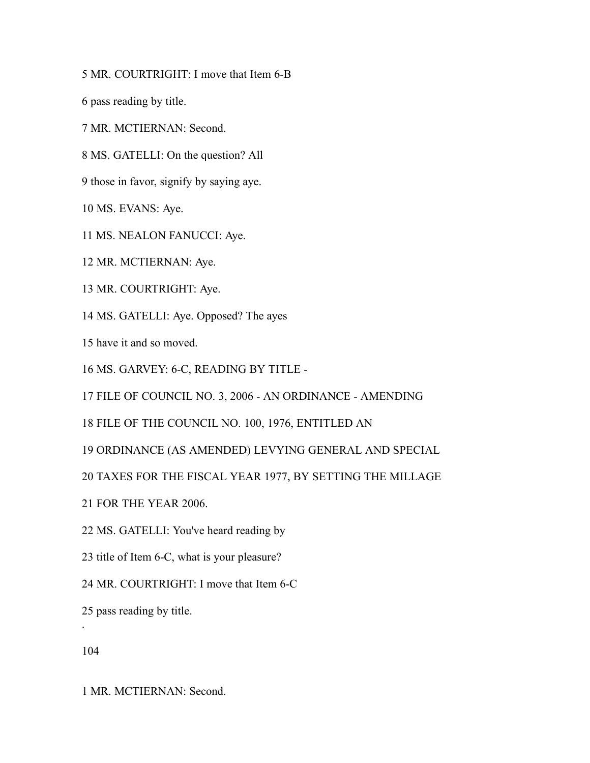MR. COURTRIGHT: I move that Item 6-B

pass reading by title.

MR. MCTIERNAN: Second.

MS. GATELLI: On the question? All

those in favor, signify by saying aye.

MS. EVANS: Aye.

MS. NEALON FANUCCI: Aye.

MR. MCTIERNAN: Aye.

MR. COURTRIGHT: Aye.

MS. GATELLI: Aye. Opposed? The ayes

have it and so moved.

MS. GARVEY: 6-C, READING BY TITLE -

FILE OF COUNCIL NO. 3, 2006 - AN ORDINANCE - AMENDING

FILE OF THE COUNCIL NO. 100, 1976, ENTITLED AN

ORDINANCE (AS AMENDED) LEVYING GENERAL AND SPECIAL

TAXES FOR THE FISCAL YEAR 1977, BY SETTING THE MILLAGE

FOR THE YEAR 2006.

MS. GATELLI: You've heard reading by

title of Item 6-C, what is your pleasure?

MR. COURTRIGHT: I move that Item 6-C

pass reading by title.

.

MR. MCTIERNAN: Second.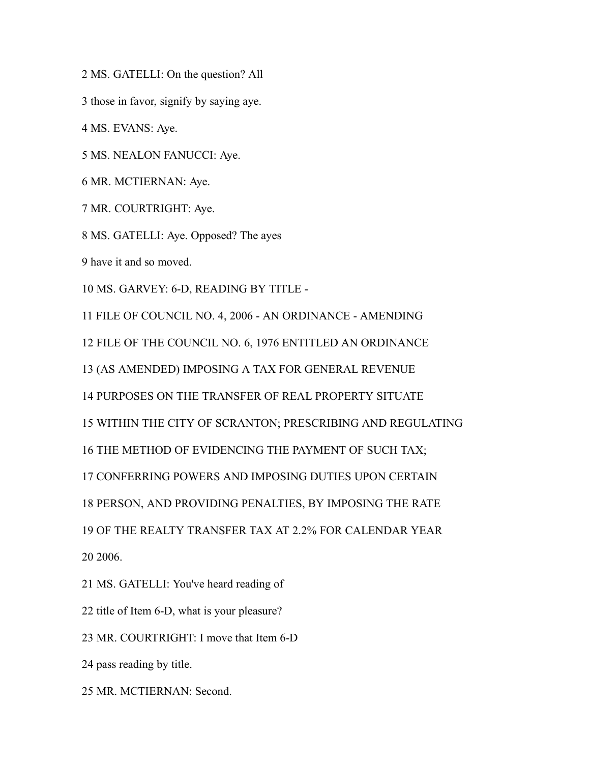MS. GATELLI: On the question? All

those in favor, signify by saying aye.

MS. EVANS: Aye.

MS. NEALON FANUCCI: Aye.

MR. MCTIERNAN: Aye.

MR. COURTRIGHT: Aye.

MS. GATELLI: Aye. Opposed? The ayes

have it and so moved.

MS. GARVEY: 6-D, READING BY TITLE -

FILE OF COUNCIL NO. 4, 2006 - AN ORDINANCE - AMENDING

FILE OF THE COUNCIL NO. 6, 1976 ENTITLED AN ORDINANCE

(AS AMENDED) IMPOSING A TAX FOR GENERAL REVENUE

PURPOSES ON THE TRANSFER OF REAL PROPERTY SITUATE

WITHIN THE CITY OF SCRANTON; PRESCRIBING AND REGULATING

THE METHOD OF EVIDENCING THE PAYMENT OF SUCH TAX;

CONFERRING POWERS AND IMPOSING DUTIES UPON CERTAIN

PERSON, AND PROVIDING PENALTIES, BY IMPOSING THE RATE

OF THE REALTY TRANSFER TAX AT 2.2% FOR CALENDAR YEAR

2006.

MS. GATELLI: You've heard reading of

title of Item 6-D, what is your pleasure?

MR. COURTRIGHT: I move that Item 6-D

pass reading by title.

MR. MCTIERNAN: Second.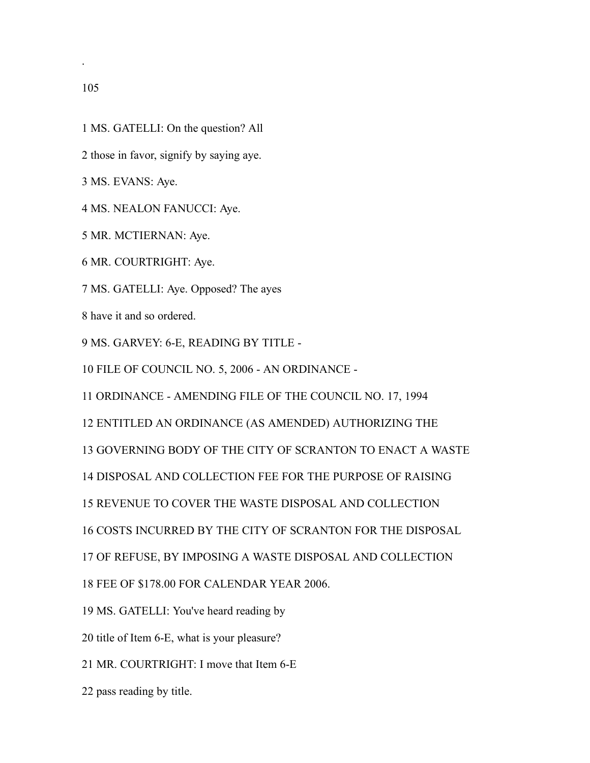.

- MS. GATELLI: On the question? All
- those in favor, signify by saying aye.
- MS. EVANS: Aye.
- MS. NEALON FANUCCI: Aye.
- MR. MCTIERNAN: Aye.
- MR. COURTRIGHT: Aye.
- MS. GATELLI: Aye. Opposed? The ayes
- have it and so ordered.
- MS. GARVEY: 6-E, READING BY TITLE -
- FILE OF COUNCIL NO. 5, 2006 AN ORDINANCE -
- ORDINANCE AMENDING FILE OF THE COUNCIL NO. 17, 1994
- ENTITLED AN ORDINANCE (AS AMENDED) AUTHORIZING THE
- GOVERNING BODY OF THE CITY OF SCRANTON TO ENACT A WASTE
- DISPOSAL AND COLLECTION FEE FOR THE PURPOSE OF RAISING
- REVENUE TO COVER THE WASTE DISPOSAL AND COLLECTION
- COSTS INCURRED BY THE CITY OF SCRANTON FOR THE DISPOSAL
- OF REFUSE, BY IMPOSING A WASTE DISPOSAL AND COLLECTION
- FEE OF \$178.00 FOR CALENDAR YEAR 2006.
- MS. GATELLI: You've heard reading by
- title of Item 6-E, what is your pleasure?
- MR. COURTRIGHT: I move that Item 6-E
- pass reading by title.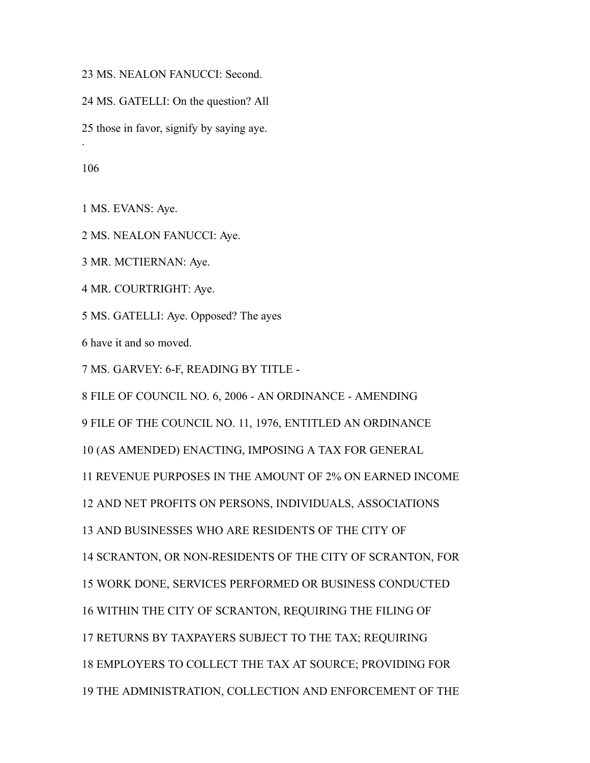MS. NEALON FANUCCI: Second.

MS. GATELLI: On the question? All

those in favor, signify by saying aye.

.

MS. EVANS: Aye.

MS. NEALON FANUCCI: Aye.

MR. MCTIERNAN: Aye.

MR. COURTRIGHT: Aye.

MS. GATELLI: Aye. Opposed? The ayes

have it and so moved.

MS. GARVEY: 6-F, READING BY TITLE -

 FILE OF COUNCIL NO. 6, 2006 - AN ORDINANCE - AMENDING FILE OF THE COUNCIL NO. 11, 1976, ENTITLED AN ORDINANCE (AS AMENDED) ENACTING, IMPOSING A TAX FOR GENERAL REVENUE PURPOSES IN THE AMOUNT OF 2% ON EARNED INCOME AND NET PROFITS ON PERSONS, INDIVIDUALS, ASSOCIATIONS AND BUSINESSES WHO ARE RESIDENTS OF THE CITY OF SCRANTON, OR NON-RESIDENTS OF THE CITY OF SCRANTON, FOR WORK DONE, SERVICES PERFORMED OR BUSINESS CONDUCTED WITHIN THE CITY OF SCRANTON, REQUIRING THE FILING OF RETURNS BY TAXPAYERS SUBJECT TO THE TAX; REQUIRING EMPLOYERS TO COLLECT THE TAX AT SOURCE; PROVIDING FOR THE ADMINISTRATION, COLLECTION AND ENFORCEMENT OF THE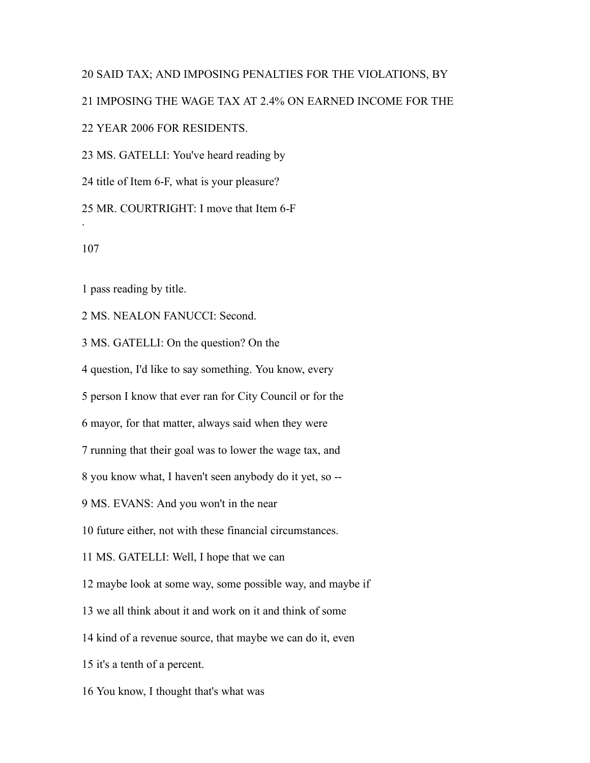### SAID TAX; AND IMPOSING PENALTIES FOR THE VIOLATIONS, BY

IMPOSING THE WAGE TAX AT 2.4% ON EARNED INCOME FOR THE

YEAR 2006 FOR RESIDENTS.

MS. GATELLI: You've heard reading by

title of Item 6-F, what is your pleasure?

MR. COURTRIGHT: I move that Item 6-F

.

pass reading by title.

MS. NEALON FANUCCI: Second.

MS. GATELLI: On the question? On the

question, I'd like to say something. You know, every

person I know that ever ran for City Council or for the

mayor, for that matter, always said when they were

running that their goal was to lower the wage tax, and

you know what, I haven't seen anybody do it yet, so --

MS. EVANS: And you won't in the near

future either, not with these financial circumstances.

MS. GATELLI: Well, I hope that we can

maybe look at some way, some possible way, and maybe if

we all think about it and work on it and think of some

kind of a revenue source, that maybe we can do it, even

it's a tenth of a percent.

You know, I thought that's what was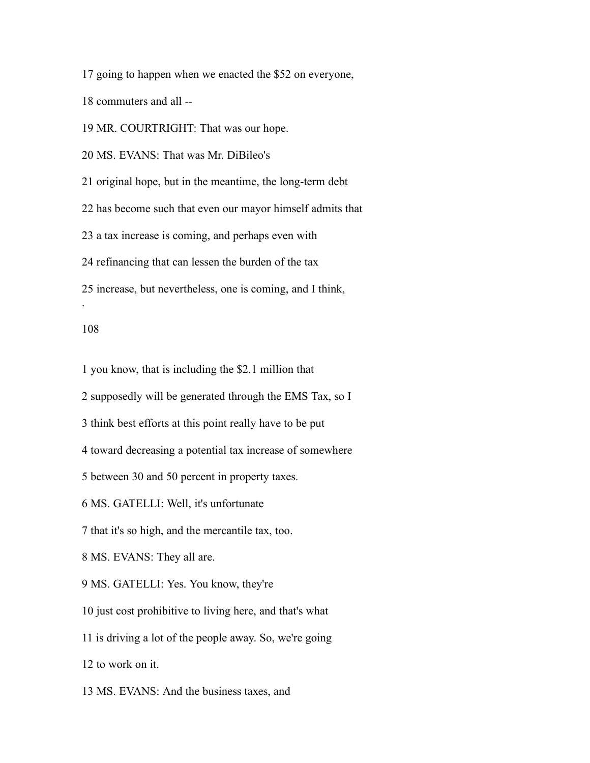going to happen when we enacted the \$52 on everyone,

commuters and all --

MR. COURTRIGHT: That was our hope.

MS. EVANS: That was Mr. DiBileo's

original hope, but in the meantime, the long-term debt

has become such that even our mayor himself admits that

a tax increase is coming, and perhaps even with

refinancing that can lessen the burden of the tax

increase, but nevertheless, one is coming, and I think,

### 

.

you know, that is including the \$2.1 million that

supposedly will be generated through the EMS Tax, so I

think best efforts at this point really have to be put

toward decreasing a potential tax increase of somewhere

between 30 and 50 percent in property taxes.

MS. GATELLI: Well, it's unfortunate

that it's so high, and the mercantile tax, too.

MS. EVANS: They all are.

MS. GATELLI: Yes. You know, they're

just cost prohibitive to living here, and that's what

is driving a lot of the people away. So, we're going

to work on it.

MS. EVANS: And the business taxes, and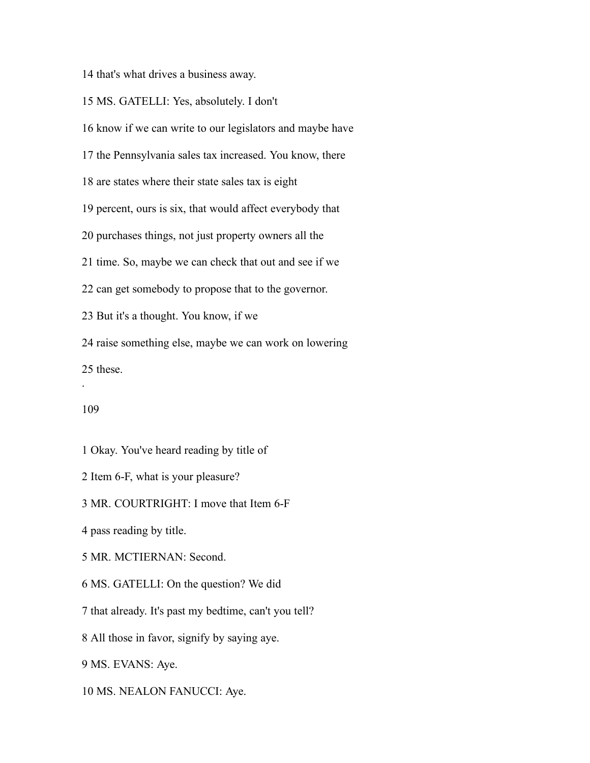that's what drives a business away.

MS. GATELLI: Yes, absolutely. I don't

know if we can write to our legislators and maybe have

the Pennsylvania sales tax increased. You know, there

are states where their state sales tax is eight

percent, ours is six, that would affect everybody that

purchases things, not just property owners all the

time. So, maybe we can check that out and see if we

can get somebody to propose that to the governor.

But it's a thought. You know, if we

raise something else, maybe we can work on lowering

these.

#### 

.

Okay. You've heard reading by title of

Item 6-F, what is your pleasure?

MR. COURTRIGHT: I move that Item 6-F

pass reading by title.

MR. MCTIERNAN: Second.

MS. GATELLI: On the question? We did

that already. It's past my bedtime, can't you tell?

All those in favor, signify by saying aye.

MS. EVANS: Aye.

MS. NEALON FANUCCI: Aye.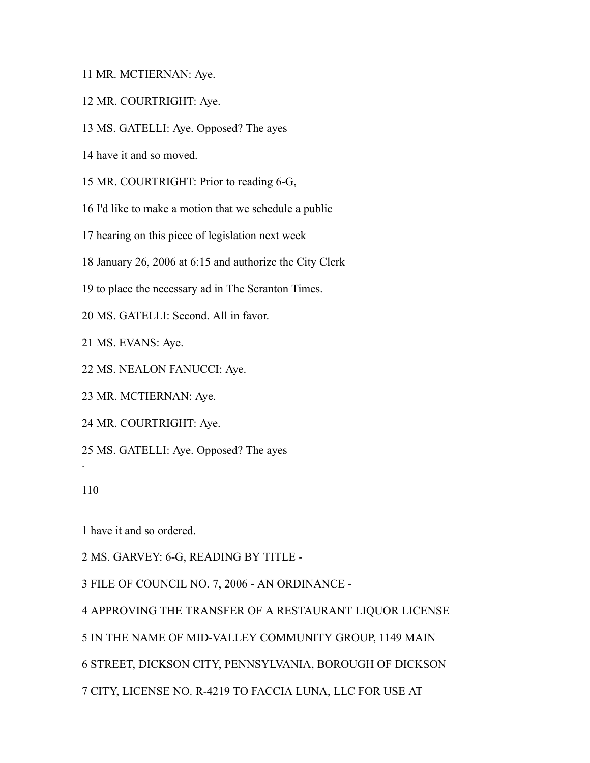MR. MCTIERNAN: Aye.

- MR. COURTRIGHT: Aye.
- MS. GATELLI: Aye. Opposed? The ayes
- have it and so moved.
- MR. COURTRIGHT: Prior to reading 6-G,
- I'd like to make a motion that we schedule a public
- hearing on this piece of legislation next week
- January 26, 2006 at 6:15 and authorize the City Clerk
- to place the necessary ad in The Scranton Times.
- MS. GATELLI: Second. All in favor.
- MS. EVANS: Aye.
- MS. NEALON FANUCCI: Aye.
- MR. MCTIERNAN: Aye.
- MR. COURTRIGHT: Aye.
- MS. GATELLI: Aye. Opposed? The ayes
- 

.

have it and so ordered.

MS. GARVEY: 6-G, READING BY TITLE -

FILE OF COUNCIL NO. 7, 2006 - AN ORDINANCE -

APPROVING THE TRANSFER OF A RESTAURANT LIQUOR LICENSE

IN THE NAME OF MID-VALLEY COMMUNITY GROUP, 1149 MAIN

STREET, DICKSON CITY, PENNSYLVANIA, BOROUGH OF DICKSON

CITY, LICENSE NO. R-4219 TO FACCIA LUNA, LLC FOR USE AT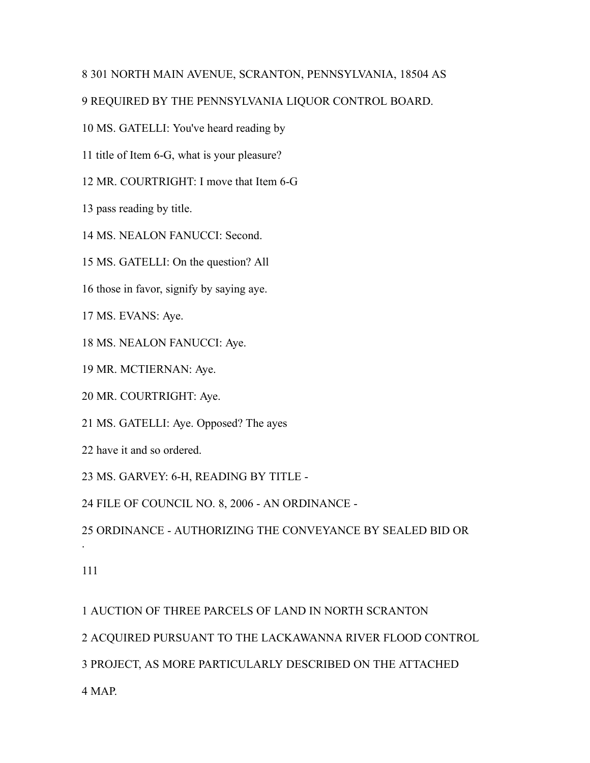## 301 NORTH MAIN AVENUE, SCRANTON, PENNSYLVANIA, 18504 AS

# REQUIRED BY THE PENNSYLVANIA LIQUOR CONTROL BOARD.

MS. GATELLI: You've heard reading by

title of Item 6-G, what is your pleasure?

MR. COURTRIGHT: I move that Item 6-G

pass reading by title.

MS. NEALON FANUCCI: Second.

MS. GATELLI: On the question? All

those in favor, signify by saying aye.

MS. EVANS: Aye.

MS. NEALON FANUCCI: Aye.

MR. MCTIERNAN: Aye.

MR. COURTRIGHT: Aye.

MS. GATELLI: Aye. Opposed? The ayes

have it and so ordered.

MS. GARVEY: 6-H, READING BY TITLE -

FILE OF COUNCIL NO. 8, 2006 - AN ORDINANCE -

ORDINANCE - AUTHORIZING THE CONVEYANCE BY SEALED BID OR

.

AUCTION OF THREE PARCELS OF LAND IN NORTH SCRANTON

ACQUIRED PURSUANT TO THE LACKAWANNA RIVER FLOOD CONTROL

PROJECT, AS MORE PARTICULARLY DESCRIBED ON THE ATTACHED

MAP.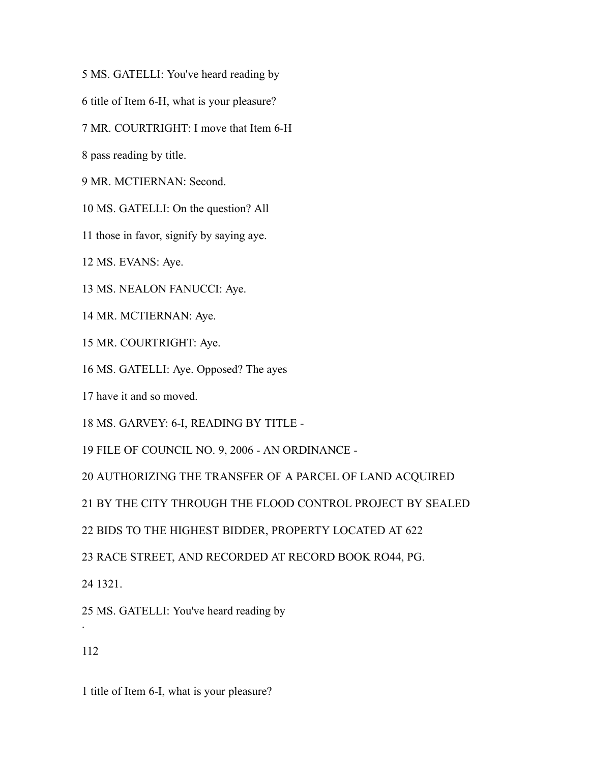MS. GATELLI: You've heard reading by

title of Item 6-H, what is your pleasure?

MR. COURTRIGHT: I move that Item 6-H

pass reading by title.

MR. MCTIERNAN: Second.

MS. GATELLI: On the question? All

those in favor, signify by saying aye.

MS. EVANS: Aye.

MS. NEALON FANUCCI: Aye.

MR. MCTIERNAN: Aye.

MR. COURTRIGHT: Aye.

MS. GATELLI: Aye. Opposed? The ayes

have it and so moved.

MS. GARVEY: 6-I, READING BY TITLE -

FILE OF COUNCIL NO. 9, 2006 - AN ORDINANCE -

AUTHORIZING THE TRANSFER OF A PARCEL OF LAND ACQUIRED

BY THE CITY THROUGH THE FLOOD CONTROL PROJECT BY SEALED

BIDS TO THE HIGHEST BIDDER, PROPERTY LOCATED AT 622

RACE STREET, AND RECORDED AT RECORD BOOK RO44, PG.

1321.

MS. GATELLI: You've heard reading by

.

title of Item 6-I, what is your pleasure?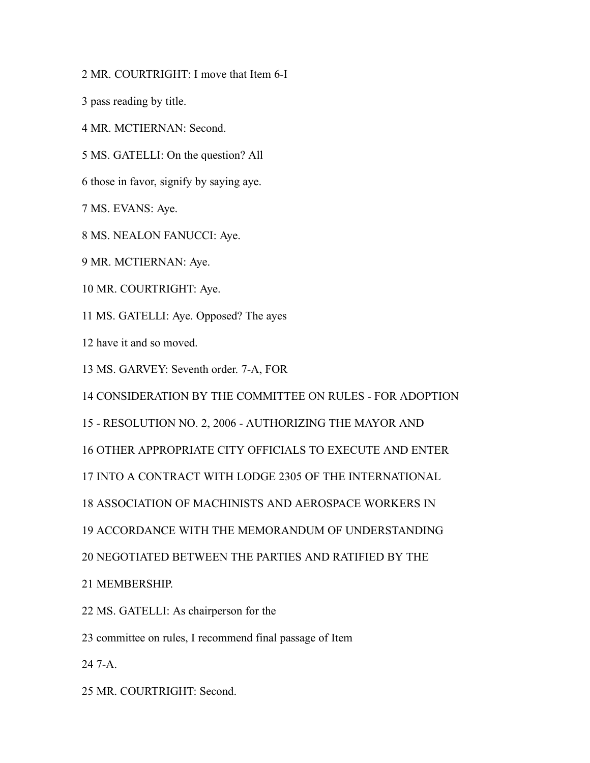MR. COURTRIGHT: I move that Item 6-I

pass reading by title.

MR. MCTIERNAN: Second.

MS. GATELLI: On the question? All

those in favor, signify by saying aye.

MS. EVANS: Aye.

MS. NEALON FANUCCI: Aye.

MR. MCTIERNAN: Aye.

MR. COURTRIGHT: Aye.

MS. GATELLI: Aye. Opposed? The ayes

have it and so moved.

MS. GARVEY: Seventh order. 7-A, FOR

CONSIDERATION BY THE COMMITTEE ON RULES - FOR ADOPTION

- RESOLUTION NO. 2, 2006 - AUTHORIZING THE MAYOR AND

OTHER APPROPRIATE CITY OFFICIALS TO EXECUTE AND ENTER

INTO A CONTRACT WITH LODGE 2305 OF THE INTERNATIONAL

ASSOCIATION OF MACHINISTS AND AEROSPACE WORKERS IN

ACCORDANCE WITH THE MEMORANDUM OF UNDERSTANDING

NEGOTIATED BETWEEN THE PARTIES AND RATIFIED BY THE

MEMBERSHIP.

MS. GATELLI: As chairperson for the

committee on rules, I recommend final passage of Item

7-A.

MR. COURTRIGHT: Second.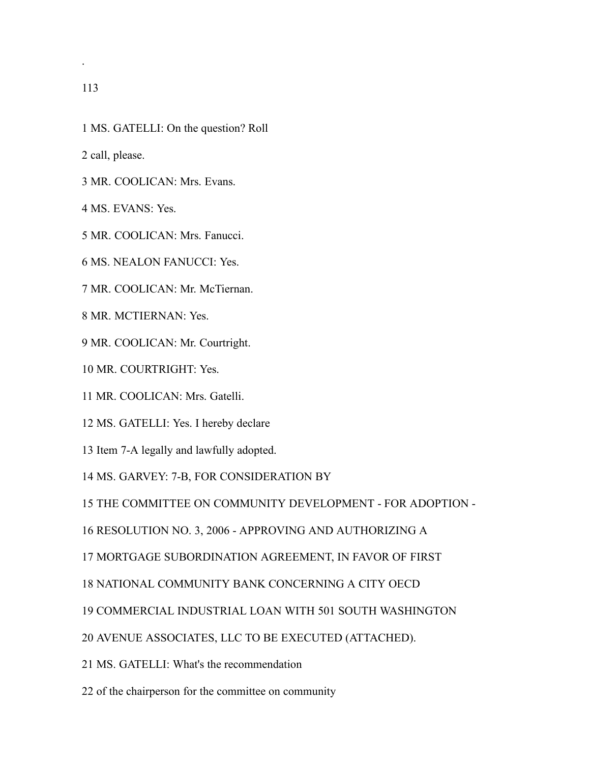.

- MS. GATELLI: On the question? Roll
- call, please.
- MR. COOLICAN: Mrs. Evans.

MS. EVANS: Yes.

- MR. COOLICAN: Mrs. Fanucci.
- MS. NEALON FANUCCI: Yes.
- MR. COOLICAN: Mr. McTiernan.
- MR. MCTIERNAN: Yes.
- MR. COOLICAN: Mr. Courtright.
- MR. COURTRIGHT: Yes.
- MR. COOLICAN: Mrs. Gatelli.
- MS. GATELLI: Yes. I hereby declare
- Item 7-A legally and lawfully adopted.
- MS. GARVEY: 7-B, FOR CONSIDERATION BY
- THE COMMITTEE ON COMMUNITY DEVELOPMENT FOR ADOPTION -
- RESOLUTION NO. 3, 2006 APPROVING AND AUTHORIZING A
- MORTGAGE SUBORDINATION AGREEMENT, IN FAVOR OF FIRST
- NATIONAL COMMUNITY BANK CONCERNING A CITY OECD
- COMMERCIAL INDUSTRIAL LOAN WITH 501 SOUTH WASHINGTON
- AVENUE ASSOCIATES, LLC TO BE EXECUTED (ATTACHED).
- MS. GATELLI: What's the recommendation
- of the chairperson for the committee on community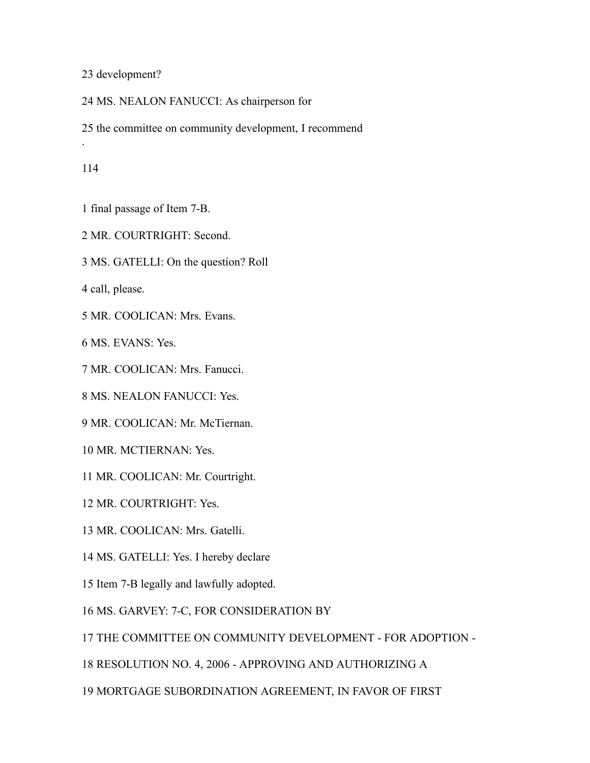development?

MS. NEALON FANUCCI: As chairperson for

the committee on community development, I recommend

.

- final passage of Item 7-B.
- MR. COURTRIGHT: Second.
- MS. GATELLI: On the question? Roll

call, please.

MR. COOLICAN: Mrs. Evans.

MS. EVANS: Yes.

MR. COOLICAN: Mrs. Fanucci.

MS. NEALON FANUCCI: Yes.

MR. COOLICAN: Mr. McTiernan.

MR. MCTIERNAN: Yes.

MR. COOLICAN: Mr. Courtright.

MR. COURTRIGHT: Yes.

MR. COOLICAN: Mrs. Gatelli.

MS. GATELLI: Yes. I hereby declare

Item 7-B legally and lawfully adopted.

MS. GARVEY: 7-C, FOR CONSIDERATION BY

THE COMMITTEE ON COMMUNITY DEVELOPMENT - FOR ADOPTION -

RESOLUTION NO. 4, 2006 - APPROVING AND AUTHORIZING A

MORTGAGE SUBORDINATION AGREEMENT, IN FAVOR OF FIRST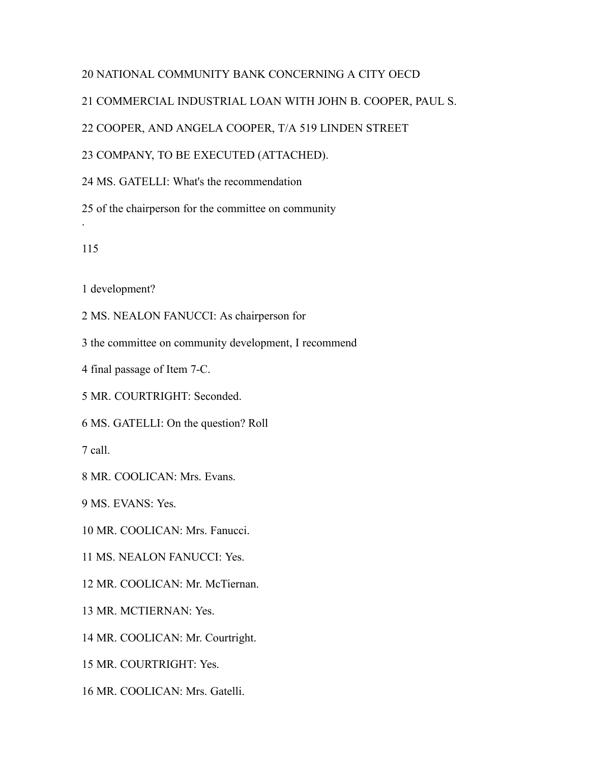# NATIONAL COMMUNITY BANK CONCERNING A CITY OECD

COMMERCIAL INDUSTRIAL LOAN WITH JOHN B. COOPER, PAUL S.

COOPER, AND ANGELA COOPER, T/A 519 LINDEN STREET

COMPANY, TO BE EXECUTED (ATTACHED).

MS. GATELLI: What's the recommendation

of the chairperson for the committee on community

.

development?

MS. NEALON FANUCCI: As chairperson for

- the committee on community development, I recommend
- final passage of Item 7-C.
- MR. COURTRIGHT: Seconded.

MS. GATELLI: On the question? Roll

call.

MR. COOLICAN: Mrs. Evans.

MS. EVANS: Yes.

MR. COOLICAN: Mrs. Fanucci.

MS. NEALON FANUCCI: Yes.

MR. COOLICAN: Mr. McTiernan.

MR. MCTIERNAN: Yes.

MR. COOLICAN: Mr. Courtright.

MR. COURTRIGHT: Yes.

MR. COOLICAN: Mrs. Gatelli.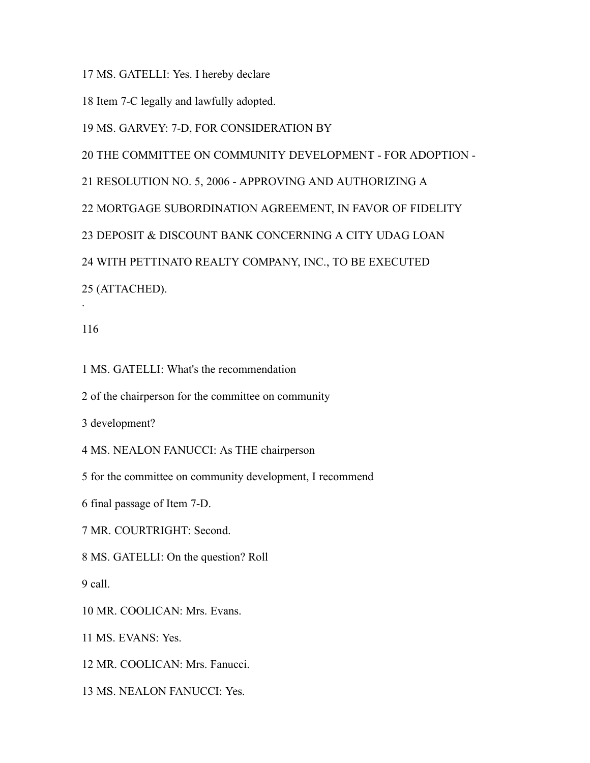MS. GATELLI: Yes. I hereby declare

Item 7-C legally and lawfully adopted.

MS. GARVEY: 7-D, FOR CONSIDERATION BY

THE COMMITTEE ON COMMUNITY DEVELOPMENT - FOR ADOPTION -

RESOLUTION NO. 5, 2006 - APPROVING AND AUTHORIZING A

MORTGAGE SUBORDINATION AGREEMENT, IN FAVOR OF FIDELITY

DEPOSIT & DISCOUNT BANK CONCERNING A CITY UDAG LOAN

WITH PETTINATO REALTY COMPANY, INC., TO BE EXECUTED

(ATTACHED).

### 

.

MS. GATELLI: What's the recommendation

of the chairperson for the committee on community

development?

MS. NEALON FANUCCI: As THE chairperson

for the committee on community development, I recommend

final passage of Item 7-D.

MR. COURTRIGHT: Second.

MS. GATELLI: On the question? Roll

call.

MR. COOLICAN: Mrs. Evans.

MS. EVANS: Yes.

MR. COOLICAN: Mrs. Fanucci.

MS. NEALON FANUCCI: Yes.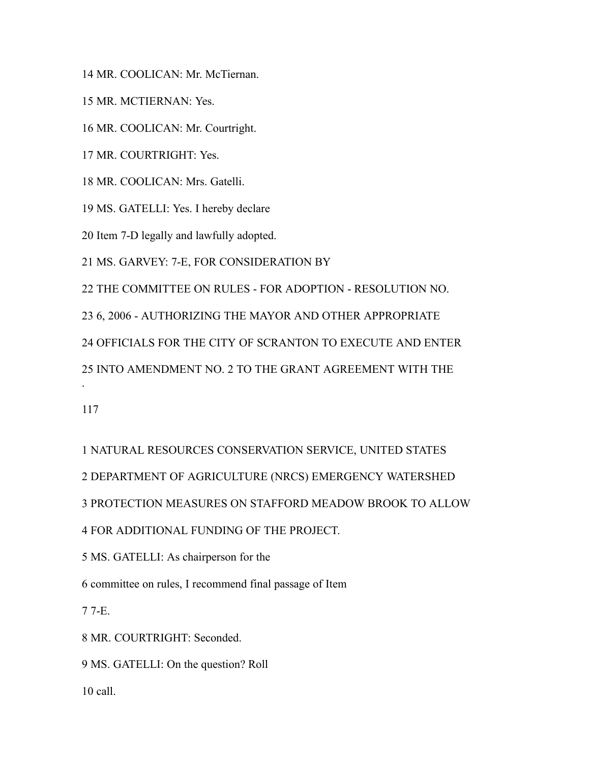MR. COOLICAN: Mr. McTiernan.

MR. MCTIERNAN: Yes.

MR. COOLICAN: Mr. Courtright.

MR. COURTRIGHT: Yes.

MR. COOLICAN: Mrs. Gatelli.

MS. GATELLI: Yes. I hereby declare

Item 7-D legally and lawfully adopted.

MS. GARVEY: 7-E, FOR CONSIDERATION BY

THE COMMITTEE ON RULES - FOR ADOPTION - RESOLUTION NO.

6, 2006 - AUTHORIZING THE MAYOR AND OTHER APPROPRIATE

OFFICIALS FOR THE CITY OF SCRANTON TO EXECUTE AND ENTER

INTO AMENDMENT NO. 2 TO THE GRANT AGREEMENT WITH THE

.

 NATURAL RESOURCES CONSERVATION SERVICE, UNITED STATES DEPARTMENT OF AGRICULTURE (NRCS) EMERGENCY WATERSHED PROTECTION MEASURES ON STAFFORD MEADOW BROOK TO ALLOW

FOR ADDITIONAL FUNDING OF THE PROJECT.

MS. GATELLI: As chairperson for the

committee on rules, I recommend final passage of Item

7-E.

MR. COURTRIGHT: Seconded.

MS. GATELLI: On the question? Roll

call.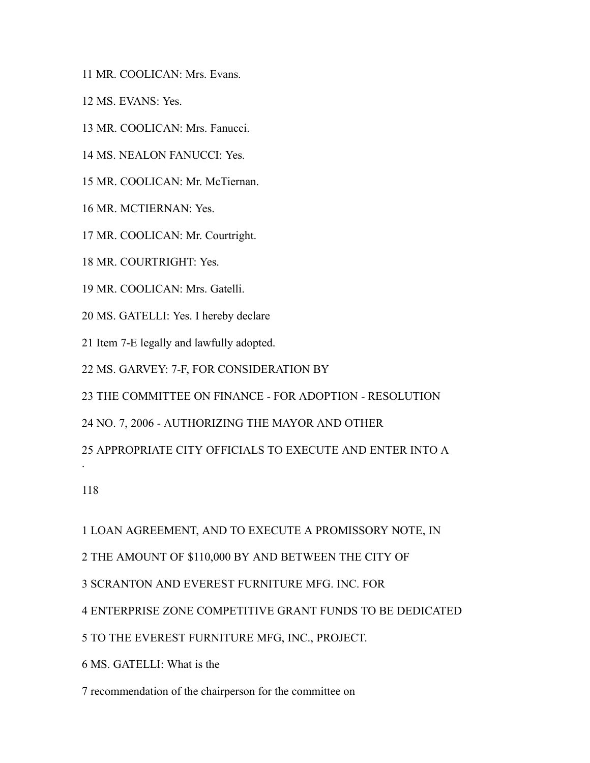MR. COOLICAN: Mrs. Evans.

MS. EVANS: Yes.

MR. COOLICAN: Mrs. Fanucci.

MS. NEALON FANUCCI: Yes.

MR. COOLICAN: Mr. McTiernan.

MR. MCTIERNAN: Yes.

MR. COOLICAN: Mr. Courtright.

MR. COURTRIGHT: Yes.

MR. COOLICAN: Mrs. Gatelli.

MS. GATELLI: Yes. I hereby declare

Item 7-E legally and lawfully adopted.

MS. GARVEY: 7-F, FOR CONSIDERATION BY

THE COMMITTEE ON FINANCE - FOR ADOPTION - RESOLUTION

NO. 7, 2006 - AUTHORIZING THE MAYOR AND OTHER

APPROPRIATE CITY OFFICIALS TO EXECUTE AND ENTER INTO A

.

LOAN AGREEMENT, AND TO EXECUTE A PROMISSORY NOTE, IN

THE AMOUNT OF \$110,000 BY AND BETWEEN THE CITY OF

SCRANTON AND EVEREST FURNITURE MFG. INC. FOR

ENTERPRISE ZONE COMPETITIVE GRANT FUNDS TO BE DEDICATED

TO THE EVEREST FURNITURE MFG, INC., PROJECT.

MS. GATELLI: What is the

recommendation of the chairperson for the committee on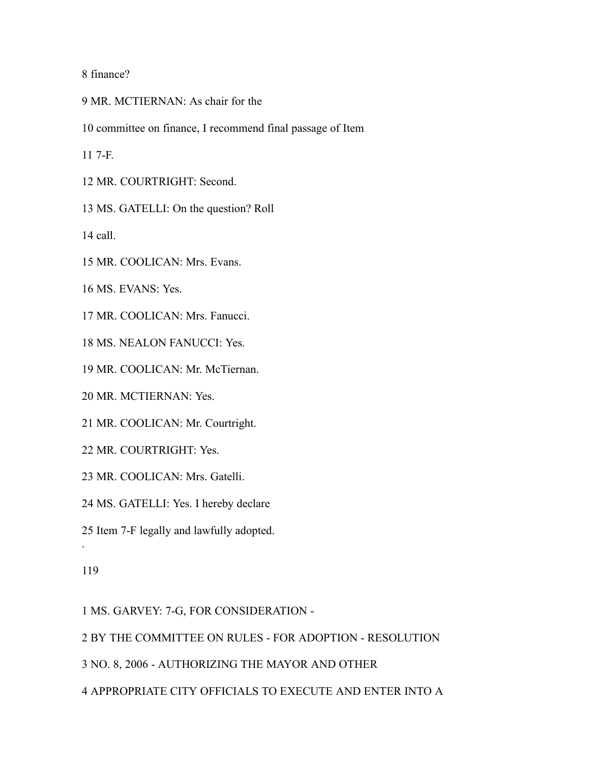finance?

- MR. MCTIERNAN: As chair for the
- committee on finance, I recommend final passage of Item

7-F.

MR. COURTRIGHT: Second.

MS. GATELLI: On the question? Roll

call.

MR. COOLICAN: Mrs. Evans.

MS. EVANS: Yes.

MR. COOLICAN: Mrs. Fanucci.

MS. NEALON FANUCCI: Yes.

MR. COOLICAN: Mr. McTiernan.

MR. MCTIERNAN: Yes.

MR. COOLICAN: Mr. Courtright.

MR. COURTRIGHT: Yes.

MR. COOLICAN: Mrs. Gatelli.

MS. GATELLI: Yes. I hereby declare

Item 7-F legally and lawfully adopted.

.

MS. GARVEY: 7-G, FOR CONSIDERATION -

BY THE COMMITTEE ON RULES - FOR ADOPTION - RESOLUTION

NO. 8, 2006 - AUTHORIZING THE MAYOR AND OTHER

APPROPRIATE CITY OFFICIALS TO EXECUTE AND ENTER INTO A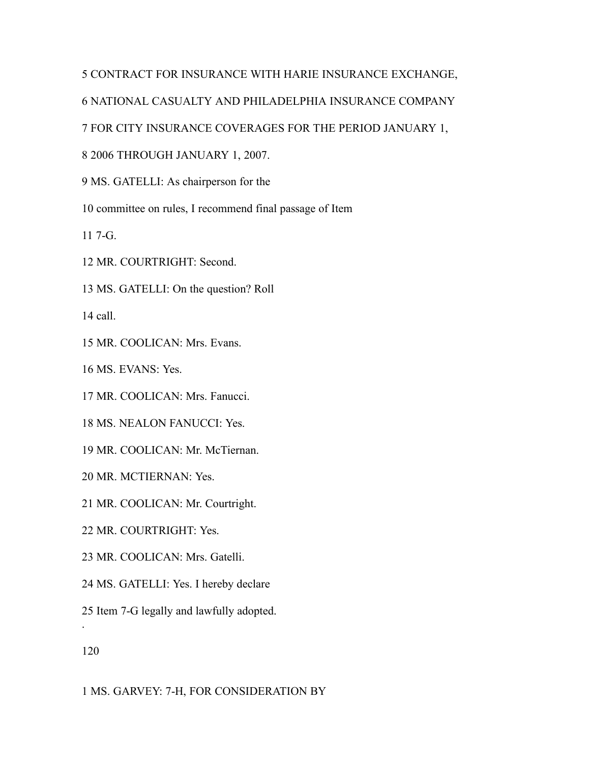## CONTRACT FOR INSURANCE WITH HARIE INSURANCE EXCHANGE,

NATIONAL CASUALTY AND PHILADELPHIA INSURANCE COMPANY

FOR CITY INSURANCE COVERAGES FOR THE PERIOD JANUARY 1,

2006 THROUGH JANUARY 1, 2007.

MS. GATELLI: As chairperson for the

committee on rules, I recommend final passage of Item

7-G.

MR. COURTRIGHT: Second.

MS. GATELLI: On the question? Roll

call.

MR. COOLICAN: Mrs. Evans.

MS. EVANS: Yes.

MR. COOLICAN: Mrs. Fanucci.

MS. NEALON FANUCCI: Yes.

MR. COOLICAN: Mr. McTiernan.

MR. MCTIERNAN: Yes.

MR. COOLICAN: Mr. Courtright.

MR. COURTRIGHT: Yes.

MR. COOLICAN: Mrs. Gatelli.

MS. GATELLI: Yes. I hereby declare

Item 7-G legally and lawfully adopted.

.

MS. GARVEY: 7-H, FOR CONSIDERATION BY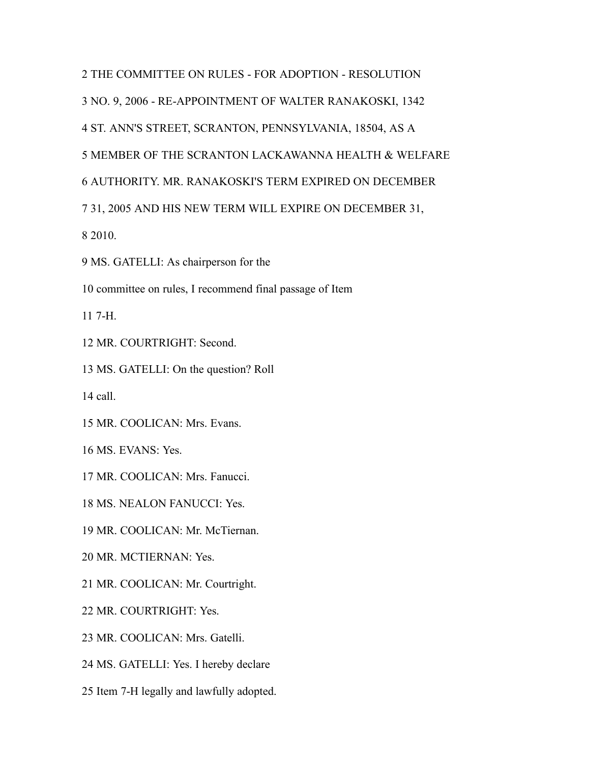THE COMMITTEE ON RULES - FOR ADOPTION - RESOLUTION NO. 9, 2006 - RE-APPOINTMENT OF WALTER RANAKOSKI, 1342 ST. ANN'S STREET, SCRANTON, PENNSYLVANIA, 18504, AS A MEMBER OF THE SCRANTON LACKAWANNA HEALTH & WELFARE AUTHORITY. MR. RANAKOSKI'S TERM EXPIRED ON DECEMBER 31, 2005 AND HIS NEW TERM WILL EXPIRE ON DECEMBER 31, 2010. MS. GATELLI: As chairperson for the committee on rules, I recommend final passage of Item 7-H. MR. COURTRIGHT: Second. MS. GATELLI: On the question? Roll call. MR. COOLICAN: Mrs. Evans. MS. EVANS: Yes. MR. COOLICAN: Mrs. Fanucci. MS. NEALON FANUCCI: Yes. MR. COOLICAN: Mr. McTiernan. MR. MCTIERNAN: Yes. MR. COOLICAN: Mr. Courtright. MR. COURTRIGHT: Yes. MR. COOLICAN: Mrs. Gatelli. MS. GATELLI: Yes. I hereby declare

Item 7-H legally and lawfully adopted.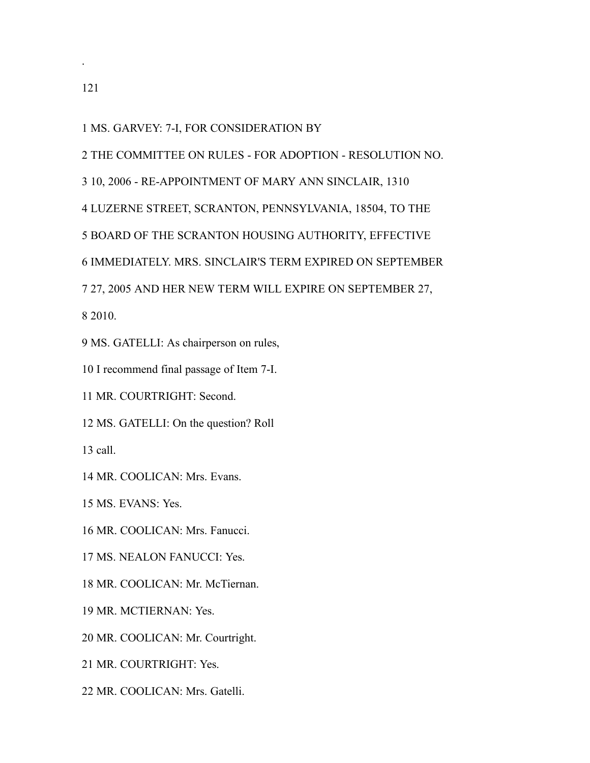.

MS. GARVEY: 7-I, FOR CONSIDERATION BY

THE COMMITTEE ON RULES - FOR ADOPTION - RESOLUTION NO.

10, 2006 - RE-APPOINTMENT OF MARY ANN SINCLAIR, 1310

LUZERNE STREET, SCRANTON, PENNSYLVANIA, 18504, TO THE

BOARD OF THE SCRANTON HOUSING AUTHORITY, EFFECTIVE

IMMEDIATELY. MRS. SINCLAIR'S TERM EXPIRED ON SEPTEMBER

27, 2005 AND HER NEW TERM WILL EXPIRE ON SEPTEMBER 27,

2010.

MS. GATELLI: As chairperson on rules,

I recommend final passage of Item 7-I.

MR. COURTRIGHT: Second.

MS. GATELLI: On the question? Roll

call.

MR. COOLICAN: Mrs. Evans.

MS. EVANS: Yes.

MR. COOLICAN: Mrs. Fanucci.

MS. NEALON FANUCCI: Yes.

MR. COOLICAN: Mr. McTiernan.

MR. MCTIERNAN: Yes.

MR. COOLICAN: Mr. Courtright.

MR. COURTRIGHT: Yes.

MR. COOLICAN: Mrs. Gatelli.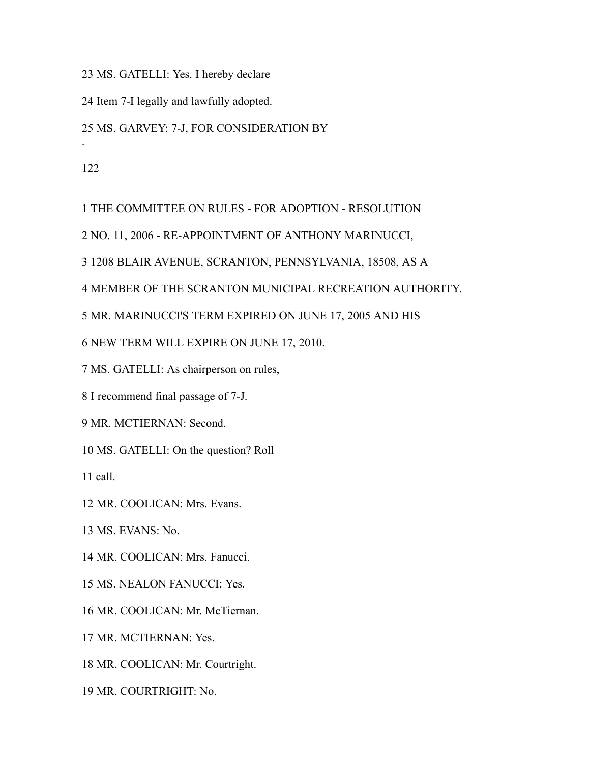MS. GATELLI: Yes. I hereby declare

Item 7-I legally and lawfully adopted.

### MS. GARVEY: 7-J, FOR CONSIDERATION BY

.

THE COMMITTEE ON RULES - FOR ADOPTION - RESOLUTION

NO. 11, 2006 - RE-APPOINTMENT OF ANTHONY MARINUCCI,

1208 BLAIR AVENUE, SCRANTON, PENNSYLVANIA, 18508, AS A

MEMBER OF THE SCRANTON MUNICIPAL RECREATION AUTHORITY.

MR. MARINUCCI'S TERM EXPIRED ON JUNE 17, 2005 AND HIS

NEW TERM WILL EXPIRE ON JUNE 17, 2010.

MS. GATELLI: As chairperson on rules,

I recommend final passage of 7-J.

MR. MCTIERNAN: Second.

MS. GATELLI: On the question? Roll

call.

MR. COOLICAN: Mrs. Evans.

MS. EVANS: No.

MR. COOLICAN: Mrs. Fanucci.

MS. NEALON FANUCCI: Yes.

MR. COOLICAN: Mr. McTiernan.

MR. MCTIERNAN: Yes.

MR. COOLICAN: Mr. Courtright.

MR. COURTRIGHT: No.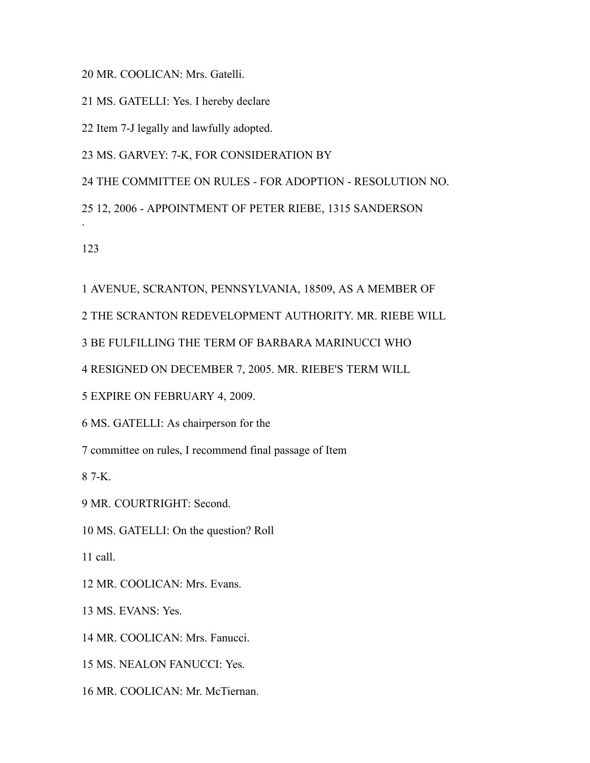MR. COOLICAN: Mrs. Gatelli.

MS. GATELLI: Yes. I hereby declare

Item 7-J legally and lawfully adopted.

MS. GARVEY: 7-K, FOR CONSIDERATION BY

THE COMMITTEE ON RULES - FOR ADOPTION - RESOLUTION NO.

12, 2006 - APPOINTMENT OF PETER RIEBE, 1315 SANDERSON

.

AVENUE, SCRANTON, PENNSYLVANIA, 18509, AS A MEMBER OF

THE SCRANTON REDEVELOPMENT AUTHORITY. MR. RIEBE WILL

BE FULFILLING THE TERM OF BARBARA MARINUCCI WHO

RESIGNED ON DECEMBER 7, 2005. MR. RIEBE'S TERM WILL

EXPIRE ON FEBRUARY 4, 2009.

MS. GATELLI: As chairperson for the

committee on rules, I recommend final passage of Item

7-K.

MR. COURTRIGHT: Second.

MS. GATELLI: On the question? Roll

call.

MR. COOLICAN: Mrs. Evans.

MS. EVANS: Yes.

MR. COOLICAN: Mrs. Fanucci.

MS. NEALON FANUCCI: Yes.

MR. COOLICAN: Mr. McTiernan.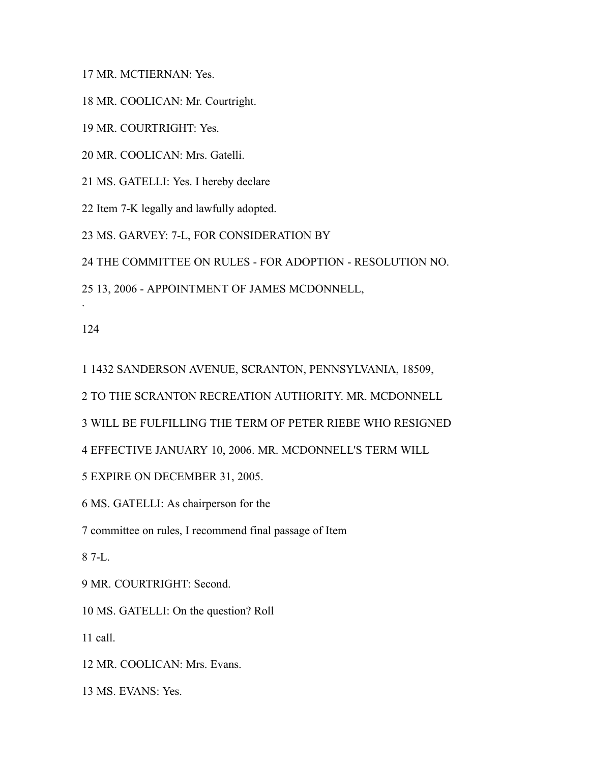MR. MCTIERNAN: Yes.

MR. COOLICAN: Mr. Courtright.

MR. COURTRIGHT: Yes.

MR. COOLICAN: Mrs. Gatelli.

MS. GATELLI: Yes. I hereby declare

Item 7-K legally and lawfully adopted.

MS. GARVEY: 7-L, FOR CONSIDERATION BY

THE COMMITTEE ON RULES - FOR ADOPTION - RESOLUTION NO.

13, 2006 - APPOINTMENT OF JAMES MCDONNELL,

.

1432 SANDERSON AVENUE, SCRANTON, PENNSYLVANIA, 18509,

TO THE SCRANTON RECREATION AUTHORITY. MR. MCDONNELL

WILL BE FULFILLING THE TERM OF PETER RIEBE WHO RESIGNED

EFFECTIVE JANUARY 10, 2006. MR. MCDONNELL'S TERM WILL

EXPIRE ON DECEMBER 31, 2005.

MS. GATELLI: As chairperson for the

committee on rules, I recommend final passage of Item

7-L.

MR. COURTRIGHT: Second.

MS. GATELLI: On the question? Roll

call.

MR. COOLICAN: Mrs. Evans.

MS. EVANS: Yes.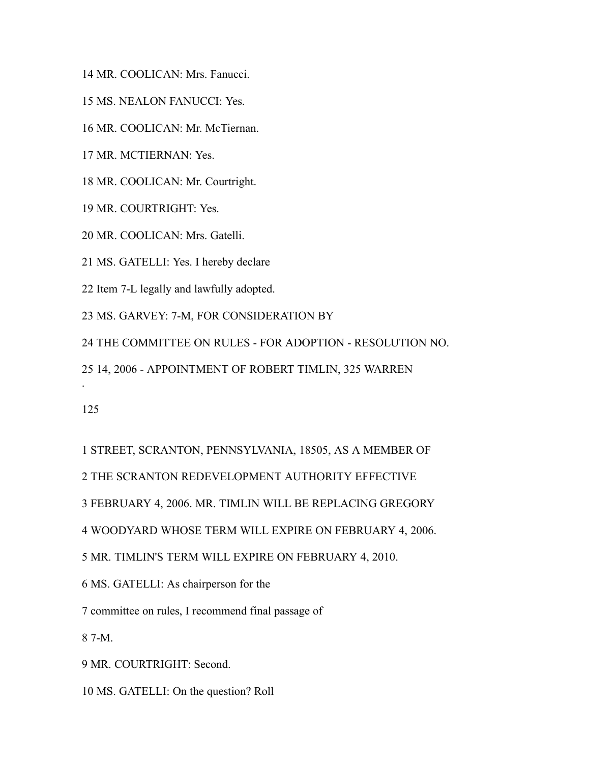MR. COOLICAN: Mrs. Fanucci.

MS. NEALON FANUCCI: Yes.

MR. COOLICAN: Mr. McTiernan.

MR. MCTIERNAN: Yes.

MR. COOLICAN: Mr. Courtright.

MR. COURTRIGHT: Yes.

MR. COOLICAN: Mrs. Gatelli.

MS. GATELLI: Yes. I hereby declare

Item 7-L legally and lawfully adopted.

MS. GARVEY: 7-M, FOR CONSIDERATION BY

THE COMMITTEE ON RULES - FOR ADOPTION - RESOLUTION NO.

14, 2006 - APPOINTMENT OF ROBERT TIMLIN, 325 WARREN

.

STREET, SCRANTON, PENNSYLVANIA, 18505, AS A MEMBER OF

THE SCRANTON REDEVELOPMENT AUTHORITY EFFECTIVE

FEBRUARY 4, 2006. MR. TIMLIN WILL BE REPLACING GREGORY

WOODYARD WHOSE TERM WILL EXPIRE ON FEBRUARY 4, 2006.

MR. TIMLIN'S TERM WILL EXPIRE ON FEBRUARY 4, 2010.

MS. GATELLI: As chairperson for the

committee on rules, I recommend final passage of

7-M.

MR. COURTRIGHT: Second.

MS. GATELLI: On the question? Roll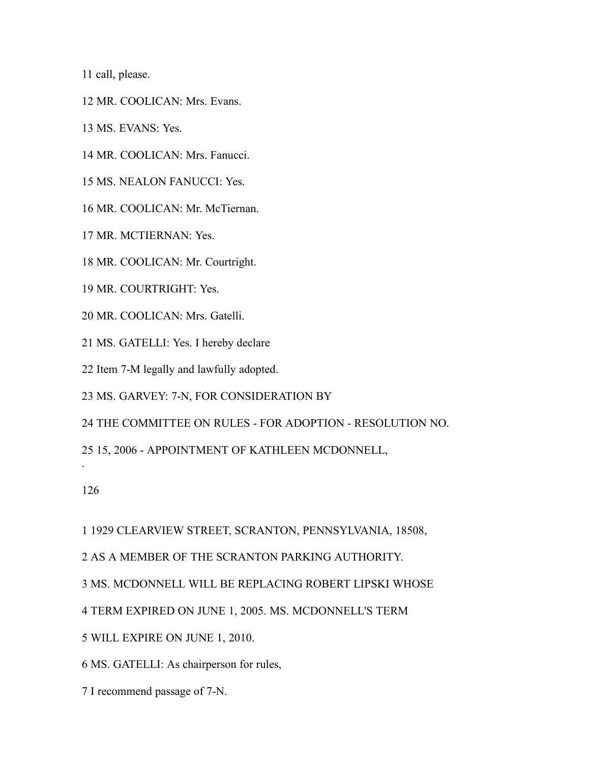call, please.

MR. COOLICAN: Mrs. Evans.

MS. EVANS: Yes.

MR. COOLICAN: Mrs. Fanucci.

MS. NEALON FANUCCI: Yes.

MR. COOLICAN: Mr. McTiernan.

MR. MCTIERNAN: Yes.

MR. COOLICAN: Mr. Courtright.

MR. COURTRIGHT: Yes.

MR. COOLICAN: Mrs. Gatelli.

MS. GATELLI: Yes. I hereby declare

Item 7-M legally and lawfully adopted.

MS. GARVEY: 7-N, FOR CONSIDERATION BY

THE COMMITTEE ON RULES - FOR ADOPTION - RESOLUTION NO.

15, 2006 - APPOINTMENT OF KATHLEEN MCDONNELL,

.

1929 CLEARVIEW STREET, SCRANTON, PENNSYLVANIA, 18508,

AS A MEMBER OF THE SCRANTON PARKING AUTHORITY.

MS. MCDONNELL WILL BE REPLACING ROBERT LIPSKI WHOSE

TERM EXPIRED ON JUNE 1, 2005. MS. MCDONNELL'S TERM

WILL EXPIRE ON JUNE 1, 2010.

MS. GATELLI: As chairperson for rules,

I recommend passage of 7-N.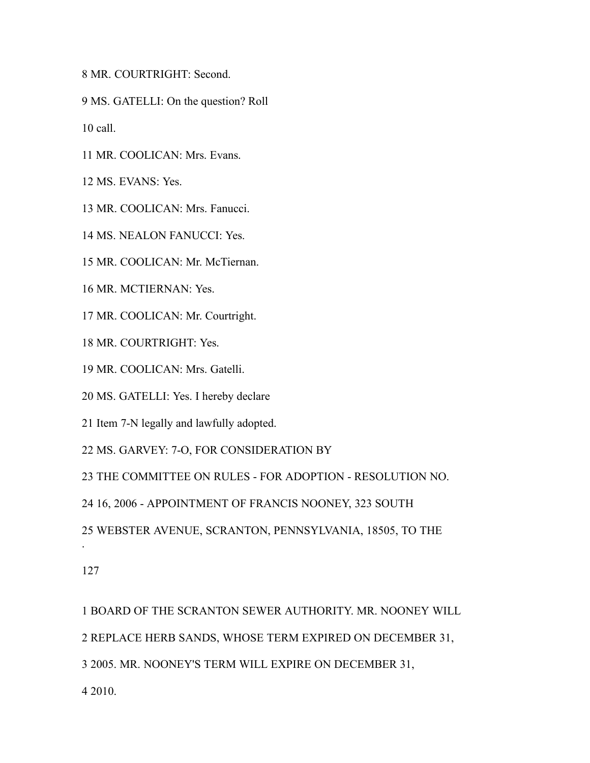MR. COURTRIGHT: Second.

MS. GATELLI: On the question? Roll

call.

MR. COOLICAN: Mrs. Evans.

MS. EVANS: Yes.

MR. COOLICAN: Mrs. Fanucci.

MS. NEALON FANUCCI: Yes.

MR. COOLICAN: Mr. McTiernan.

MR. MCTIERNAN: Yes.

MR. COOLICAN: Mr. Courtright.

MR. COURTRIGHT: Yes.

MR. COOLICAN: Mrs. Gatelli.

MS. GATELLI: Yes. I hereby declare

Item 7-N legally and lawfully adopted.

MS. GARVEY: 7-O, FOR CONSIDERATION BY

THE COMMITTEE ON RULES - FOR ADOPTION - RESOLUTION NO.

16, 2006 - APPOINTMENT OF FRANCIS NOONEY, 323 SOUTH

WEBSTER AVENUE, SCRANTON, PENNSYLVANIA, 18505, TO THE

.

 BOARD OF THE SCRANTON SEWER AUTHORITY. MR. NOONEY WILL REPLACE HERB SANDS, WHOSE TERM EXPIRED ON DECEMBER 31, 2005. MR. NOONEY'S TERM WILL EXPIRE ON DECEMBER 31,

2010.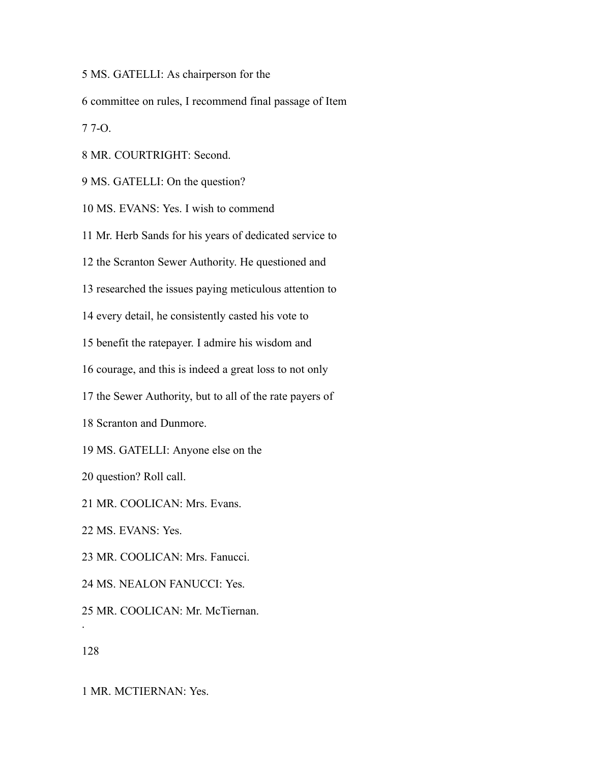MS. GATELLI: As chairperson for the

committee on rules, I recommend final passage of Item

7-O.

MR. COURTRIGHT: Second.

MS. GATELLI: On the question?

MS. EVANS: Yes. I wish to commend

Mr. Herb Sands for his years of dedicated service to

the Scranton Sewer Authority. He questioned and

researched the issues paying meticulous attention to

every detail, he consistently casted his vote to

benefit the ratepayer. I admire his wisdom and

courage, and this is indeed a great loss to not only

the Sewer Authority, but to all of the rate payers of

Scranton and Dunmore.

MS. GATELLI: Anyone else on the

question? Roll call.

MR. COOLICAN: Mrs. Evans.

MS. EVANS: Yes.

MR. COOLICAN: Mrs. Fanucci.

MS. NEALON FANUCCI: Yes.

MR. COOLICAN: Mr. McTiernan.

.

MR. MCTIERNAN: Yes.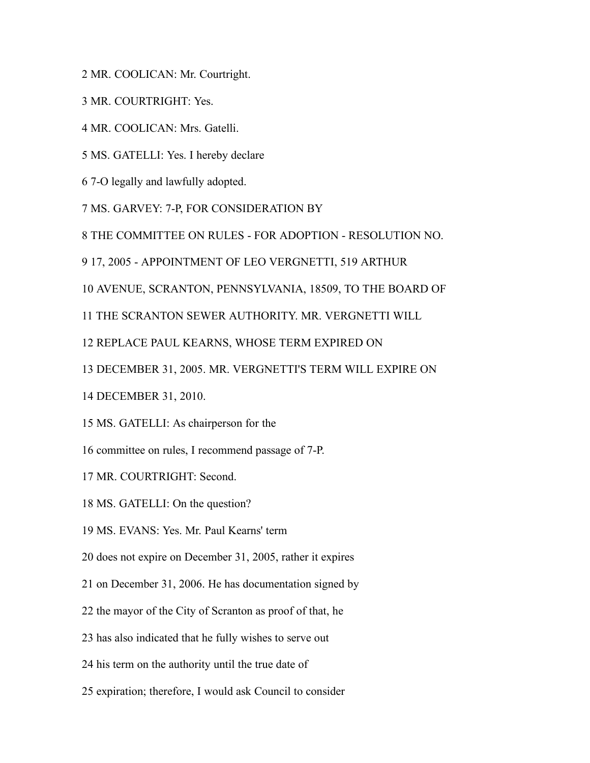MR. COOLICAN: Mr. Courtright.

MR. COURTRIGHT: Yes.

MR. COOLICAN: Mrs. Gatelli.

MS. GATELLI: Yes. I hereby declare

7-O legally and lawfully adopted.

MS. GARVEY: 7-P, FOR CONSIDERATION BY

THE COMMITTEE ON RULES - FOR ADOPTION - RESOLUTION NO.

17, 2005 - APPOINTMENT OF LEO VERGNETTI, 519 ARTHUR

AVENUE, SCRANTON, PENNSYLVANIA, 18509, TO THE BOARD OF

THE SCRANTON SEWER AUTHORITY. MR. VERGNETTI WILL

REPLACE PAUL KEARNS, WHOSE TERM EXPIRED ON

DECEMBER 31, 2005. MR. VERGNETTI'S TERM WILL EXPIRE ON

DECEMBER 31, 2010.

MS. GATELLI: As chairperson for the

committee on rules, I recommend passage of 7-P.

MR. COURTRIGHT: Second.

MS. GATELLI: On the question?

MS. EVANS: Yes. Mr. Paul Kearns' term

does not expire on December 31, 2005, rather it expires

on December 31, 2006. He has documentation signed by

the mayor of the City of Scranton as proof of that, he

has also indicated that he fully wishes to serve out

his term on the authority until the true date of

expiration; therefore, I would ask Council to consider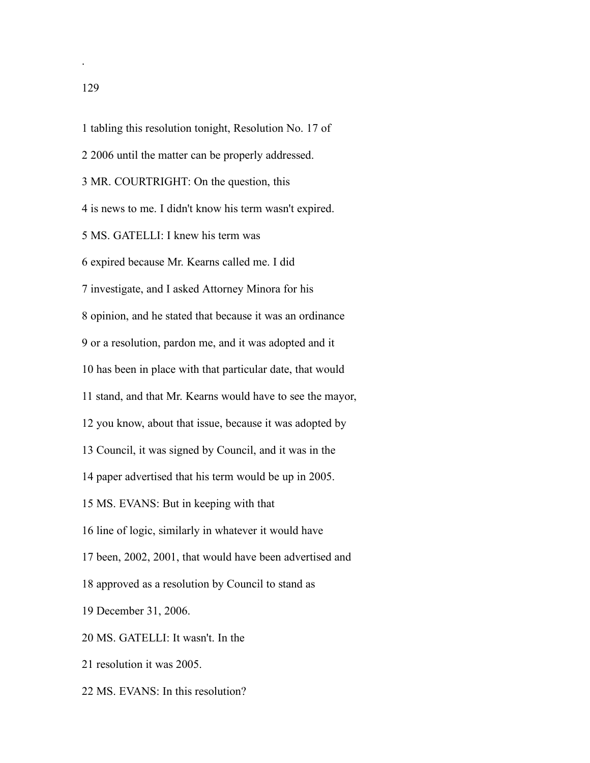tabling this resolution tonight, Resolution No. 17 of

- 2006 until the matter can be properly addressed.
- MR. COURTRIGHT: On the question, this

is news to me. I didn't know his term wasn't expired.

MS. GATELLI: I knew his term was

expired because Mr. Kearns called me. I did

investigate, and I asked Attorney Minora for his

opinion, and he stated that because it was an ordinance

or a resolution, pardon me, and it was adopted and it

has been in place with that particular date, that would

stand, and that Mr. Kearns would have to see the mayor,

you know, about that issue, because it was adopted by

Council, it was signed by Council, and it was in the

paper advertised that his term would be up in 2005.

- MS. EVANS: But in keeping with that
- line of logic, similarly in whatever it would have
- been, 2002, 2001, that would have been advertised and
- approved as a resolution by Council to stand as
- December 31, 2006.
- MS. GATELLI: It wasn't. In the
- resolution it was 2005.
- MS. EVANS: In this resolution?

.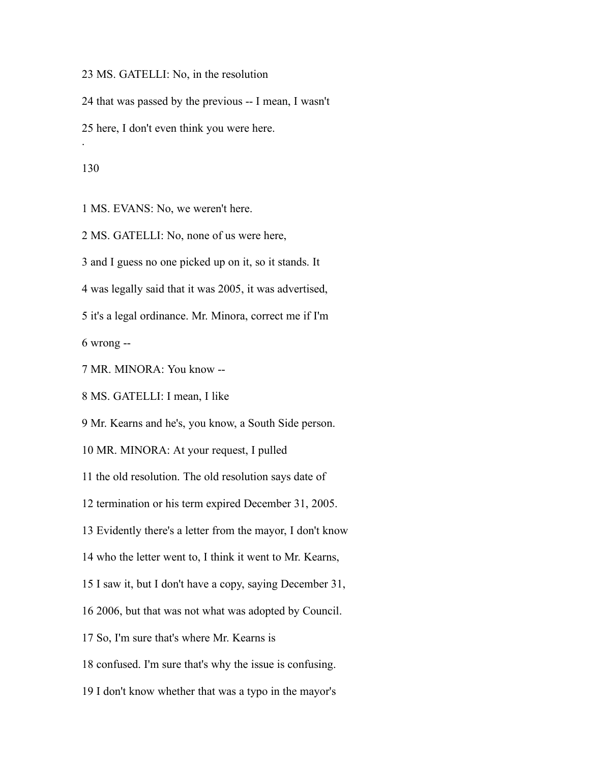MS. GATELLI: No, in the resolution

that was passed by the previous -- I mean, I wasn't

here, I don't even think you were here.

.

MS. EVANS: No, we weren't here.

MS. GATELLI: No, none of us were here,

and I guess no one picked up on it, so it stands. It

was legally said that it was 2005, it was advertised,

it's a legal ordinance. Mr. Minora, correct me if I'm

wrong --

MR. MINORA: You know --

MS. GATELLI: I mean, I like

Mr. Kearns and he's, you know, a South Side person.

MR. MINORA: At your request, I pulled

the old resolution. The old resolution says date of

termination or his term expired December 31, 2005.

Evidently there's a letter from the mayor, I don't know

who the letter went to, I think it went to Mr. Kearns,

I saw it, but I don't have a copy, saying December 31,

2006, but that was not what was adopted by Council.

So, I'm sure that's where Mr. Kearns is

confused. I'm sure that's why the issue is confusing.

I don't know whether that was a typo in the mayor's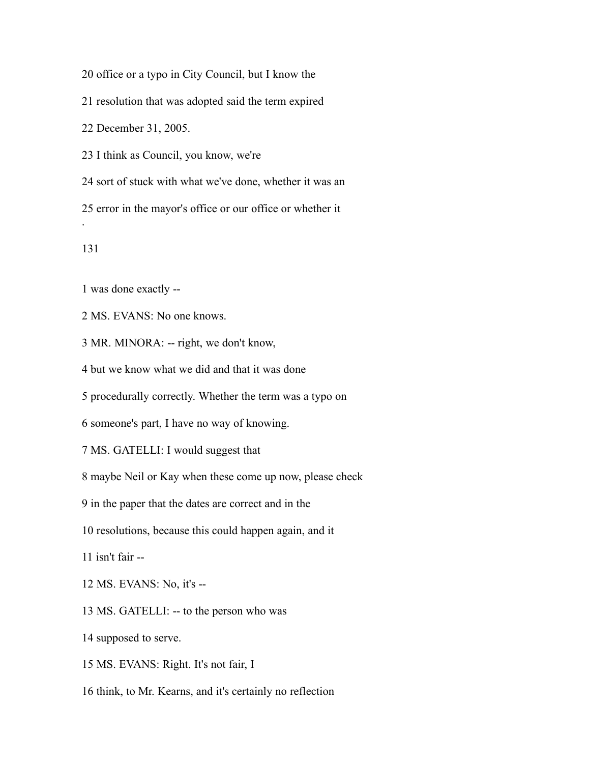office or a typo in City Council, but I know the

resolution that was adopted said the term expired

December 31, 2005.

I think as Council, you know, we're

 sort of stuck with what we've done, whether it was an error in the mayor's office or our office or whether it .

was done exactly --

MS. EVANS: No one knows.

MR. MINORA: -- right, we don't know,

but we know what we did and that it was done

procedurally correctly. Whether the term was a typo on

someone's part, I have no way of knowing.

MS. GATELLI: I would suggest that

maybe Neil or Kay when these come up now, please check

in the paper that the dates are correct and in the

resolutions, because this could happen again, and it

isn't fair --

MS. EVANS: No, it's --

MS. GATELLI: -- to the person who was

supposed to serve.

MS. EVANS: Right. It's not fair, I

think, to Mr. Kearns, and it's certainly no reflection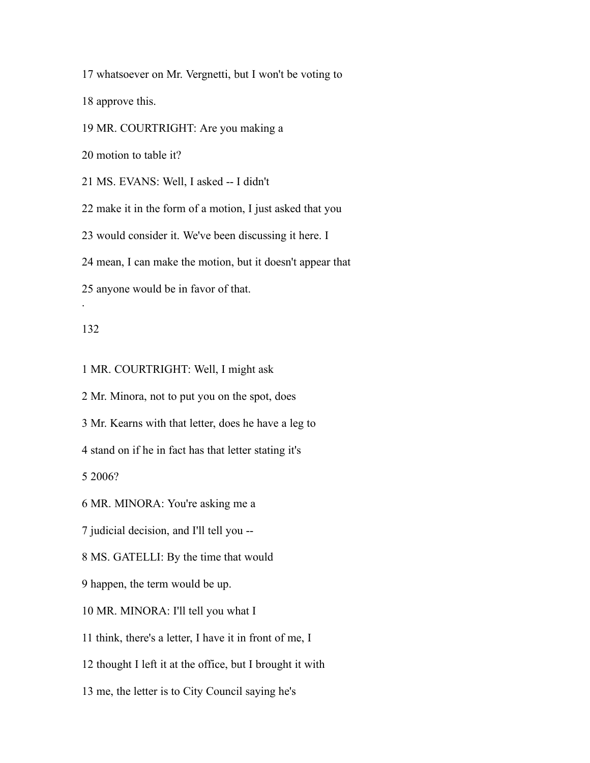whatsoever on Mr. Vergnetti, but I won't be voting to

approve this.

MR. COURTRIGHT: Are you making a

motion to table it?

MS. EVANS: Well, I asked -- I didn't

make it in the form of a motion, I just asked that you

would consider it. We've been discussing it here. I

mean, I can make the motion, but it doesn't appear that

anyone would be in favor of that.

## 

.

MR. COURTRIGHT: Well, I might ask

Mr. Minora, not to put you on the spot, does

Mr. Kearns with that letter, does he have a leg to

stand on if he in fact has that letter stating it's

2006?

MR. MINORA: You're asking me a

judicial decision, and I'll tell you --

MS. GATELLI: By the time that would

happen, the term would be up.

MR. MINORA: I'll tell you what I

think, there's a letter, I have it in front of me, I

thought I left it at the office, but I brought it with

me, the letter is to City Council saying he's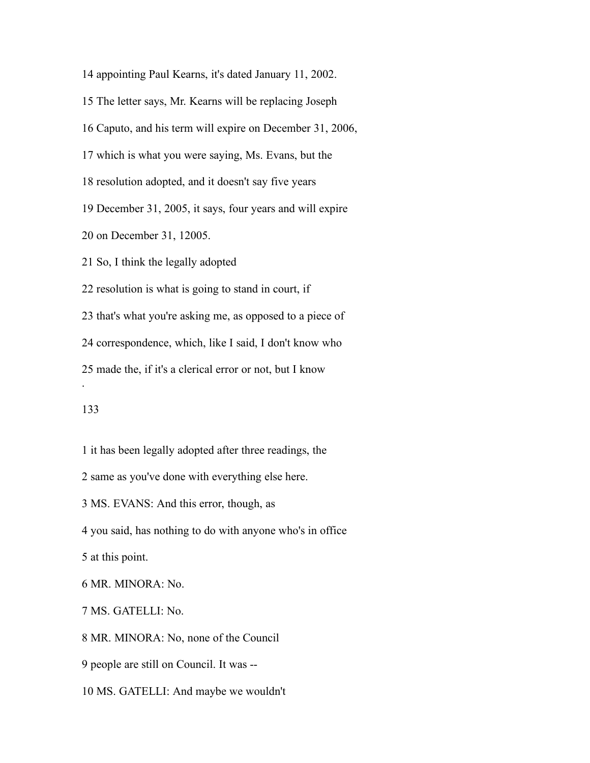appointing Paul Kearns, it's dated January 11, 2002.

The letter says, Mr. Kearns will be replacing Joseph

Caputo, and his term will expire on December 31, 2006,

which is what you were saying, Ms. Evans, but the

resolution adopted, and it doesn't say five years

December 31, 2005, it says, four years and will expire

on December 31, 12005.

So, I think the legally adopted

resolution is what is going to stand in court, if

that's what you're asking me, as opposed to a piece of

correspondence, which, like I said, I don't know who

made the, if it's a clerical error or not, but I know

## 

.

it has been legally adopted after three readings, the

same as you've done with everything else here.

MS. EVANS: And this error, though, as

you said, has nothing to do with anyone who's in office

at this point.

MR. MINORA: No.

MS. GATELLI: No.

MR. MINORA: No, none of the Council

people are still on Council. It was --

MS. GATELLI: And maybe we wouldn't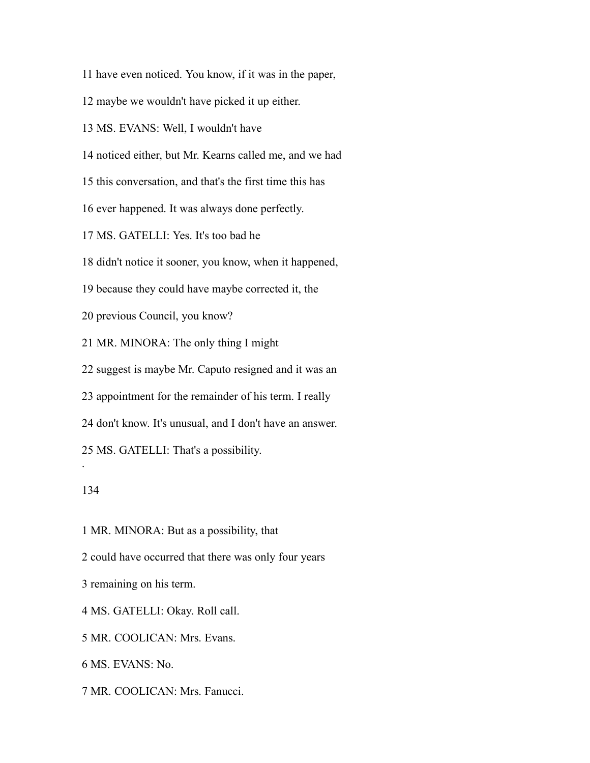have even noticed. You know, if it was in the paper,

maybe we wouldn't have picked it up either.

MS. EVANS: Well, I wouldn't have

noticed either, but Mr. Kearns called me, and we had

this conversation, and that's the first time this has

ever happened. It was always done perfectly.

MS. GATELLI: Yes. It's too bad he

didn't notice it sooner, you know, when it happened,

because they could have maybe corrected it, the

previous Council, you know?

MR. MINORA: The only thing I might

suggest is maybe Mr. Caputo resigned and it was an

appointment for the remainder of his term. I really

don't know. It's unusual, and I don't have an answer.

MS. GATELLI: That's a possibility.

## 

.

MR. MINORA: But as a possibility, that

could have occurred that there was only four years

remaining on his term.

MS. GATELLI: Okay. Roll call.

MR. COOLICAN: Mrs. Evans.

MS. EVANS: No.

MR. COOLICAN: Mrs. Fanucci.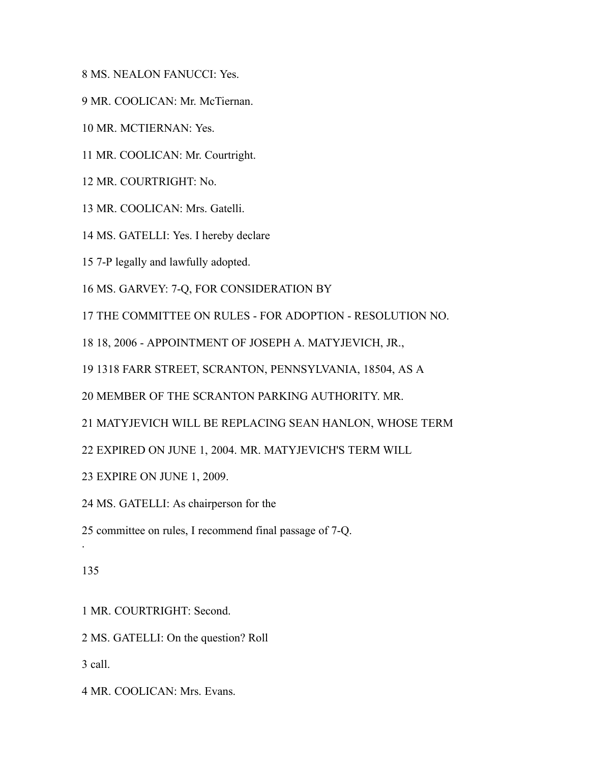MS. NEALON FANUCCI: Yes.

MR. COOLICAN: Mr. McTiernan.

MR. MCTIERNAN: Yes.

MR. COOLICAN: Mr. Courtright.

MR. COURTRIGHT: No.

MR. COOLICAN: Mrs. Gatelli.

MS. GATELLI: Yes. I hereby declare

7-P legally and lawfully adopted.

MS. GARVEY: 7-Q, FOR CONSIDERATION BY

THE COMMITTEE ON RULES - FOR ADOPTION - RESOLUTION NO.

18, 2006 - APPOINTMENT OF JOSEPH A. MATYJEVICH, JR.,

1318 FARR STREET, SCRANTON, PENNSYLVANIA, 18504, AS A

MEMBER OF THE SCRANTON PARKING AUTHORITY. MR.

MATYJEVICH WILL BE REPLACING SEAN HANLON, WHOSE TERM

EXPIRED ON JUNE 1, 2004. MR. MATYJEVICH'S TERM WILL

EXPIRE ON JUNE 1, 2009.

MS. GATELLI: As chairperson for the

committee on rules, I recommend final passage of 7-Q.

## 

.

MR. COURTRIGHT: Second.

MS. GATELLI: On the question? Roll

call.

MR. COOLICAN: Mrs. Evans.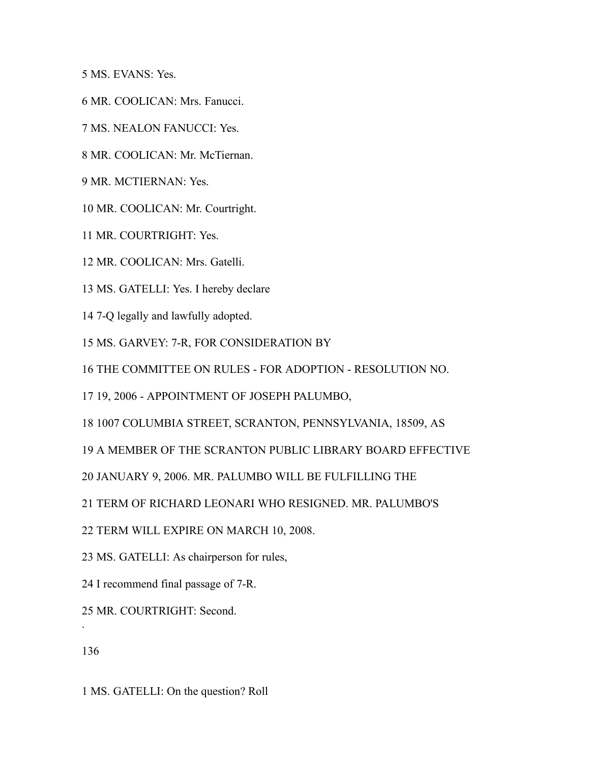MS. EVANS: Yes.

- MR. COOLICAN: Mrs. Fanucci.
- MS. NEALON FANUCCI: Yes.
- MR. COOLICAN: Mr. McTiernan.
- MR. MCTIERNAN: Yes.
- MR. COOLICAN: Mr. Courtright.
- MR. COURTRIGHT: Yes.
- MR. COOLICAN: Mrs. Gatelli.
- MS. GATELLI: Yes. I hereby declare
- 7-Q legally and lawfully adopted.
- MS. GARVEY: 7-R, FOR CONSIDERATION BY
- THE COMMITTEE ON RULES FOR ADOPTION RESOLUTION NO.
- 19, 2006 APPOINTMENT OF JOSEPH PALUMBO,
- 1007 COLUMBIA STREET, SCRANTON, PENNSYLVANIA, 18509, AS
- A MEMBER OF THE SCRANTON PUBLIC LIBRARY BOARD EFFECTIVE
- JANUARY 9, 2006. MR. PALUMBO WILL BE FULFILLING THE
- TERM OF RICHARD LEONARI WHO RESIGNED. MR. PALUMBO'S
- TERM WILL EXPIRE ON MARCH 10, 2008.
- MS. GATELLI: As chairperson for rules,
- I recommend final passage of 7-R.
- MR. COURTRIGHT: Second.
- 

.

MS. GATELLI: On the question? Roll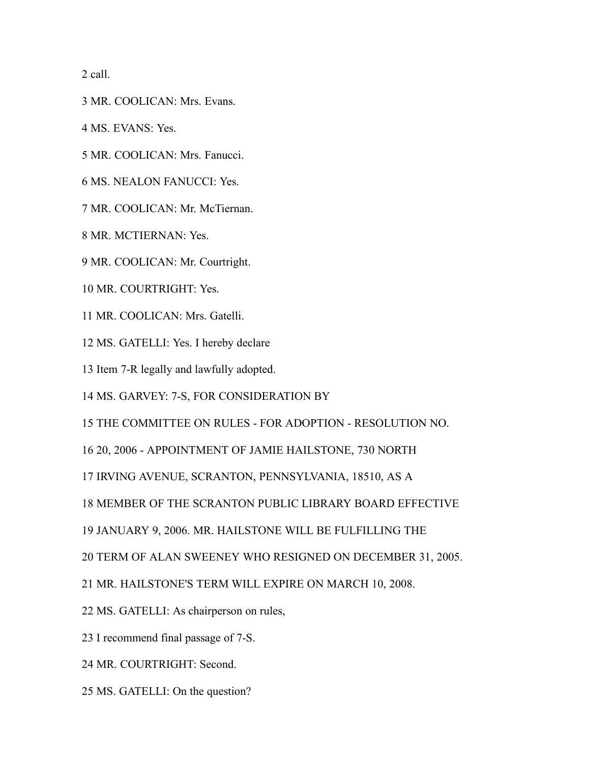call.

- MR. COOLICAN: Mrs. Evans.
- MS. EVANS: Yes.
- MR. COOLICAN: Mrs. Fanucci.
- MS. NEALON FANUCCI: Yes.
- MR. COOLICAN: Mr. McTiernan.
- MR. MCTIERNAN: Yes.
- MR. COOLICAN: Mr. Courtright.
- MR. COURTRIGHT: Yes.
- MR. COOLICAN: Mrs. Gatelli.
- MS. GATELLI: Yes. I hereby declare
- Item 7-R legally and lawfully adopted.
- MS. GARVEY: 7-S, FOR CONSIDERATION BY
- THE COMMITTEE ON RULES FOR ADOPTION RESOLUTION NO.
- 20, 2006 APPOINTMENT OF JAMIE HAILSTONE, 730 NORTH
- IRVING AVENUE, SCRANTON, PENNSYLVANIA, 18510, AS A
- MEMBER OF THE SCRANTON PUBLIC LIBRARY BOARD EFFECTIVE
- JANUARY 9, 2006. MR. HAILSTONE WILL BE FULFILLING THE
- TERM OF ALAN SWEENEY WHO RESIGNED ON DECEMBER 31, 2005.
- MR. HAILSTONE'S TERM WILL EXPIRE ON MARCH 10, 2008.
- MS. GATELLI: As chairperson on rules,
- I recommend final passage of 7-S.
- MR. COURTRIGHT: Second.
- MS. GATELLI: On the question?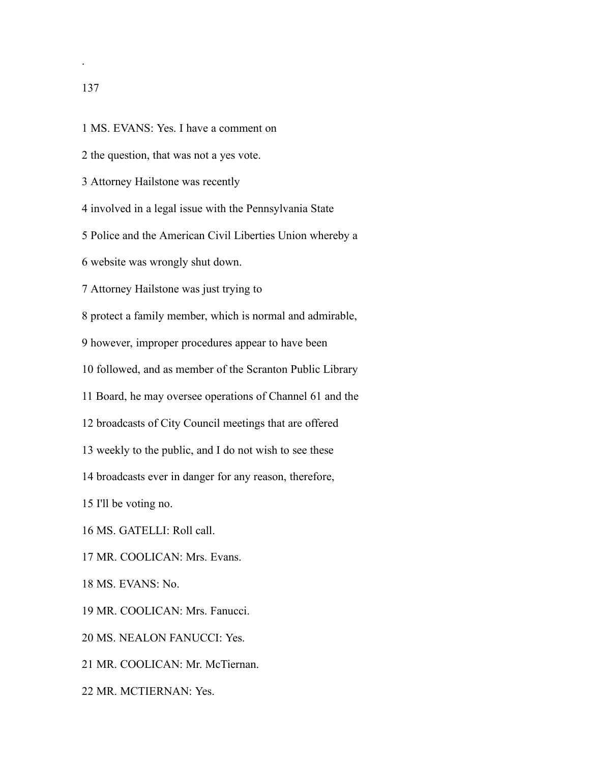.

- MS. EVANS: Yes. I have a comment on
- the question, that was not a yes vote.
- Attorney Hailstone was recently
- involved in a legal issue with the Pennsylvania State
- Police and the American Civil Liberties Union whereby a
- website was wrongly shut down.
- Attorney Hailstone was just trying to
- protect a family member, which is normal and admirable,
- however, improper procedures appear to have been
- followed, and as member of the Scranton Public Library
- Board, he may oversee operations of Channel 61 and the
- broadcasts of City Council meetings that are offered
- weekly to the public, and I do not wish to see these
- broadcasts ever in danger for any reason, therefore,
- I'll be voting no.
- MS. GATELLI: Roll call.
- MR. COOLICAN: Mrs. Evans.
- MS. EVANS: No.
- MR. COOLICAN: Mrs. Fanucci.
- MS. NEALON FANUCCI: Yes.
- MR. COOLICAN: Mr. McTiernan.
- MR. MCTIERNAN: Yes.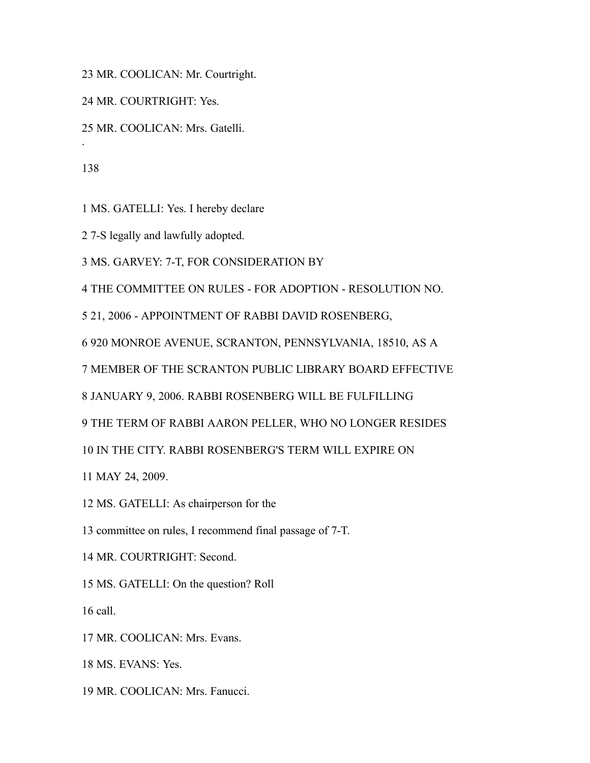MR. COOLICAN: Mr. Courtright.

MR. COURTRIGHT: Yes.

MR. COOLICAN: Mrs. Gatelli.

.

MS. GATELLI: Yes. I hereby declare

7-S legally and lawfully adopted.

MS. GARVEY: 7-T, FOR CONSIDERATION BY

THE COMMITTEE ON RULES - FOR ADOPTION - RESOLUTION NO.

21, 2006 - APPOINTMENT OF RABBI DAVID ROSENBERG,

920 MONROE AVENUE, SCRANTON, PENNSYLVANIA, 18510, AS A

MEMBER OF THE SCRANTON PUBLIC LIBRARY BOARD EFFECTIVE

JANUARY 9, 2006. RABBI ROSENBERG WILL BE FULFILLING

THE TERM OF RABBI AARON PELLER, WHO NO LONGER RESIDES

IN THE CITY. RABBI ROSENBERG'S TERM WILL EXPIRE ON

MAY 24, 2009.

MS. GATELLI: As chairperson for the

committee on rules, I recommend final passage of 7-T.

MR. COURTRIGHT: Second.

MS. GATELLI: On the question? Roll

call.

MR. COOLICAN: Mrs. Evans.

MS. EVANS: Yes.

MR. COOLICAN: Mrs. Fanucci.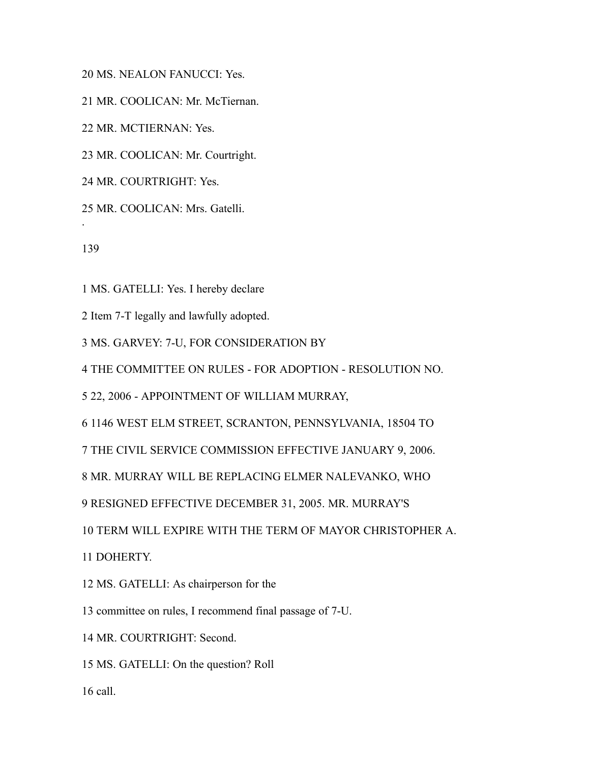MS. NEALON FANUCCI: Yes.

MR. COOLICAN: Mr. McTiernan.

MR. MCTIERNAN: Yes.

MR. COOLICAN: Mr. Courtright.

MR. COURTRIGHT: Yes.

MR. COOLICAN: Mrs. Gatelli.

.

MS. GATELLI: Yes. I hereby declare

Item 7-T legally and lawfully adopted.

MS. GARVEY: 7-U, FOR CONSIDERATION BY

THE COMMITTEE ON RULES - FOR ADOPTION - RESOLUTION NO.

22, 2006 - APPOINTMENT OF WILLIAM MURRAY,

1146 WEST ELM STREET, SCRANTON, PENNSYLVANIA, 18504 TO

THE CIVIL SERVICE COMMISSION EFFECTIVE JANUARY 9, 2006.

MR. MURRAY WILL BE REPLACING ELMER NALEVANKO, WHO

RESIGNED EFFECTIVE DECEMBER 31, 2005. MR. MURRAY'S

TERM WILL EXPIRE WITH THE TERM OF MAYOR CHRISTOPHER A.

DOHERTY.

MS. GATELLI: As chairperson for the

committee on rules, I recommend final passage of 7-U.

MR. COURTRIGHT: Second.

MS. GATELLI: On the question? Roll

call.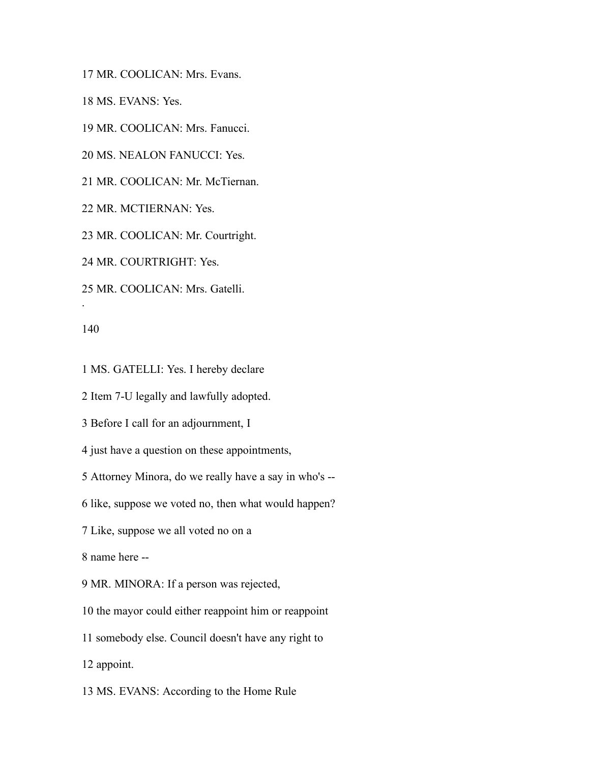MR. COOLICAN: Mrs. Evans.

MS. EVANS: Yes.

MR. COOLICAN: Mrs. Fanucci.

MS. NEALON FANUCCI: Yes.

MR. COOLICAN: Mr. McTiernan.

MR. MCTIERNAN: Yes.

MR. COOLICAN: Mr. Courtright.

MR. COURTRIGHT: Yes.

MR. COOLICAN: Mrs. Gatelli.

.

MS. GATELLI: Yes. I hereby declare

Item 7-U legally and lawfully adopted.

Before I call for an adjournment, I

just have a question on these appointments,

Attorney Minora, do we really have a say in who's --

like, suppose we voted no, then what would happen?

Like, suppose we all voted no on a

name here --

MR. MINORA: If a person was rejected,

the mayor could either reappoint him or reappoint

somebody else. Council doesn't have any right to

appoint.

MS. EVANS: According to the Home Rule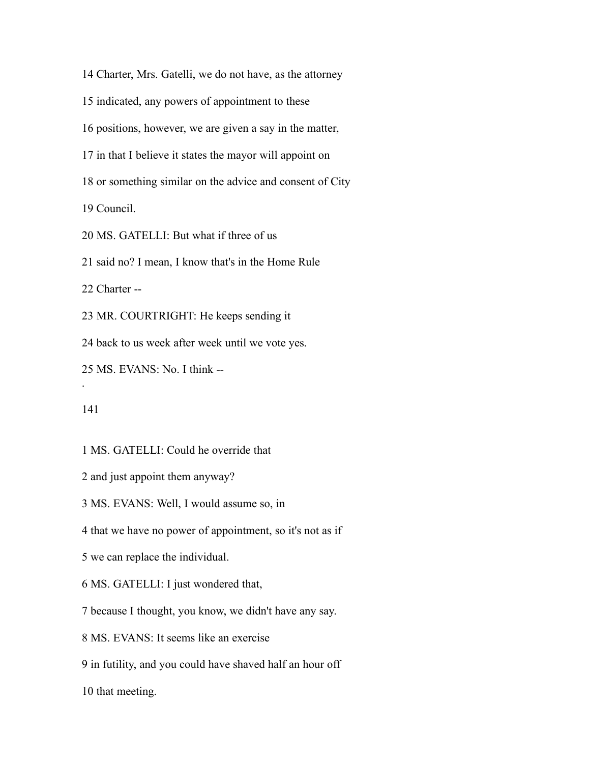Charter, Mrs. Gatelli, we do not have, as the attorney

indicated, any powers of appointment to these

positions, however, we are given a say in the matter,

in that I believe it states the mayor will appoint on

or something similar on the advice and consent of City

Council.

MS. GATELLI: But what if three of us

said no? I mean, I know that's in the Home Rule

Charter --

MR. COURTRIGHT: He keeps sending it

back to us week after week until we vote yes.

MS. EVANS: No. I think --

.

MS. GATELLI: Could he override that

and just appoint them anyway?

MS. EVANS: Well, I would assume so, in

that we have no power of appointment, so it's not as if

we can replace the individual.

MS. GATELLI: I just wondered that,

because I thought, you know, we didn't have any say.

MS. EVANS: It seems like an exercise

in futility, and you could have shaved half an hour off

that meeting.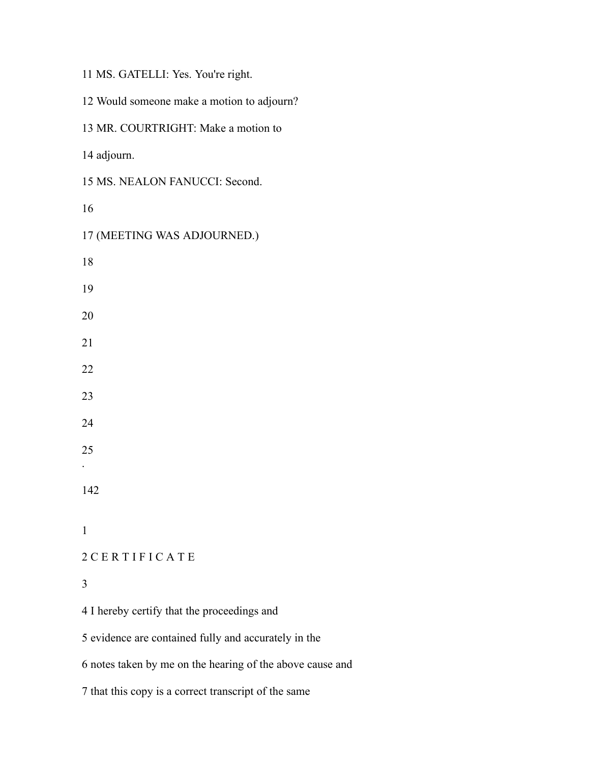|  |  | 11 MS. GATELLI: Yes. You're right. |  |  |  |
|--|--|------------------------------------|--|--|--|
|--|--|------------------------------------|--|--|--|

 Would someone make a motion to adjourn? MR. COURTRIGHT: Make a motion to adjourn. MS. NEALON FANUCCI: Second. (MEETING WAS ADJOURNED.) . C E R T I F I C A T E I hereby certify that the proceedings and

evidence are contained fully and accurately in the

notes taken by me on the hearing of the above cause and

that this copy is a correct transcript of the same